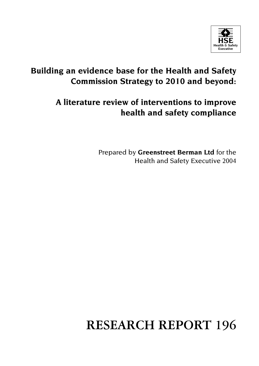

# **Building an evidence base for the Health and Safety Commission Strategy to 2010 and beyond:**

# **A literature review of interventions to improve health and safety compliance**

Prepared by **Greenstreet Berman Ltd** for the Health and Safety Executive 2004

# **RESEARCH REPORT 196**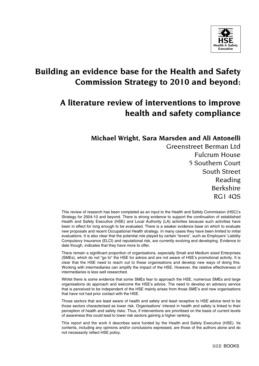

## **Building an evidence base for the Health and Safety Commission Strategy to 2010 and beyond:**

## **A literature review of interventions to improve health and safety compliance**

## **Michael Wright, Sara Marsden and Ali Antonelli**

Greenstreet Berman Ltd Fulcrum House 5 Southern Court South Street Reading Berkshire RG1 4QS

This review of research has been completed as an input to the Health and Safety Commission (HSC)'s Strategy for 2004-10 and beyond. There is strong evidence to support the continuation of established Health and Safety Executive (HSE) and Local Authority (LA) activities because such activities have been in effect for long enough to be evaluated. There is a weaker evidence base on which to evaluate new proposals and recent Occupational Health strategy. In many cases they have been limited to initial evaluations. It is also clear that the potential role played by certain "levers", such as Employers' Liability Compulsory Insurance (ELCI) and reputational risk, are currently evolving and developing. Evidence to date though, indicates that they have more to offer.

There remain a significant proportion of organisations, especially Small and Medium sized Enterprises (SMEs), which do not "go to" the HSE for advice and are not aware of HSE's promotional activity. It is clear that the HSE need to reach out to these organisations and develop new ways of doing this. Working with intermediaries can amplify the impact of the HSE. However, the relative effectiveness of intermediaries is less well researched.

Whilst there is some evidence that some SMEs fear to approach the HSE, numerous SMEs and large organisations do approach and welcome the HSE's advice. The need to develop an advisory service that is perceived to be independent of the HSE mainly arises from those SME's and new organisations that have not had prior contact with the HSE.

Those sectors that are least aware of health and safety and least receptive to HSE advice tend to be those sectors characterised as lower risk. Organisations' interest in health and safety is linked to their perception of health and safety risks. Thus, if interventions are prioritised on the basis of current levels of awareness this could lead to lower risk sectors gaining a higher ranking.

This report and the work it describes were funded by the Health and Safety Executive (HSE). Its contents, including any opinions and/or conclusions expressed, are those of the authors alone and do not necessarily reflect HSE policy.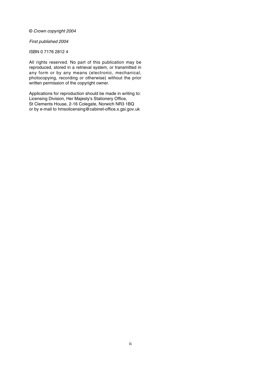#### © Crown copyright 2004

#### First published 2004

#### ISBN 0 7176 2812 4

All rights reserved. No part of this publication may be reproduced, stored in a retrieval system, or transmitted in any form or by any means (electronic, mechanical, photocopying, recording or otherwise) without the prior written permission of the copyright owner.

Applications for reproduction should be made in writing to: Licensing Division, Her Majesty's Stationery Office, St Clements House, 2-16 Colegate, Norwich NR3 1BQ or by e-mail to hmsolicensing@cabinet-office.x.gsi.gov.uk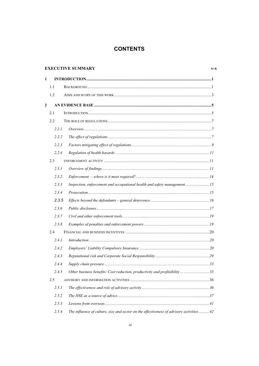## **CONTENTS**

|              |       | <b>EXECUTIVE SUMMARY</b>                                                                  | $V-X$ |
|--------------|-------|-------------------------------------------------------------------------------------------|-------|
| $\mathbf{1}$ |       |                                                                                           |       |
|              | 1.1   |                                                                                           |       |
|              | 1.2   |                                                                                           |       |
| $\mathbf{2}$ |       |                                                                                           |       |
|              | 2.1   |                                                                                           |       |
|              | 2.2   |                                                                                           |       |
|              | 2.2.1 |                                                                                           |       |
|              | 2.2.2 |                                                                                           |       |
|              | 2.2.3 |                                                                                           |       |
|              | 2.2.4 |                                                                                           |       |
|              | 2.3   |                                                                                           |       |
|              | 2.3.1 |                                                                                           |       |
|              | 2.3.2 |                                                                                           |       |
|              | 2.3.3 | Inspection, enforcement and occupational health and safety management15                   |       |
|              | 2.3.4 |                                                                                           |       |
|              | 2.3.5 |                                                                                           |       |
|              | 2.3.6 |                                                                                           |       |
|              | 2.3.7 |                                                                                           |       |
|              | 2.3.8 |                                                                                           |       |
|              | 2.4   |                                                                                           |       |
|              | 2.4.1 |                                                                                           |       |
|              | 2.4.2 |                                                                                           |       |
|              | 2.4.3 |                                                                                           |       |
|              | 2.4.4 |                                                                                           |       |
|              | 2.4.5 | Other business benefits: Cost reduction, productivity and profitability33                 |       |
|              | 2.5   |                                                                                           |       |
|              | 2.5.1 |                                                                                           |       |
|              | 2.5.2 |                                                                                           |       |
|              | 2.5.3 |                                                                                           |       |
|              | 2.5.4 | The influence of culture, size and sector on the effectiveness of advisory activities  42 |       |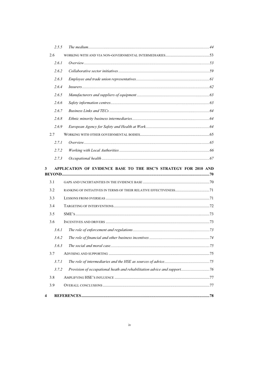| 2.5.5      |                                                                         |  |
|------------|-------------------------------------------------------------------------|--|
| 2.6        |                                                                         |  |
| 2.6.1      |                                                                         |  |
| 2.6.2      |                                                                         |  |
| 2.6.3      |                                                                         |  |
| 2.6.4      |                                                                         |  |
| 2.6.5      |                                                                         |  |
| 2.6.6      |                                                                         |  |
| 2.6.7      |                                                                         |  |
| 2.6.8      |                                                                         |  |
| 2.6.9      |                                                                         |  |
| 2.7        |                                                                         |  |
| 2.7.1      |                                                                         |  |
|            |                                                                         |  |
| 2.7.2      |                                                                         |  |
| 2.7.3<br>3 | APPLICATION OF EVIDENCE BASE TO THE HSC'S STRATEGY FOR 2010 AND         |  |
|            |                                                                         |  |
| 3.1        |                                                                         |  |
| 3.2        |                                                                         |  |
| 3.3        |                                                                         |  |
| 3.4        |                                                                         |  |
| 3.5        |                                                                         |  |
| 3.6        |                                                                         |  |
| 3.6.1      |                                                                         |  |
| 3.6.2      |                                                                         |  |
| 3.6.3      |                                                                         |  |
| 3.7        |                                                                         |  |
| 3.7.1      |                                                                         |  |
| 3.7.2      | Provision of occupational heath and rehabilitation advice and support76 |  |
| 3.8        |                                                                         |  |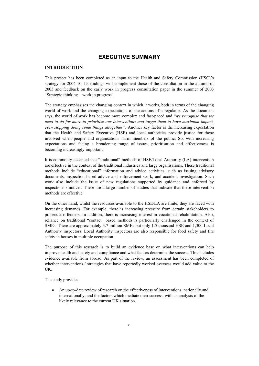#### **EXECUTIVE SUMMARY**

#### **INTRODUCTION**

This project has been completed as an input to the Health and Safety Commission (HSC)'s strategy for 2004-10. Its findings will complement those of the consultation in the autumn of 2003 and feedback on the early work in progress consultation paper in the summer of 2003 "Strategic thinking – work in progress".

The strategy emphasises the changing context in which it works, both in terms of the changing world of work and the changing expectations of the actions of a regulator. As the document says, the world of work has become more complex and fast-paced and "*we recognise that we need to do far more to prioritise our interventions and target them to have maximum impact, even stopping doing some things altogether"*. Another key factor is the increasing expectation that the Health and Safety Executive (HSE) and local authorities provide justice for those involved when people and organisations harm members of the public. So, with increasing expectations and facing a broadening range of issues, prioritisation and effectiveness is becoming increasingly important.

It is commonly accepted that "traditional" methods of HSE/Local Authority (LA) intervention are effective in the context of the traditional industries and large organisations. These traditional methods include "educational" information and advice activities, such as issuing advisory documents, inspection based advice and enforcement work, and accident investigation. Such work also include the issue of new regulations supported by guidance and enforced by inspections / notices. There are a large number of studies that indicate that these intervention methods are effective.

On the other hand, whilst the resources available to the HSE/LA are finite, they are faced with increasing demands. For example, there is increasing pressure from certain stakeholders to prosecute offenders. In addition, there is increasing interest in vocational rehabilitation. Also, reliance on traditional "contact" based methods is particularly challenged in the context of SMEs. There are approximately 3.7 million SMEs but only 1.5 thousand HSE and 1,300 Local Authority inspectors. Local Authority inspectors are also responsible for food safety and fire safety in houses in multiple occupation.

The purpose of this research is to build an evidence base on what interventions can help improve health and safety and compliance and what factors determine the success. This includes evidence available from abroad. As part of the review, an assessment has been completed of whether interventions / strategies that have reportedly worked overseas would add value to the UK.

The study provides:

An up-to-date review of research on the effectiveness of interventions, nationally and internationally, and the factors which mediate their success, with an analysis of the likely relevance to the current UK situation.  $\bullet$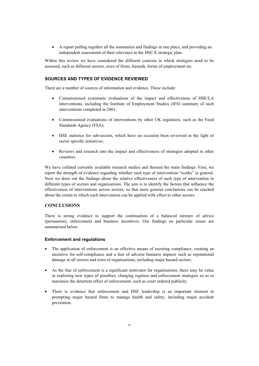• A report pulling together all the summaries and findings in one place, and providing an independent assessment of their relevance to the HSC/E strategic plan.

Within this review we have considered the different contexts in which strategies need to be assessed, such as different sectors, sizes of firms, hazards, forms of employment etc.

#### **SOURCES AND TYPES OF EVIDENCE REVIEWED**

There are a number of sources of information and evidence. These include:

- Commissioned systematic evaluations of the impact and effectiveness of HSE/LA interventions, including the Institute of Employment Studies (IES) summary of such interventions completed in 2001;
- Commissioned evaluations of interventions by other UK regulators, such as the Food Standards Agency (FSA);
- HSE statistics for sub-sectors, which have on occasion been reviewed in the light of sector specific initiatives;
- Reviews and research into the impact and effectiveness of strategies adopted in other countries.

We have collated currently available research studies and themed the main findings. First, we report the strength of evidence regarding whether each type of intervention "works" in general. Next we draw out the findings about the relative effectiveness of each type of intervention in different types of sectors and organisations. The aim is to identify the factors that influence the effectiveness of interventions across sectors, so that more general conclusions can be reached about the extent to which each intervention can be applied with effect to other sectors.

#### **CONCLUSIONS**

There is strong evidence to support the continuation of a balanced mixture of advice (persuasion), enforcement and business incentives. Our findings on particular issues are summarised below.

#### **Enforcement and regulations**

- The application of enforcement is an effective means of securing compliance, creating an incentive for self-compliance and a fear of adverse business impacts such as reputational damage in all sectors and sizes of organisations, including major hazard sectors.
- As the fear of enforcement is a significant motivator for organisations, there may be value in exploring new types of penalties, charging regimes and enforcement strategies so as to maximise the deterrent effect of enforcement, such as court ordered publicity.
- There is evidence that enforcement and HSE leadership is an important element in prompting major hazard firms to manage health and safety, including major accident prevention.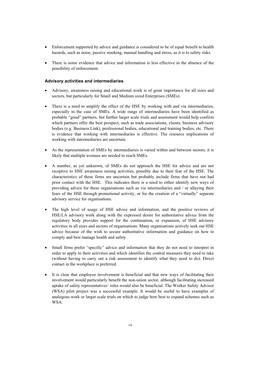- Enforcement supported by advice and guidance is considered to be of equal benefit to health hazards, such as noise, passive smoking, manual handling and stress, as it is to safety risks.
- There is some evidence that advice and information is less effective in the absence of the possibility of enforcement.

#### **Advisory activities and intermediaries**

- Advisory, awareness raising and educational work is of great importance for all sizes and sectors, but particularly for Small and Medium sized Enterprises (SMEs).
- There is a need to amplify the effect of the HSE by working with and via intermediaries, especially in the case of SMEs. A wide range of intermediaries have been identified as probable "good" partners, but further larger scale trials and assessment would help confirm which partners offer the best prospect, such as trade associations, clients, business advisory bodies (e.g. Business Link), professional bodies, educational and training bodies, etc. There is evidence that working with intermediaries is effective. The resource implications of working with intermediaries are uncertain.
- As the representation of SMEs by intermediaries is varied within and between sectors, it is likely that multiple avenues are needed to reach SMEs.
- A number, as yet unknown, of SMEs do not approach the HSE for advice and are not receptive to HSE awareness raising activities, possibly due to their fear of the HSE. The characteristics of these firms are uncertain but probably include firms that have not had prior contact with the HSE. This indicates there is a need to either identify new ways of providing advice for these organisations such as via intermediaries and / or allaying their fears of the HSE through promotional activity, or for the creation of a "virtually" separate advisory service for organisations.
- The high level of usage of HSE advice and information, and the positive reviews of HSE/LA advisory work along with the expressed desire for authoritative advice from the regulatory body provides support for the continuation, or expansion, of HSE advisory activities in all sizes and sectors of organisations. Many organisations actively seek out HSE advice because of the wish to secure authoritative information and guidance on how to comply and best manage health and safety.
- Small firms prefer "specific" advice and information that they do not need to interpret in order to apply to their activities and which identifies the control measures they need to take (without having to carry out a risk assessment to identify what they need to do). Direct contact in the workplace is preferred.
- It is clear that employee involvement is beneficial and that new ways of facilitating their involvement would particularly benefit the non-union sector, although facilitating increased uptake of safety representatives' roles would also be beneficial. The Worker Safety Advisor (WSA) pilot project was a successful example. It would be useful to have examples of analogous work or larger scale trials on which to judge how best to expand schemes such as WSA.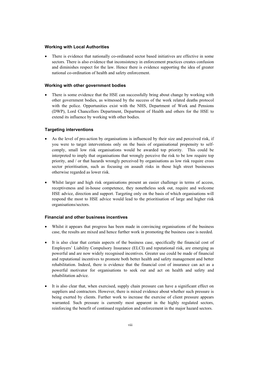#### **Working with Local Authorities**

There is evidence that nationally co-ordinated sector based initiatives are effective in some sectors. There is also evidence that inconsistency in enforcement practices creates confusion and diminishes respect for the law. Hence there is evidence supporting the idea of greater national co-ordination of health and safety enforcement.

#### **Working with other government bodies**

There is some evidence that the HSE can successfully bring about change by working with other government bodies, as witnessed by the success of the work related deaths protocol with the police. Opportunities exist with the NHS, Department of Work and Pensions (DWP), Lord Chancellors Department, Department of Health and others for the HSE to extend its influence by working with other bodies.

#### **Targeting interventions**

- As the level of pro-action by organisations is influenced by their size and perceived risk, if you were to target interventions only on the basis of organisational propensity to selfcomply, small low risk organisations would be awarded top priority. This could be interpreted to imply that organisations that wrongly perceive the risk to be low require top priority, and / or that hazards wrongly perceived by organisations as low risk require cross sector prioritisation, such as focusing on assault risks in those high street businesses otherwise regarded as lower risk.
- x Whilst larger and high risk organisations present an easier challenge in terms of access, receptiveness and in-house competence, they nonetheless seek out, require and welcome HSE advice, direction and support. Targeting only on the basis of which organisations will respond the most to HSE advice would lead to the prioritisation of large and higher risk organisations/sectors.

#### **Financial and other business incentives**

- x Whilst it appears that progress has been made in convincing organisations of the business case, the results are mixed and hence further work in promoting the business case is needed.
- It is also clear that certain aspects of the business case, specifically the financial cost of Employers' Liability Compulsory Insurance (ELCI) and reputational risk, are emerging as powerful and are now widely recognised incentives. Greater use could be made of financial and reputational incentives to promote both better health and safety management and better rehabilitation. Indeed, there is evidence that the financial cost of insurance can act as a powerful motivator for organisations to seek out and act on health and safety and rehabilitation advice.
- It is also clear that, when exercised, supply chain pressure can have a significant effect on suppliers and contractors. However, there is mixed evidence about whether such pressure is being exerted by clients. Further work to increase the exercise of client pressure appears warranted. Such pressure is currently most apparent in the highly regulated sectors, reinforcing the benefit of continued regulation and enforcement in the major hazard sectors.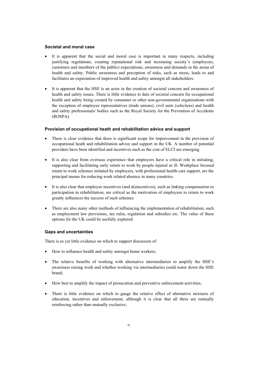#### **Societal and moral case**

- It is apparent that the social and moral case is important in many respects, including justifying regulations, creating reputational risk and increasing society's (employees, customers and members of the public) expectations, awareness and demands in the arena of health and safety. Public awareness and perception of risks, such as stress, leads to and facilitates an expectation of improved health and safety amongst all stakeholders.
- It is apparent that the HSE is an actor in the creation of societal concern and awareness of health and safety issues. There is little evidence to date of societal concern for occupational health and safety being created by consumer or other non-governmental organisations with the exception of employee representatives (trade unions), civil suits (solicitors) and health and safety professionals/ bodies such as the Royal Society for the Prevention of Accidents (ROSPA).

#### **Provision of occupational heath and rehabilitation advice and support**

- There is clear evidence that there is significant scope for improvement in the provision of occupational heath and rehabilitation advice and support in the UK. A number of potential providers have been identified and incentives such as the cost of ELCI are emerging.
- It is also clear from overseas experience that employers have a critical role in initiating, supporting and facilitating early return to work by people injured or ill. Workplace focused return to work schemes initiated by employers, with professional health care support, are the principal means for reducing work related absence in many countries.
- It is also clear that employee incentives (and disincentives), such as linking compensation to participation in rehabilitation, are critical as the motivation of employees to return to work greatly influences the success of such schemes.
- $\bullet$  There are also many other methods of influencing the implementation of rehabilitation, such as employment law provisions, tax rules, regulation and subsidies etc. The value of these options for the UK could be usefully explored.

#### **Gaps and uncertainties**

There is as yet little evidence on which to support discussion of:

- How to influence health and safety amongst home workers;
- The relative benefits of working with alternative intermediaries to amplify the HSE's awareness raising work and whether working via intermediaries could water down the HSE brand;
- How best to amplify the impact of prosecution and preventive enforcement activities;
- There is little evidence on which to gauge the relative effect of alternative mixtures of education, incentives and enforcement, although it is clear that all three are mutually reinforcing rather than mutually exclusive;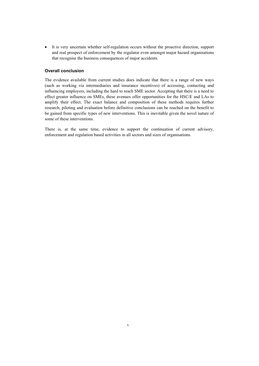x It is very uncertain whether self-regulation occurs without the proactive direction, support and real prospect of enforcement by the regulator even amongst major hazard organisations that recognise the business consequences of major accidents.

#### **Overall conclusion**

The evidence available from current studies does indicate that there is a range of new ways (such as working via intermediaries and insurance incentives) of accessing, contacting and influencing employers, including the hard to reach SME sector. Accepting that there is a need to effect greater influence on SMEs, these avenues offer opportunities for the HSC/E and LAs to amplify their effect. The exact balance and composition of these methods requires further research, piloting and evaluation before definitive conclusions can be reached on the benefit to be gained from specific types of new interventions. This is inevitable given the novel nature of some of these interventions.

There is, at the same time, evidence to support the continuation of current advisory, enforcement and regulation based activities in all sectors and sizes of organisations.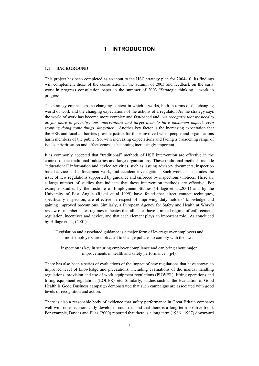#### **1 INTRODUCTION**

#### **1.1 BACKGROUND**

This project has been completed as an input to the HSC strategy plan for 2004-10. Its findings will complement those of the consultation in the autumn of 2003 and feedback on the early work in progress consultation paper in the summer of 2003 "Strategic thinking – work in progress".

The strategy emphasises the changing context in which it works, both in terms of the changing world of work and the changing expectations of the actions of a regulator. As the strategy says the world of work has become more complex and fast-paced and "*we recognise that we need to do far more to prioritise our interventions and target them to have maximum impact, even stopping doing some things altogether"*. Another key factor is the increasing expectation that the HSE and local authorities provide justice for those involved when people and organisations harm members of the public. So, with increasing expectations and facing a broadening range of issues, prioritisation and effectiveness is becoming increasingly important.

It is commonly accepted that "traditional" methods of HSE intervention are effective in the context of the traditional industries and large organisations. These traditional methods include "educational" information and advice activities, such as issuing advisory documents, inspection based advice and enforcement work, and accident investigation. Such work also includes the issue of new regulations supported by guidance and enforced by inspections / notices. There are a large number of studies that indicate that these intervention methods are effective. For example, studies by the Institute of Employment Studies (Hillage et al.,2001) and by the University of East Anglia (Rakel et al.,1999) have found that direct contact techniques, specifically inspection, are effective in respect of improving duty holders' knowledge and gaining improved precautions. Similarly, a European Agency for Safety and Health at Work's review of member states regimes indicates that all states have a mixed regime of enforcement, regulation, incentives and advice, and that each element plays an important role. As concluded by Hillage et al., (2001):

"Legislation and associated guidance is a major form of leverage over employers and most employers are motivated to change policies to comply with the law.

Inspection is key in securing employer compliance and can bring about major improvements in health and safety performance" (p4)

There has also been a series of evaluations of the impact of new regulations that have shown an improved level of knowledge and precautions, including evaluations of the manual handling regulations, provision and use of work equipment regulations (PUWER), lifting operations and lifting equipment regulations (LOLER), etc. Similarly, studies such as the Evaluation of Good Health is Good Business campaign demonstrated that such campaigns are associated with good levels of recognition and action.

There is also a reasonable body of evidence that safety performance in Great Britain compares well with other economically developed countries and that there is a long term positive trend. For example, Davies and Elias (2000) reported that there is a long term (1986 –1997) downward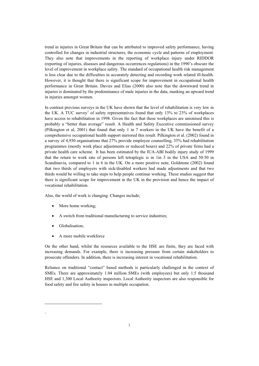trend in injuries in Great Britain that can be attributed to improved safety performance, having controlled for changes in industrial structures, the economic cycle and patterns of employment. They also note that improvements in the reporting of workplace injury under RIDDOR (reporting of injuries, diseases and dangerous occurrences regulations) in the 1990's obscure the level of improvement in workplace safety. The standard of occupational health risk management is less clear due to the difficulties in accurately detecting and recording work related ill-health. However, it is thought that there is significant scope for improvement in occupational health performance in Great Britain. Davies and Elias (2000) also note that the downward trend in injuries is dominated by the predominance of male injuries in the data, masking an upward trend in injuries amongst women.

In contrast previous surveys in the UK have shown that the level of rehabilitation is very low in the UK. A TUC survey<sup>1</sup> of safety representatives found that only 13% to 23% of workplaces have access to rehabilitation in 1998. Given the fact that these workplaces are unionised this is probably a "better than average" result. A Health and Safety Executive commissioned survey (Pilkington et al, 2001) that found that only 1 in 7 workers in the UK have the benefit of a comprehensive occupational health support mirrored this result. Pilkington et al. (2002) found in a survey of 4,930 organisations that 27% provide employee counselling, 35% had rehabilitation programmes (mostly work place adjustments or reduced hours) and 22% of private firms had a private health care scheme. It has been estimated by the IUA-ABI bodily injury study of 1999 that the return to work rate of persons left tetraplegic is in 1in 3 in the USA and 50:50 in Scandinavia, compared to 1 in 6 in the UK. On a more positive note, Goldstone (2002) found that two thirds of employers with sick/disabled workers had made adjustments and that two thirds would be willing to take steps to help people continue working. These studies suggest that there is significant scope for improvement in the UK in the provision and hence the impact of vocational rehabilitation.

Also, the world of work is changing. Changes include;

- More home working;
- A switch from traditional manufacturing to service industries;
- Globalisation;

1

 $\bullet$  A more mobile workforce

On the other hand, whilst the resources available to the HSE are finite, they are faced with increasing demands. For example, there is increasing pressure from certain stakeholders to prosecute offenders. In addition, there is increasing interest in vocational rehabilitation.

Reliance on traditional "contact" based methods is particularly challenged in the context of SMEs. There are approximately 1.04 million SMEs (with employees) but only 1.5 thousand HSE and 1,300 Local Authority inspectors. Local Authority inspectors are also responsible for food safety and fire safety in houses in multiple occupation.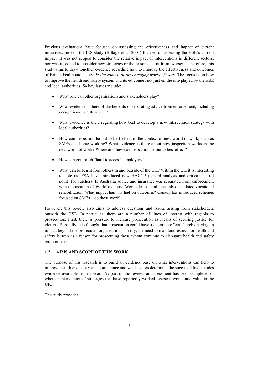Previous evaluations have focused on assessing the effectiveness and impact of current initiatives. Indeed, the IES study (Hillage et al, 2001) focused on assessing the HSE's current impact. It was not scoped to consider the relative impact of interventions in different sectors, nor was it scoped to consider new strategies or the lessons learnt from overseas. Therefore, this study aims to draw together evidence regarding how to improve the effectiveness and outcomes of British health and safety, *in the context of the changing world of work*. The focus is on how to improve the health and safety system and its outcomes, not just on the role played by the HSE and local authorities. So key issues include:

- What role can other organisations and stakeholders play?
- What evidence is there of the benefits of separating advice from enforcement, including occupational health advice?
- What evidence is there regarding how best to develop a new intervention strategy with local authorities?
- How can inspection be put to best effect in the context of new world of work, such as SMEs and home working? What evidence is there about how inspection works in the new world of work? Where and how can inspection be put to best effect?
- How can you reach "hard to access" employers?
- What can be learnt from others in and outside of the UK? Within the UK it is interesting to note the FSA have introduced new HACCP (hazard analysis and critical control point) for butchers. In Australia advice and insurance was separated from enforcement with the creation of WorkCover and Worksafe. Australia has also mandated vocational rehabilitation. What impact has this had on outcomes? Canada has introduced schemes focused on SMEs – do these work?

However, this review also aims to address questions and issues arising from stakeholders outwith the HSE. In particular, there are a number of lines of interest with regards to prosecution. First, there is pressure to increase prosecution as means of securing justice for victims. Secondly, it is thought that prosecution could have a deterrent effect, thereby having an impact beyond the prosecuted organisation. Thirdly, the need to maintain respect for health and safety is seen as a reason for prosecuting those whom continue to disregard health and safety requirements.

#### **1.2 AIMS AND SCOPE OF THIS WORK**

The purpose of this research is to build an evidence base on what interventions can help to improve health and safety and compliance and what factors determine the success. This includes evidence available from abroad. As part of the review, an assessment has been completed of whether interventions / strategies that have reportedly worked overseas would add value to the UK.

The study provides: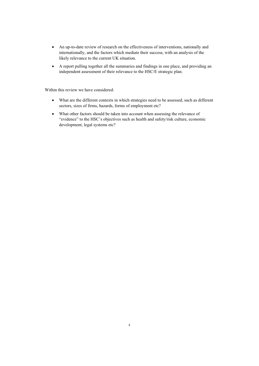- An up-to-date review of research on the effectiveness of interventions, nationally and internationally, and the factors which mediate their success, with an analysis of the likely relevance to the current UK situation.
- x A report pulling together all the summaries and findings in one place, and providing an independent assessment of their relevance to the HSC/E strategic plan.

Within this review we have considered:

- What are the different contexts in which strategies need to be assessed, such as different sectors, sizes of firms, hazards, forms of employment etc?
- What other factors should be taken into account when assessing the relevance of "evidence" to the HSC's objectives such as health and safety/risk culture, economic development, legal systems etc?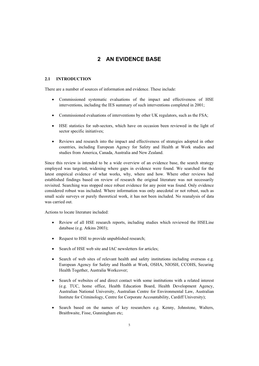### **2 AN EVIDENCE BASE**

#### **2.1 INTRODUCTION**

There are a number of sources of information and evidence. These include:

- x Commissioned systematic evaluations of the impact and effectiveness of HSE interventions, including the IES summary of such interventions completed in 2001;
- Commissioned evaluations of interventions by other UK regulators, such as the FSA;
- HSE statistics for sub-sectors, which have on occasion been reviewed in the light of sector specific initiatives;
- Reviews and research into the impact and effectiveness of strategies adopted in other countries, including European Agency for Safety and Health at Work studies and studies from America, Canada, Australia and New Zealand.

Since this review is intended to be a wide overview of an evidence base, the search strategy employed was targeted, widening where gaps in evidence were found. We searched for the latest empirical evidence of what works, why, where and how. Where other reviews had established findings based on review of research the original literature was not necessarily revisited. Searching was stopped once robust evidence for any point was found. Only evidence considered robust was included. Where information was only anecdotal or not robust, such as small scale surveys or purely theoretical work, it has not been included. No reanalysis of data was carried out.

Actions to locate literature included:

- Review of all HSE research reports, including studies which reviewed the HSELine database (e.g. Atkins 2003);
- Request to HSE to provide unpublished research;
- Search of HSE web site and IAC newsletters for articles;
- Search of web sites of relevant health and safety institutions including overseas e.g. European Agency for Safety and Health at Work, OSHA, NIOSH, CCOHS, Securing Health Together, Australia Workcover;
- Search of websites of and direct contact with some institutions with a related interest (e.g. TUC, home office, Health Education Board, Health Development Agency, Australian National University, Australian Centre for Environmental Law, Australian Institute for Criminology, Centre for Corporate Accountability, Cardiff University);
- Search based on the names of key researchers e.g. Kenny, Johnstone, Walters, Braithwaite, Fisse, Gunningham etc;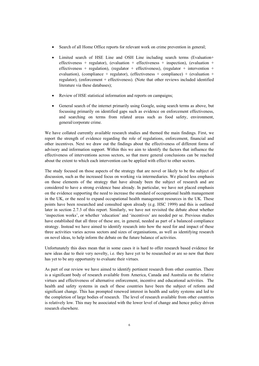- Search of all Home Office reports for relevant work on crime prevention in general;
- Limited search of HSE Line and OSH Line including search terms (Evaluation+ effectiveness + regulator), (evaluation + effectiveness + inspection), (evaluation + effectiveness + regulation), (regulator + effectiveness), (regulator + intervention + evaluation), (compliance + regulator), (effectiveness + compliance) + (evaluation + regulator), (enforcement + effectiveness). (Note that other reviews included identified literature via these databases);
- Review of HSE statistical information and reports on campaigns;
- General search of the internet primarily using Google, using search terms as above, but focussing primarily on identified gaps such as evidence on enforcement effectiveness, and searching on terms from related areas such as food safety, environment, general/corporate crime.

We have collated currently available research studies and themed the main findings. First, we report the strength of evidence regarding the role of regulations, enforcement, financial and other incentives. Next we draw out the findings about the effectiveness of different forms of advisory and information support. Within this we aim to identify the factors that influence the effectiveness of interventions across sectors, so that more general conclusions can be reached about the extent to which each intervention can be applied with effect to other sectors.

The study focused on those aspects of the strategy that are novel or likely to be the subject of discussion, such as the increased focus on working via intermediaries. We placed less emphasis on those elements of the strategy that have already been the subject of research and are considered to have a strong evidence base already. In particular, we have not placed emphasis on the evidence supporting the need to increase the standard of occupational health management in the UK, or the need to expand occupational health management resources in the UK. These points have been researched and consulted upon already (e.g. HSC 1999) and this is outlined later in section 2.7.3 of this report. Similarly, we have not revisited the debate about whether 'inspection works', or whether 'education' and 'incentives' are needed per se. Previous studies have established that all three of these are, in general, needed as part of a balanced compliance strategy. Instead we have aimed to identify research into how the need for and impact of these three activities varies across sectors and sizes of organisations, as well as identifying research on novel ideas, to help inform the debate on the future balance of activities.

Unfortunately this does mean that in some cases it is hard to offer research based evidence for new ideas due to their very novelty, i.e. they have yet to be researched or are so new that there has yet to be any opportunity to evaluate their virtues.

As part of our review we have aimed to identify pertinent research from other countries. There is a significant body of research available from America, Canada and Australia on the relative virtues and effectiveness of alternative enforcement, incentive and educational activities. The health and safety systems in each of these countries have been the subject of reform and significant change. This has prompted renewed interest in health and safety systems and led to the completion of large bodies of research. The level of research available from other countries is relatively low. This may be associated with the lower level of change and hence policy driven research elsewhere.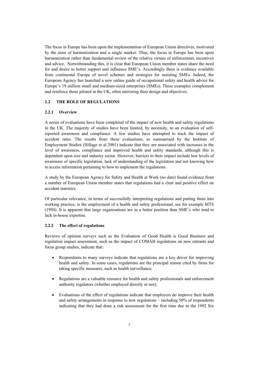The focus in Europe has been upon the implementation of European Union directives, motivated by the aims of harmonization and a single market. Thus, the focus in Europe has been upon harmonization rather than fundamental review of the relative virtues of enforcement, incentives and advice. Notwithstanding this, it is clear that European Union member states share the need for and desire to better support and influence SME's. Accordingly there is evidence available from continental Europe of novel schemes and strategies for assisting SMEs. Indeed, the European Agency has launched a new online guide of occupational safety and health advice for Europe's 19 million small and medium-sized enterprises (SMEs). These examples complement and reinforce those piloted in the UK, often mirroring their design and objectives.

#### **2.2 THE ROLE OF REGULATIONS**

#### **2.2.1 Overview**

A series of evaluations have been completed of the impact of new health and safety regulations in the UK. The majority of studies have been limited, by necessity, to an evaluation of selfreported awareness and compliance. A few studies have attempted to track the impact of accident rates. The results from these evaluations, as summarised by the Institute of Employment Studies (Hillage et al 2001) indicate that they are associated with increases in the level of awareness, compliance and improved health and safety standards, although this is dependent upon size and industry sector. However, barriers to their impact include low levels of awareness of specific legislation, lack of understanding of the legislation and not knowing how to access information pertaining to how to implement the regulations.

A study by the European Agency for Safety and Health at Work (no date) found evidence from a number of European Union member states that regulations had a clear and positive effect on accident statistics.

Of particular relevance, in terms of successfully interpreting regulations and putting them into working practice, is the employment of a health and safety professional, see for example MTS (1994). It is apparent that large organisations are in a better position than SME's who tend to lack in-house expertise.

#### **2.2.2 The effect of regulations**

Reviews of opinion surveys such as the Evaluation of Good Health is Good Business and regulation impact assessment, such as the impact of COMAH regulations on new entrants and focus group studies, indicate that:

- x Respondents to many surveys indicate that regulations are a key driver for improving health and safety. In some cases, regulations are the principal reason cited by firms for taking specific measures, such as health surveillance;
- Regulations are a valuable resource for health and safety professionals and enforcement authority regulators (whether employed directly or not);
- Evaluations of the effect of regulations indicate that employers do improve their health and safety arrangements in response to new regulations – including 50% of respondents indicating that they had done a risk assessment for the first time due to the 1992 Six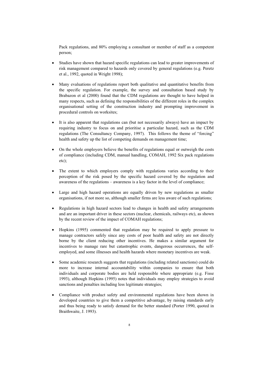Pack regulations, and 80% employing a consultant or member of staff as a competent person;

- Studies have shown that hazard specific regulations can lead to greater improvements of risk management compared to hazards only covered by general regulations (e.g. Peretz et al., 1992, quoted in Wright 1998);
- Many evaluations of regulations report both qualitative and quantitative benefits from the specific regulation. For example, the survey and consultation based study by Brabazon et al (2000) found that the CDM regulations are thought to have helped in many respects, such as defining the responsibilities of the different roles in the complex organisational setting of the construction industry and prompting improvement in procedural controls on worksites;
- It is also apparent that regulations can (but not necessarily always) have an impact by requiring industry to focus on and prioritise a particular hazard, such as the CDM regulations (The Consultancy Company, 1997). This follows the theme of "forcing" health and safety up the list of competing demands on management time;
- On the whole employers believe the benefits of regulations equal or outweigh the costs of compliance (including CDM, manual handling, COMAH, 1992 Six pack regulations etc);
- The extent to which employers comply with regulations varies according to their perception of the risk posed by the specific hazard covered by the regulation and awareness of the regulations – awareness is a key factor in the level of compliance;
- Large and high hazard operations are equally driven by new regulations as smaller organisations, if not more so, although smaller firms are less aware of such regulations;
- Regulations in high hazard sectors lead to changes in health and safety arrangements and are an important driver in these sectors (nuclear, chemicals, railways etc), as shown by the recent review of the impact of COMAH regulations;
- Hopkins (1995) commented that regulation may be required to apply pressure to manage contractors safely since any costs of poor health and safety are not directly borne by the client reducing other incentives. He makes a similar argument for incentives to manage rare but catastrophic events, dangerous occurrences, the selfemployed, and some illnesses and health hazards where monetary incentives are weak.
- Some academic research suggests that regulations (including related sanctions) could do more to increase internal accountability within companies to ensure that both individuals and corporate bodies are held responsible where appropriate (e.g. Fisse 1993), although Hopkins (1995) notes that individuals may employ strategies to avoid sanctions and penalties including less legitimate strategies;
- Compliance with product safety and environmental regulations have been shown in developed countries to give them a competitive advantage, by raising standards early and thus being ready to satisfy demand for the better standard (Porter 1990, quoted in Braithwaite, J. 1993).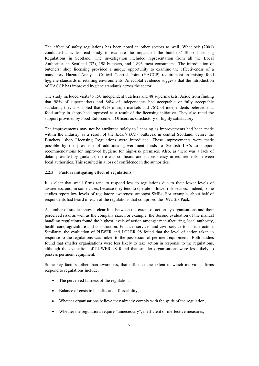The effect of safety regulations has been noted in other sectors as well. Wheelock (2001) conducted a widespread study to evaluate the impact of the butchers' Shop Licensing Regulations in Scotland. The investigation included representation from all the Local Authorities in Scotland (32), 198 butchers, and 1,893 meat consumers. The introduction of butchers' shop licensing provided a unique opportunity to examine the effectiveness of a mandatory Hazard Analysis Critical Control Point (HACCP) requirement in raising food hygiene standards in retailing environments. Anecdotal evidence suggests that the introduction of HACCP has improved hygiene standards across the sector.

The study included visits to 150 independent butchers and 48 supermarkets. Aside from finding that 98% of supermarkets and 86% of independents had acceptable or fully acceptable standards, they also noted that 49% of supermarkets and 76% of independents believed that food safety in shops had improved as a result of the licensing initiative. They also rated the support provided by Food Enforcement Officers as satisfactory or highly satisfactory.

The improvements may not be attributed solely to licensing as improvements had been made within the industry as a result of the *E.Coli O157* outbreak in central Scotland, before the Butchers' shop Licensing Regulations were introduced. These improvements were made possible by the provision of additional government funds to Scottish LA's to support recommendations for improved hygiene for high-risk premises. Also, as there was a lack of detail provided by guidance, there was confusion and inconsistency in requirements between local authorities. This resulted in a loss of confidence in the authorities.

#### **2.2.3 Factors mitigating effect of regulations**

It is clear that small firms tend to respond less to regulations due to their lower levels of awareness, and, in some cases, because they tend to operate in lower risk sectors. Indeed, some studies report low levels of regulatory awareness amongst SMEs. For example, about half of respondents had heard of each of the regulations that comprised the 1992 Six Pack.

A number of studies show a clear link between the extent of action by organisations and their perceived risk, as well as the company size. For example, the Second evaluation of the manual handling regulations found the highest levels of action amongst manufacturing, local authority, health care, agriculture and construction. Finance, services and civil service took least action. Similarly, the evaluation of PUWER and LOLER 98 found that the level of action taken in response to the regulations was linked to the possession of pertinent equipment. Both studies found that smaller organisations were less likely to take action in response to the regulations, although the evaluation of PUWER 98 found that smaller organisations were less likely to possess pertinent equipment.

Some key factors, other than awareness, that influence the extent to which individual firms respond to regulations include;

- $\bullet$  The perceived fairness of the regulation;
- Balance of costs to benefits and affordability;
- Whether organisations believe they already comply with the spirit of the regulation;
- x Whether the regulations require "unnecessary", inefficient or ineffective measures;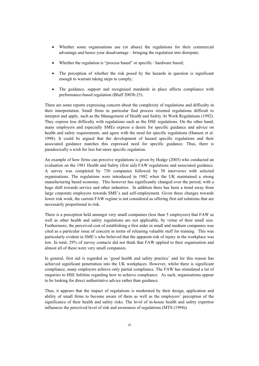- Whether some organisations use (or abuse) the regulations for their commercial advantage and hence your disadvantage – bringing the regulation into disrepute;
- Whether the regulation is "process based" or specific / hardware based;
- The perception of whether the risk posed by the hazards in question is significant enough to warrant taking steps to comply;
- The guidance, support and recognised standards in place affects compliance with performance-based regulation (Bluff 2003b:25).

There are some reports expressing concern about the complexity of regulations and difficulty in their interpretation. Small firms in particular find process oriented regulations difficult to interpret and apply, such as the Management of Health and Safety At Work Regulations (1992). They express less difficulty with regulations such as the DSE regulations. On the other hand, many employers and especially SMEs express a desire for specific guidance and advice on health and safety requirements, and agree with the need for specific regulations (Hanson et al. 1998). It could be argued that the development of hazard specific regulations and their associated guidance matches this expressed need for specific guidance. Thus, there is paradoxically a wish for less but more specific regulation.

An example of how firms can perceive regulations is given by Hodge (2003) who conducted an evaluation on the 1981 Health and Safety (first aid) FAW regulations and associated guidance. A survey was completed by 730 companies followed by 30 interviews with selected organisations. The regulations were introduced in 1982 when the UK maintained a strong manufacturing based economy. This however has significantly changed over the period, with a huge shift towards service and other industries. In addition there has been a trend away from large corporate employers towards SME's and self-employment. Given these changes towards lower risk work, the current FAW regime is not considered as offering first aid solutions that are necessarily proportional to risk.

There is a perception held amongst very small companies (less than 5 employees) that FAW as well as other health and safety regulations are not applicable, by virtue of their small size. Furthermore, the perceived cost of establishing a first aider in small and medium companies was cited as a particular issue of concern in terms of releasing valuable staff for training. This was particularly evident in SME's who believed that the apparent risk of injury in the workplace was low. In total, 29% of survey contacts did not think that FAW applied to their organisation and almost all of these were very small companies.

In general, first aid is regarded as 'good health and safety practice' and for this reason has achieved significant penetration into the UK workplaces. However, whilst there is significant compliance, many employers achieve only partial compliance. The FAW has stimulated a lot of enquiries to HSE Infoline regarding how to achieve compliance. As such, organisations appear to be looking for direct authoritative advice rather than guidance.

Thus, it appears that the impact of regulations is moderated by their design, application and ability of small firms to become aware of them as well as the employers' perception of the significance of their health and safety risks. The level of in-house health and safety expertise influences the perceived level of risk and awareness of regulations (MTS (1994)).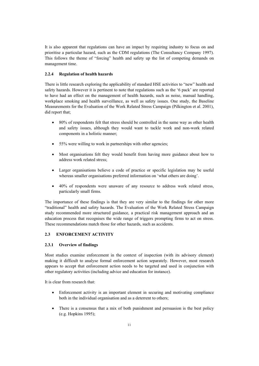It is also apparent that regulations can have an impact by requiring industry to focus on and prioritise a particular hazard, such as the CDM regulations (The Consultancy Company 1997). This follows the theme of "forcing" health and safety up the list of competing demands on management time.

#### **2.2.4 Regulation of health hazards**

There is little research exploring the applicability of standard HSE activities to "new" health and safety hazards. However it is pertinent to note that regulations such as the '6 pack' are reported to have had an effect on the management of health hazards, such as noise, manual handling, workplace smoking and health surveillance, as well as safety issues. One study, the Baseline Measurements for the Evaluation of the Work Related Stress Campaign (Pilkington et al. 2001), did report that;

- 80% of respondents felt that stress should be controlled in the same way as other health and safety issues, although they would want to tackle work and non-work related components in a holistic manner;
- 55% were willing to work in partnerships with other agencies;
- Most organisations felt they would benefit from having more guidance about how to address work related stress;
- Larger organisations believe a code of practice or specific legislation may be useful whereas smaller organisations preferred information on 'what others are doing'.
- x 40% of respondents were unaware of any resource to address work related stress, particularly small firms.

The importance of these findings is that they are very similar to the findings for other more "traditional" health and safety hazards. The Evaluation of the Work Related Stress Campaign study recommended more structured guidance, a practical risk management approach and an education process that recognises the wide range of triggers prompting firms to act on stress. These recommendations match those for other hazards, such as accidents.

#### **2.3 ENFORCEMENT ACTIVITY**

#### **2.3.1 Overview of findings**

Most studies examine enforcement in the context of inspection (with its advisory element) making it difficult to analyse formal enforcement action separately. However, most research appears to accept that enforcement action needs to be targeted and used in conjunction with other regulatory activities (including advice and education for instance).

It is clear from research that:

- Enforcement activity is an important element in securing and motivating compliance both in the individual organisation and as a deterrent to others;
- There is a consensus that a mix of both punishment and persuasion is the best policy (e.g. Hopkins 1995);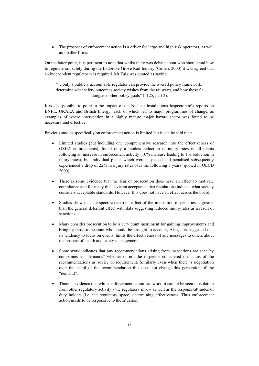• The prospect of enforcement action is a driver for large and high risk operators, as well as smaller firms.

On the latter point, it is pertinent to note that whilst there was debate about who should and how to regulate rail safety during the Ladbroke Grove Rail Inquiry (Cullen, 2000) it was agreed that an independent regulator was required. Mr Taig was quoted as saying:

"…only a publicly accountable regulator can provide the overall policy framework, determine what safety outcomes society wishes from the railways, and how these fit alongside other policy goals" (p125, part 2).

It is also possible to point to the impact of the Nuclear Installations Inspectorate's reports on BNFL, UKAEA and British Energy, each of which led to major programmes of change, as examples of where intervention in a highly mature major hazard sector was found to be necessary and effective.

Previous studies specifically on enforcement action is limited but it can be said that:

- Limited studies (but including one comprehensive research into the effectiveness of OSHA enforcements), found only a modest reduction in injury rates in all plants following an increase in enforcement activity (10% increase leading to 1% reduction in injury rates), but individual plants which were inspected and penalised subsequently experienced a drop of 22% in injury rates over the following 3 years (quoted in OECD 2000);
- There is some evidence that the fear of prosecution does have an effect to motivate compliance and for many this is via an acceptance that regulations indicate what society considers acceptable standards. However this does not have an effect across the board;
- x Studies show that the specific deterrent effect of the imposition of penalties is greater than the general deterrent effect with data suggesting reduced injury rates as a result of sanctions;
- Many consider prosecution to be a very blunt instrument for gaining improvements and bringing those to account who should be brought to account, Also, it is suggested that its tendency to focus on events, limits the effectiveness of any messages to others about the process of health and safety management;
- Some work indicates that any recommendations arising from inspections are seen by companies as "demands" whether or not the inspector considered the status of the recommendations as advice or requirement. Similarly even when there is negotiation over the detail of the recommendation this does not change this perception of the "demand".
- There is evidence that whilst enforcement action can work, it cannot be seen in isolation from other regulatory activity - the regulatory mix – as well as the response/attitudes of duty holders (i.e. the regulatory space) determining effectiveness. Thus enforcement action needs to be responsive to the situation;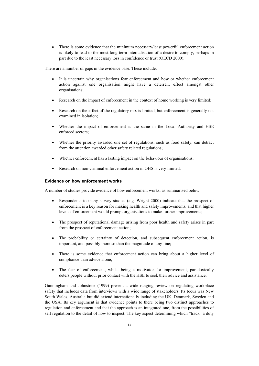There is some evidence that the minimum necessary/least powerful enforcement action is likely to lead to the most long-term internalisation of a desire to comply, perhaps in part due to the least necessary loss in confidence or trust (OECD 2000).

There are a number of gaps in the evidence base. These include:

- It is uncertain why organisations fear enforcement and how or whether enforcement action against one organisation might have a deterrent effect amongst other organisations;
- Research on the impact of enforcement in the context of home working is very limited;
- Research on the effect of the regulatory mix is limited, but enforcement is generally not examined in isolation;
- Whether the impact of enforcement is the same in the Local Authority and HSE enforced sectors;
- x Whether the priority awarded one set of regulations, such as food safety, can detract from the attention awarded other safety related regulations;
- Whether enforcement has a lasting impact on the behaviour of organisations;
- Research on non-criminal enforcement action in OHS is very limited.

#### **Evidence on how enforcement works**

A number of studies provide evidence of how enforcement works, as summarised below.

- Respondents to many survey studies (e.g. Wright 2000) indicate that the prospect of enforcement is a key reason for making health and safety improvements, and that higher levels of enforcement would prompt organisations to make further improvements;
- The prospect of reputational damage arising from poor health and safety arises in part from the prospect of enforcement action;
- The probability or certainty of detection, and subsequent enforcement action, is important, and possibly more so than the magnitude of any fine;
- There is some evidence that enforcement action can bring about a higher level of compliance than advice alone;
- The fear of enforcement, whilst being a motivator for improvement, paradoxically deters people without prior contact with the HSE to seek their advice and assistance.

Gunningham and Johnstone (1999) present a wide ranging review on regulating workplace safety that includes data from interviews with a wide range of stakeholders. Its focus was New South Wales, Australia but did extend internationally including the UK, Denmark, Sweden and the USA. Its key argument is that evidence points to there being two distinct approaches to regulation and enforcement and that the approach is an integrated one, from the possibilities of self regulation to the detail of how to inspect. The key aspect determining which "track" a duty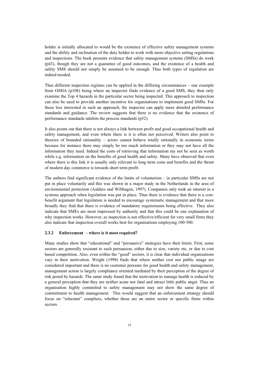holder is initially allocated to would be the existence of effective safety management systems and the ability and inclination of the duty holder to work with more objective setting regulations and inspections. The book presents evidence that safety management systems (SMSs) do work (p43), though they are not a guarantee of good outcomes, and the existence of a health and safety SMS should not simply be assumed to be enough. Thus both types of regulation are indeed needed.

Thus different inspection regimes can be applied in the differing circumstances – one example from OSHA (p108) being where an inspector finds evidence of a good SMS, they then only examine the Top 4 hazards in the particular sector being inspected. This approach to inspection can also be used to provide another incentive for organisations to implement good SMSs. For those less interested in such an approach, the inspector can apply more detailed performance standards and guidance. The review suggests that there is no evidence that the existence of performance standards inhibits the process standards (p52).

It also points out that there is not always a link between profit and good occupational health and safety management, and even where there is it is often not perceived. Writers also point to theories of bounded rationality – actors cannot behave totally rationally in economic terms because for instance there may simply be too much information or they may not have all the information they need. Indeed the costs of retrieving that information my not be seen as worth while e.g. information on the benefits of good health and safety. Many have observed that even where there is this link it is usually only relevant to long term costs and benefits and the thrust of modern day commerce is towards short term profit.

The authors find significant evidence of the limits of voluntarism – in particular SMSs are not put in place voluntarily and this was shown in a major study in the Netherlands in the area of environmental protection (Aalders and Wilthagen, 1997). Companies only took an interest in a systems approach when legislation was put in place. Thus there is evidence that there is a costbenefit argument that legislation is needed to encourage systematic management and that more broadly they find that there is evidence of mandatory requirements being effective. They also indicate that SMEs are most impressed by authority and that this could be one explanation of why inspection works. However, as inspection is not effective/efficient for very small firms they also indicate that inspection overall works best for organisations employing 100-500.

#### **2.3.2 Enforcement – where is it most required?**

Many studies show that "educational" and "persuasive" strategies have their limits. First, some sectors are generally resistant to such persuasion, either due to size, variety etc, or due to cost based competition. Also, even within the "good" sectors, it is clear that individual organisations vary in their motivation. Wright (1998) finds that where neither cost nor public image are considered important and there is no customer pressure for good health and safety management, management action is largely compliance oriented mediated by their perception of the degree of risk posed by hazards. The same study found that the motivation to manage health is reduced by a general perception that they are neither acute nor fatal and attract little public angst. Thus an organisation highly committed to safety management may not show the same degree of commitment to health management. This would suggest that an enforcement strategy should focus on "reluctant" compliers, whether these are an entire sector or specific firms within sectors.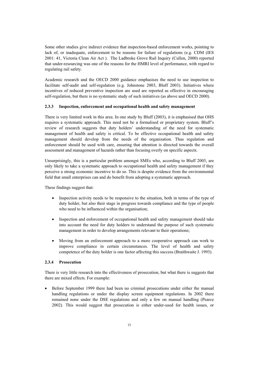Some other studies give indirect evidence that inspection-based enforcement works, pointing to lack of, or inadequate, enforcement to be reasons for failure of regulations (e.g. CDM (IES 2001: 41, Victoria Clean Air Act ). The Ladbroke Grove Rail Inquiry (Cullen, 2000) reported that under-resourcing was one of the reasons for the HMRI level of performance, with regard to regulating rail safety.

Academic research and the OECD 2000 guidance emphasises the need to use inspection to facilitate self-audit and self-regulation (e.g. Johnstone 2003, Bluff 2003). Initiatives where incentives of reduced preventive inspection are used are reported as effective in encouraging self-regulation, but there is no systematic study of such initiatives (as above and OECD 2000).

#### **2.3.3 Inspection, enforcement and occupational health and safety management**

There is very limited work in this area. In one study by Bluff (2003), it is emphasised that OHS requires a systematic approach. This need not be a formalised or proprietary system. Bluff's review of research suggests that duty holders' understanding of the need for systematic management of health and safety is critical. To be effective occupational health and safety management should develop from the needs of the organisation. Thus regulation and enforcement should be used with care, ensuring that attention is directed towards the overall assessment and management of hazards rather than focusing overly on specific aspects.

Unsurprisingly, this is a particular problem amongst SMEs who, according to Bluff 2003, are only likely to take a systematic approach to occupational health and safety management if they perceive a strong economic incentive to do so. This is despite evidence from the environmental field that small enterprises can and do benefit from adopting a systematic approach.

These findings suggest that:

- Inspection activity needs to be responsive to the situation, both in terms of the type of duty holder, but also their stage in progress towards compliance and the type of people who need to be influenced within the organisation;
- Inspection and enforcement of occupational health and safety management should take into account the need for duty holders to understand the purpose of such systematic management in order to develop arrangements relevant to their operations;
- Moving from an enforcement approach to a more cooperative approach can work to improve compliance in certain circumstances. The level of health and safety competence of the duty holder is one factor affecting this success (Braithwaite J. 1993).

#### **2.3.4 Prosecution**

There is very little research into the effectiveness of prosecution, but what there is suggests that there are mixed effects. For example:

Before September 1999 there had been no criminal prosecutions under either the manual handling regulations or under the display screen equipment regulations. In 2002 there remained none under the DSE regulations and only a few on manual handling (Pearce 2002). This would suggest that prosecution is either under-used for health issues, or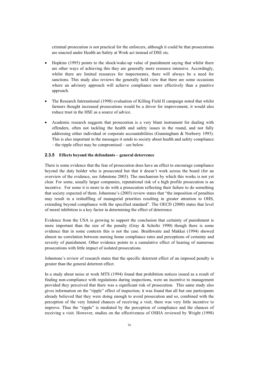criminal prosecution is not practical for the enforcers, although it could be that prosecutions are enacted under Health an Safety at Work act instead of DSE etc.

- Hopkins (1995) points to the shock/wake-up value of punishment saying that whilst there are other ways of achieving this they are generally more resource intensive. Accordingly, whilst there are limited resources for inspectorates, there will always be a need for sanctions. This study also reviews the generally held view that there are some occasions where an advisory approach will achieve compliance more effectively than a punitive approach.
- x The Research International (1998) evaluation of Killing Field II campaign noted that whilst farmers thought increased prosecutions would be a driver for improvement, it would also reduce trust in the HSE as a source of advice.
- Academic research suggests that prosecution is a very blunt instrument for dealing with offenders, often not tackling the health and safety issues in the round, and not fully addressing either individual or corporate accountabilities (Gunningham & Norberry 1993). This is also important in the messages it sends to society about health and safety compliance – the ripple effect may be compromised – see below.

#### **2.3.5 Effects beyond the defendants – general deterrence**

There is some evidence that the fear of prosecution does have an effect to encourage compliance beyond the duty holder who is prosecuted but that it doesn't work across the board (for an overview of the evidence, see Johnstone 2003). The mechanism by which this works is not yet clear. For some, usually larger companies, reputational risk of a high profile prosecution is an incentive. For some it is more to do with a prosecution reflecting their failure to do something that society expected of them. Johnstone's (2003) review states that "the imposition of penalties may result in a reshuffling of managerial priorities resulting in greater attention to OHS, extending beyond compliance with the specified standard". The OECD (2000) states that level of moral inhibition is a key factor in determining the effect of deterrence.

Evidence from the USA is growing to support the conclusion that certainty of punishment is more important than the size of the penalty (Gray  $\&$  Scholtz 1990) though there is some evidence that in some contexts this is not the case. Braithwaite and Makkai (1994) showed almost no correlation between nursing home compliance rates and perceptions of certainty and severity of punishment. Other evidence points to a cumulative effect of hearing of numerous prosecutions with little impact of isolated prosecutions.

Johnstone's review of research states that the specific deterrent effect of an imposed penalty is greater than the general deterrent effect.

In a study about noise at work MTS (1994) found that prohibition notices issued as a result of finding non-compliance with regulations during inspections, were an incentive to management provided they perceived that there was a significant risk of prosecution. This same study also gives information on the "ripple" effect of inspection; it was found that all but one participants already believed that they were doing enough to avoid prosecution and so, combined with the perception of the very limited chances of receiving a visit, there was very little incentive to improve. Thus the "ripple" is mediated by the perception of compliance and the chances of receiving a visit. However, studies on the effectiveness of OSHA reviewed by Wright (1998)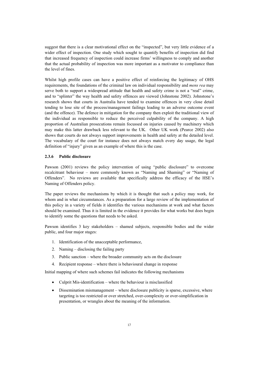suggest that there is a clear motivational effect on the "inspected", but very little evidence of a wider effect of inspection. One study which sought to quantify benefits of inspection did find that increased frequency of inspection could increase firms' willingness to comply and another that the actual probability of inspection was more important as a motivator to compliance than the level of fines.

Whilst high profile cases can have a positive effect of reinforcing the legitimacy of OHS requirements, the foundations of the criminal law on individual responsibility and *mens rea* may serve both to support a widespread attitude that health and safety crime is not a "real" crime, and to "splinter" the way health and safety offences are viewed (Johnstone 2002). Johnstone's research shows that courts in Australia have tended to examine offences in very close detail tending to lose site of the process/management failings leading to an adverse outcome event (and the offence). The defence in mitigation for the company then exploit the traditional view of the individual as responsible to reduce the perceived culpability of the company. A high proportion of Australian prosecutions remain focussed on injuries caused by machinery which may make this latter drawback less relevant to the UK. Other UK work (Pearce 2002) also shows that courts do not always support improvements in health and safety at the detailed level. The vocabulary of the court for instance does not always match every day usage, the legal definition of "injury" given as an example of where this is the case.

#### **2.3.6 Public disclosure**

Pawson (2001) reviews the policy intervention of using "public disclosure" to overcome recalcitrant behaviour – more commonly known as "Naming and Shaming" or "Naming of Offenders". No reviews are available that specifically address the efficacy of the HSE's Naming of Offenders policy.

The paper reviews the mechanisms by which it is thought that such a policy may work, for whom and in what circumstances. As a preparation for a large review of the implementation of this policy in a variety of fields it identifies the various mechanisms at work and what factors should be examined. Thus it is limited in the evidence it provides for what works but does begin to identify some the questions that needs to be asked.

Pawson identifies 3 key stakeholders – shamed subjects, responsible bodies and the wider public, and four major stages:

- 1. Identification of the unacceptable performance,
- 2. Naming disclosing the failing party
- 3. Public sanction where the broader community acts on the disclosure
- 4. Recipient response where there is behavioural change in response

Initial mapping of where such schemes fail indicates the following mechanisms

- $\bullet$  Culprit Mis-identification where the behaviour is misclassified
- $\bullet$  Dissemination mismanagement where disclosure publicity is sparse, excessive, where targeting is too restricted or over stretched, over-complexity or over-simplification in presentation, or wrangles about the meaning of the information.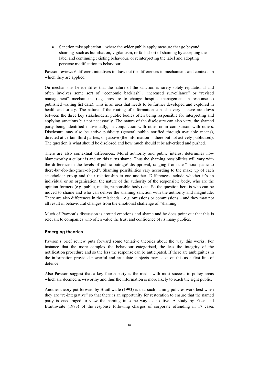$\bullet$  Sanction misapplication – where the wider public apply measure that go beyond shaming such as humiliation, vigilantism, or falls short of shaming by accepting the label and continuing existing behaviour, or reinterpreting the label and adopting perverse modification to behaviour.

Pawson reviews 6 different initiatives to draw out the differences in mechanisms and contexts in which they are applied.

On mechanisms he identifies that the nature of the sanction is rarely solely reputational and often involves some sort of "economic backlash", "increased surveillance" or "revised management" mechanisms (e.g. pressure to change hospital management in response to published waiting list data). This is an area that needs to be further developed and explored in health and safety. The nature of the routing of information can also vary – there are flows between the three key stakeholders, public bodies often being responsible for interpreting and applying sanctions but not necessarily. The nature of the disclosure can also vary, the shamed party being identified individually, in conjunction with other or in comparison with others. Disclosure may also be active publicity (general public notified through available means), directed at certain third parties, or passive (the information is there but not actively publicised). The question is what should be disclosed and how much should it be advertised and pushed.

There are also contextual differences. Moral authority and public interest determines how blameworthy a culprit is and on this turns shame. Thus the shaming possibilities will vary with the difference in the levels of public outrage/ disapproval, ranging from the "moral panic to there-but-for-the-grace-of-god". Shaming possibilities vary according to the make up of each stakeholder group and their relationship to one another. Differences include whether it's an individual or an organisation, the nature of the authority of the responsible body, who are the opinion formers (e.g. public, media, responsible body) etc. So the question here is who can be moved to shame and who can deliver the shaming sanction with the authority and magnitude. There are also differences in the misdeeds  $- e.g.$  omissions or commissions  $-$  and they may not all result in behavioural changes from the emotional challenge of "shaming".

Much of Pawson's discussion is around emotions and shame and he does point out that this is relevant to companies who often value the trust and confidence of its many publics.

#### **Emerging theories**

Pawson's brief review puts forward some tentative theories about the way this works. For instance that the more complex the behaviour categorised, the less the integrity of the notification procedure and so the less the response can be anticipated. If there are ambiguities in the information provided powerful and articulate subjects may seize on this as a first line of defence.

Also Pawson suggest that a key fourth party is the media with most success in policy areas which are deemed newsworthy and thus the information is more likely to reach the right public.

Another theory put forward by Braithwaite (1993) is that such naming policies work best when they are "re-integrative" so that there is an opportunity for restoration to ensure that the named party is encouraged to view the naming in some way as positive. A study by Fisse and Braithwaite (1983) of the response following charges of corporate offending in 17 cases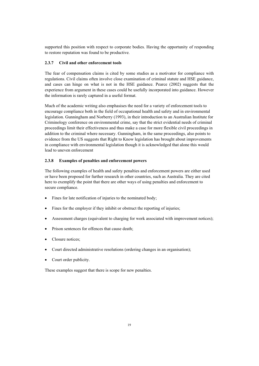supported this position with respect to corporate bodies. Having the opportunity of responding to restore reputation was found to be productive.

#### **2.3.7 Civil and other enforcement tools**

The fear of compensation claims is cited by some studies as a motivator for compliance with regulations. Civil claims often involve close examination of criminal statute and HSE guidance, and cases can hinge on what is not in the HSE guidance. Pearce (2002) suggests that the experience from argument in these cases could be usefully incorporated into guidance. However the information is rarely captured in a useful format.

Much of the academic writing also emphasises the need for a variety of enforcement tools to encourage compliance both in the field of occupational health and safety and in environmental legislation. Gunningham and Norberry (1993), in their introduction to an Australian Institute for Criminology conference on environmental crime, say that the strict evidential needs of criminal proceedings limit their effectiveness and thus make a case for more flexible civil proceedings in addition to the criminal where necessary. Gunningham, in the same proceedings, also points to evidence from the US suggests that Right to Know legislation has brought about improvements in compliance with environmental legislation though it is acknowledged that alone this would lead to uneven enforcement

#### **2.3.8 Examples of penalties and enforcement powers**

The following examples of health and safety penalties and enforcement powers are either used or have been proposed for further research in other countries, such as Australia. They are cited here to exemplify the point that there are other ways of using penalties and enforcement to secure compliance.

- Fines for late notification of injuries to the nominated body;
- Fines for the employer if they inhibit or obstruct the reporting of injuries;
- Assessment charges (equivalent to charging for work associated with improvement notices);
- Prison sentences for offences that cause death;
- Closure notices:
- Court directed administrative resolutions (ordering changes in an organisation);
- Court order publicity.

These examples suggest that there is scope for new penalties.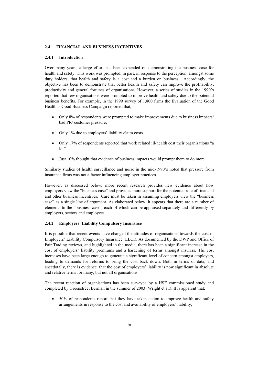#### **2.4 FINANCIAL AND BUSINESS INCENTIVES**

#### **2.4.1 Introduction**

Over many years, a large effort has been expended on demonstrating the business case for health and safety. This work was prompted, in part, in response to the perception, amongst some duty holders, that health and safety is a cost and a burden on business. Accordingly, the objective has been to demonstrate that better health and safety can improve the profitability, productivity and general fortunes of organisations. However, a series of studies in the 1990's reported that few organisations were prompted to improve health and safety due to the potential business benefits. For example, in the 1999 survey of 1,800 firms the Evaluation of the Good Health is Good Business Campaign reported that;

- Only 8% of respondents were prompted to make improvements due to business impacts/ bad PR/ customer pressure;
- Only 1% due to employers' liability claim costs.
- Only 17% of respondents reported that work related ill-health cost their organisations "a lot".
- Just 10% thought that evidence of business impacts would prompt them to do more.

Similarly studies of health surveillance and noise in the mid-1990's noted that pressure from insurance firms was not a factor influencing employer practices.

However, as discussed below, more recent research provides new evidence about how employers view the "business case" and provides more support for the potential role of financial and other business incentives. Care must be taken in assuming employers view the "business case" as a single line of argument. As elaborated below, it appears that there are a number of elements to the "business case", each of which can be appraised separately and differently by employers, sectors and employees.

#### **2.4.2 Employers' Liability Compulsory Insurance**

It is possible that recent events have changed the attitudes of organisations towards the cost of Employers' Liability Compulsory Insurance (ELCI). As documented by the DWP and Office of Fair Trading reviews, and highlighted in the media, there has been a significant increase in the cost of employers' liability premiums and a hardening of terms amongst insurers. The cost increases have been large enough to generate a significant level of concern amongst employers, leading to demands for reforms to bring the cost back down. Both in terms of data, and anecdotally, there is evidence that the cost of employers' liability is now significant in absolute and relative terms for many, but not all organisations.

The recent reaction of organisations has been surveyed by a HSE commissioned study and completed by Greenstreet Berman in the summer of 2003 (Wright et al.). It is apparent that;

x 50% of respondents report that they have taken action to improve health and safety arrangements in response to the cost and availability of employers' liability;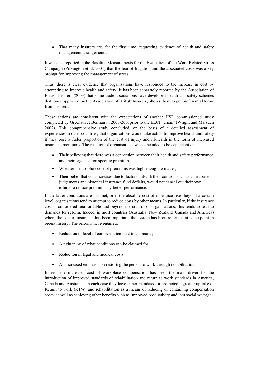• That many insurers are, for the first time, requesting evidence of health and safety management arrangements.

It was also reported in the Baseline Measurements for the Evaluation of the Work Related Stress Campaign (Pilkington et al. 2001) that the fear of litigation and the associated costs was a key prompt for improving the management of stress.

Thus, there is clear evidence that organisations have responded to the increase in cost by attempting to improve health and safety. It has been separately reported by the Association of British Insurers (2003) that some trade associations have developed health and safety schemes that, once approved by the Association of British Insurers, allows them to get preferential terms from insurers.

These actions are consistent with the expectations of another HSE commissioned study completed by Greenstreet Berman in 2000-2001prior to the ELCI "crisis" (Wright and Marsden 2002). This comprehensive study concluded, on the basis of a detailed assessment of experiences in other countries, that organisations would take action to improve health and safety if they bore a fuller proportion of the cost of injury and ill-health in the form of increased insurance premiums. The reaction of organisations was concluded to be dependent on:

- Their believing that there was a connection between their health and safety performance and their organisation specific premiums;
- Whether the absolute cost of premiums was high enough to matter;
- x Their belief that cost increases due to factors outwith their control, such as court based judgements and historical insurance fund deficits, would not cancel out their own efforts to reduce premiums by better performance.

If the latter conditions are not met, or if the absolute cost of insurance rises beyond a certain level, organisations tend to attempt to reduce costs by other means. In particular, if the insurance cost is considered unaffordable and beyond the control of organisations, this tends to lead to demands for reform. Indeed, in most countries (Australia, New Zealand, Canada and America) where the cost of insurance has been important, the system has been reformed at some point in recent history. The reforms have entailed:

- Reduction in level of compensation paid to claimants;
- A tightening of what conditions can be claimed for;
- Reduction in legal and medical costs;
- An increased emphasis on restoring the person to work through rehabilitation.

Indeed, the increased cost of workplace compensation has been the main driver for the introduction of improved standards of rehabilitation and return to work standards in America, Canada and Australia. In each case they have either mandated or promoted a greater up take of Return to work (RTW) and rehabilitation as a means of reducing or containing compensation costs, as well as achieving other benefits such as improved productivity and less social wastage.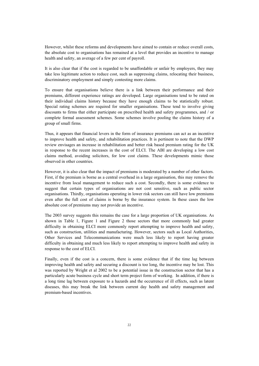However, whilst these reforms and developments have aimed to contain or reduce overall costs, the absolute cost to organisations has remained at a level that provides an incentive to manage health and safety, an average of a few per cent of payroll.

It is also clear that if the cost is regarded to be unaffordable or unfair by employers, they may take less legitimate action to reduce cost, such as suppressing claims, relocating their business, discriminatory employment and simply contesting more claims.

To ensure that organisations believe there is a link between their performance and their premiums, different experience ratings are developed. Large organisations tend to be rated on their individual claims history because they have enough claims to be statistically robust. Special rating schemes are required for smaller organisations. These tend to involve giving discounts to firms that either participate on prescribed health and safety programmes, and / or complete formal assessment schemes. Some schemes involve pooling the claims history of a group of small firms.

Thus, it appears that financial levers in the form of insurance premiums can act as an incentive to improve health and safety, and rehabilitation practices. It is pertinent to note that the DWP review envisages an increase in rehabilitation and better risk based premium rating for the UK in response to the recent increases in the cost of ELCI. The ABI are developing a low cost claims method, avoiding solicitors, for low cost claims. These developments mimic those observed in other countries.

However, it is also clear that the impact of premiums is moderated by a number of other factors. First, if the premium is borne as a central overhead in a large organisation, this may remove the incentive from local management to reduce such a cost. Secondly, there is some evidence to suggest that certain types of organisations are not cost sensitive, such as public sector organisations. Thirdly, organisations operating in lower risk sectors can still have low premiums even after the full cost of claims is borne by the insurance system. In these cases the low absolute cost of premiums may not provide an incentive.

The 2003 survey suggests this remains the case for a large proportion of UK organisations. As shown in Table 1, Figure 1 and Figure 2 those sectors that more commonly had greater difficulty in obtaining ELCI more commonly report attempting to improve health and safety, such as construction, utilities and manufacturing. However, sectors such as Local Authorities, Other Services and Telecommunications were much less likely to report having greater difficulty in obtaining and much less likely to report attempting to improve health and safety in response to the cost of ELCI.

Finally, even if the cost is a concern, there is some evidence that if the time lag between improving health and safety and securing a discount is too long, the incentive may be lost. This was reported by Wright et al 2002 to be a potential issue in the construction sector that has a particularly acute business cycle and short term project form of working. In addition, if there is a long time lag between exposure to a hazards and the occurrence of ill effects, such as latent diseases, this may break the link between current day health and safety management and premium-based incentives.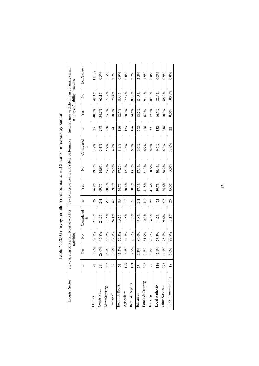| Industry Sector       | Stop ca       |       | activities  | rrying out certain types of work or |                 |       |                         | Try to improve health and safety performance |     |         | employers' liability insurance | Incurred greater difficulty in obtaining current |
|-----------------------|---------------|-------|-------------|-------------------------------------|-----------------|-------|-------------------------|----------------------------------------------|-----|---------|--------------------------------|--------------------------------------------------|
|                       | n             | Yes   | $\tilde{z}$ | Considered<br>$\ddot{=}$            | n               | Yes   | $\overline{\mathsf{x}}$ | Considered<br>i.                             | n   | Yes     | $\tilde{z}$                    | Don't know                                       |
| Utilities             | 22            | 13.6% | 59.1%       | 27.3%                               | 26              | 76.9% | 19.2%                   | 3.8%                                         | 27  | 40.7%   | 48.1%                          | 11.1%                                            |
| Construction          | 231           | 28.6% | 46.8%       | 24.7%                               | 241             | 69.7% | 24.9%                   | 5.4%                                         | 298 | 34.6%   | 65.1%                          | 0.3%                                             |
| Manufacturing         | 337           | 18.7% | 63.8%       | 17.5%                               | 353             | 60.3% | 33.7%                   | 5.9%                                         | 426 | 23.9%   | 73.7%                          | 2.3%                                             |
| Transport             | 58            | 13.8% | 62.1%       | 24.1%                               | $\mathcal{O}$   | 59.7% | 35.5%                   | 4.8%                                         | 74  | 18.9%   | 78.4%                          | 2.7%                                             |
| Health & Social       | 74            | 13.5% | 70.3%       | 16.2%                               | 86              | 54.7% | 37.2%                   | 8.1%                                         | 110 | 12.7%   | 86.4%                          | 0.9%                                             |
| Agriculture           | 126           | 18.3% | 64.3%       | 17.5%                               | 133             | 50.4% | 42.1%                   | 7.5%                                         | 153 | 20.3%   | 79.7%                          | $0.0\%$                                          |
| Retail & Repairs      | 139           | 12.9% | 75.5%       | 11.5%                               | 153             | 50.3% | 43.1%                   | 6.5%                                         | 186 | 14.5%   | 82.8%                          | 2.7%                                             |
| Education             | 231           | 5.3%  | 80.9%       | 13.8%                               | 241             | 47.1% | 47.1%                   | 5.9%                                         | 298 | 13.2%   | 84.3%                          | 2.5%                                             |
| Hotels & Catering     | 397           | 7.8%  | 81.9%       | 10.3%                               | 419             | 41.8% | 51.3%                   | 6.9%                                         | 478 | 6.7%    | 91.4%                          | 1.9%                                             |
| Banking               | 28            | 7.1%  | 78.6%       | 14.3%                               | 29              | 41.4% | 58.6%                   | $0.0\%$                                      | 33  | 12.1%   | 87.9%                          | $0.0\%$                                          |
| Local Authority       | 116           | 12.1% | 73.3%       | 14.7%                               | 121             | 39.7% | 50.4%                   | 9.9%                                         | 132 | 16.7%   | 82.6%                          | 0.8%                                             |
| <b>Other Services</b> | 272           | 14.7% | 75.7%       | 9.6%                                | 275             | 35.6% | 58.2%                   | 6.2%                                         | 348 | 10.9%   | 88.2%                          | 0.9%                                             |
| Telecommunications    | $\frac{8}{2}$ | 0.0%  | 88.9%       | 11.1%                               | $\overline{20}$ | 35.0% | 55.0%                   | 10.0%                                        | 22  | $0.0\%$ | 100.0%                         | $0.0\%$                                          |

Table 1: 2003 survey results on response to ELCI costs increases by sector Table 1: 2003 survey results on response to ELCI costs increases by sector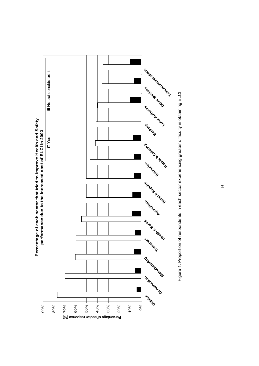

**24** 

Figure 1: Proportion of respondents in each sector experiencing greater difficulty in obtaining ELCI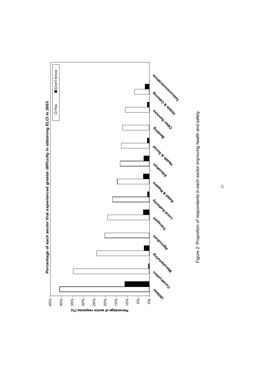

Figure 2: Proportion of respondents in each sector improving health and safety. Figure 2: Proportion of respondents in each sector improving health and safety.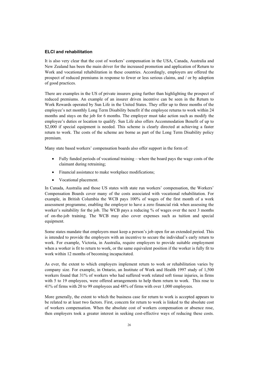#### **ELCI and rehabilitation**

It is also very clear that the cost of workers' compensation in the USA, Canada, Australia and New Zealand has been the main driver for the increased promotion and application of Return to Work and vocational rehabilitation in these countries. Accordingly, employers are offered the prospect of reduced premiums in response to fewer or less serious claims, and / or by adoption of good practices.

There are examples in the US of private insurers going further than highlighting the prospect of reduced premiums. An example of an insurer driven incentive can be seen in the Return to Work Rewards operated by Sun Life in the United States. They offer up to three months of the employee's net monthly Long Term Disability benefit if the employee returns to work within 24 months and stays on the job for 6 months. The employer must take action such as modify the employee's duties or location to qualify. Sun Life also offers Accommodation Benefit of up to \$2,000 if special equipment is needed. This scheme is clearly directed at achieving a faster return to work. The costs of the scheme are borne as part of the Long Term Disability policy premium.

Many state based workers' compensation boards also offer support in the form of:

- $\bullet$  Fully funded periods of vocational training where the board pays the wage costs of the claimant during retraining;
- Financial assistance to make workplace modifications;
- Vocational placement.

In Canada, Australia and those US states with state run workers' compensation, the Workers' Compensation Boards cover many of the costs associated with vocational rehabilitation. For example, in British Columbia the WCB pays 100% of wages of the first month of a work assessment programme, enabling the employer to have a zero financial risk when assessing the worker's suitability for the job. The WCB pays a reducing % of wages over the next 3 months of on-the-job training. The WCB may also cover expenses such as tuition and special equipment.

Some states mandate that employers must keep a person's job open for an extended period. This is intended to provide the employers with an incentive to secure the individual's early return to work. For example, Victoria, in Australia, require employers to provide suitable employment when a worker is fit to return to work, or the same equivalent position if the worker is fully fit to work within 12 months of becoming incapacitated.

As ever, the extent to which employers implement return to work or rehabilitation varies by company size. For example, in Ontario, an Institute of Work and Health 1997 study of 1,500 workers found that 31% of workers who had suffered work related soft tissue injuries, in firms with 5 to 19 employees, were offered arrangements to help them return to work. This rose to 41% of firms with 20 to 99 employees and 48% of firms with over 1,000 employees.

More generally, the extent to which the business case for return to work is accepted appears to be related to at least two factors. First, concern for return to work is linked to the absolute cost of workers compensation. When the absolute cost of workers compensation or absence rose, then employers took a greater interest in seeking cost-effective ways of reducing these costs.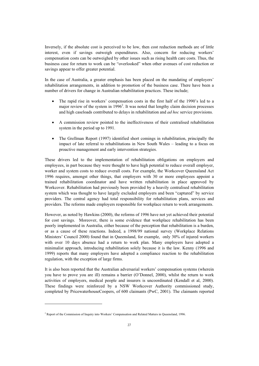Inversely, if the absolute cost is perceived to be low, then cost reduction methods are of little interest, even if savings outweigh expenditures. Also, concern for reducing workers' compensation costs can be outweighed by other issues such as rising health care costs. Thus, the business case for return to work can be "overlooked" when other avenues of cost reduction or savings appear to offer greater potential.

In the case of Australia, a greater emphasis has been placed on the mandating of employers' rehabilitation arrangements, in addition to promotion of the business case. There have been a number of drivers for change in Australian rehabilitation practices. These include;

- The rapid rise in workers' compensation costs in the first half of the 1990's led to a major review of the system in  $1996<sup>2</sup>$ . It was noted that lengthy claim decision processes and high caseloads contributed to delays in rehabilitation and *ad hoc* service provisions.
- x A commission review pointed to the ineffectiveness of their centralised rehabilitation system in the period up to 1991.
- The Grellman Report (1997) identified short comings in rehabilitation, principally the impact of late referral to rehabilitations in New South Wales – leading to a focus on proactive management and early intervention strategies.

These drivers led to the implementation of rehabilitation obligations on employers and employees, in part because they were thought to have high potential to reduce overall employer, worker and system costs to reduce overall costs. For example, the Workcover Queensland Act 1996 requires, amongst other things, that employers with 30 or more employees appoint a trained rehabilitation coordinator and have written rehabilitation in place approved by Workcover. Rehabilitation had previously been provided by a heavily centralised rehabilitation system which was thought to have largely excluded employers and been "captured" by service providers. The central agency had total responsibility for rehabilitation plans, services and providers. The reforms made employers responsible for workplace return to work arrangements.

However, as noted by Hawkins (2000), the reforms of 1996 have not yet achieved their potential for cost savings. Moreover, there is some evidence that workplace rehabilitation has been poorly implemented in Australia, either because of the perception that rehabilitation is a burden, or as a cause of these reactions. Indeed, a 1998/99 national survey (Workplace Relations Ministers' Council 2000) found that in Queensland, for example, only 30% of injured workers with over 10 days absence had a return to work plan. Many employers have adopted a minimalist approach, introducing rehabilitation solely because it is the law. Kenny (1996 and 1999) reports that many employers have adopted a compliance reaction to the rehabilitation regulation, with the exception of large firms.

It is also been reported that the Australian adversarial workers' compensation systems (wherein you have to prove you are ill) remains a barrier (O'Donnel, 2000), whilst the return to work activities of employers, medical people and insurers is uncoordinated (Kendall et al, 2000). These findings were reinforced by a NSW Workcover Authority commissioned study, completed by PricewaterhouseCoopers, of 600 claimants (PwC, 2001). The claimants reported

<sup>&</sup>lt;sup>2</sup> Report of the Commission of Inquiry into Workers' Compensation and Related Matters in Queensland, 1996.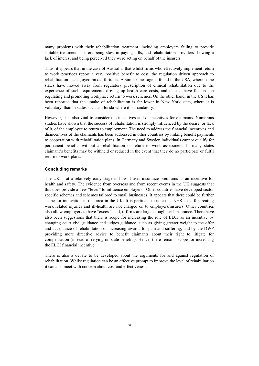many problems with their rehabilitation treatment, including employers failing to provide suitable treatment, insurers being slow in paying bills, and rehabilitation providers showing a lack of interest and being perceived they were acting on behalf of the insurers.

Thus, it appears that in the case of Australia, that whilst firms who effectively implement return to work practices report a very positive benefit to cost, the regulation driven approach to rehabilitation has enjoyed mixed fortunes. A similar message is found in the USA, where some states have moved away from regulatory prescription of clinical rehabilitation due to the experience of such requirements driving up health care costs, and instead have focused on regulating and promoting workplace return to work schemes. On the other hand, in the US it has been reported that the uptake of rehabilitation is far lower in New York state, where it is voluntary, than in states such as Florida where it is mandatory.

However, it is also vital to consider the incentives and disincentives for claimants. Numerous studies have shown that the success of rehabilitation is strongly influenced by the desire, or lack of it, of the employee to return to employment. The need to address the financial incentives and disincentives of the claimants has been addressed in other countries by linking benefit payments to cooperation with rehabilitation plans. In Germany and Sweden individuals cannot qualify for permanent benefits without a rehabilitation or return to work assessment. In many states claimant's benefits may be withheld or reduced in the event that they do no participate or fulfil return to work plans.

### **Concluding remarks**

The UK is at a relatively early stage in how it uses insurance premiums as an incentive for health and safety. The evidence from overseas and from recent events in the UK suggests that this does provide a new "lever" to influence employers. Other countries have developed sector specific schemes and schemes tailored to small businesses. It appears that there could be further scope for innovation in this area in the UK. It is pertinent to note that NHS costs for treating work related injuries and ill-health are not charged on to employers/insurers. Other countries also allow employers to have "excess" and, if firms are large enough, self-insurance. There have also been suggestions that there is scope for increasing the role of ELCI as an incentive by changing court civil guidance and judges guidance, such as giving greater weight to the offer and acceptance of rehabilitation or increasing awards for pain and suffering, and by the DWP providing more directive advice to benefit claimants about their right to litigate for compensation (instead of relying on state benefits). Hence, there remains scope for increasing the ELCI financial incentive.

There is also a debate to be developed about the arguments for and against regulation of rehabilitation. Whilst regulation can be an effective prompt to improve the level of rehabilitation it can also meet with concern about cost and effectiveness.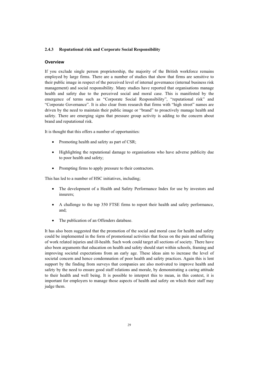### **2.4.3 Reputational risk and Corporate Social Responsibility**

#### **Overview**

If you exclude single person proprietorship, the majority of the British workforce remains employed by large firms. There are a number of studies that show that firms are sensitive to their public image in respect of the perceived level of internal governance (internal business risk management) and social responsibility. Many studies have reported that organisations manage health and safety due to the perceived social and moral case. This is manifested by the emergence of terms such as "Corporate Social Responsibility", "reputational risk" and "Corporate Governance". It is also clear from research that firms with "high street" names are driven by the need to maintain their public image or "brand" to proactively manage health and safety. There are emerging signs that pressure group activity is adding to the concern about brand and reputational risk.

It is thought that this offers a number of opportunities:

- Promoting health and safety as part of CSR;
- x Highlighting the reputational damage to organisations who have adverse publicity due to poor health and safety;
- Prompting firms to apply pressure to their contractors.

This has led to a number of HSC initiatives, including;

- The development of a Health and Safety Performance Index for use by investors and insurers;
- A challenge to the top 350 FTSE firms to report their health and safety performance, and;
- The publication of an Offenders database.

It has also been suggested that the promotion of the social and moral case for health and safety could be implemented in the form of promotional activities that focus on the pain and suffering of work related injuries and ill-health. Such work could target all sections of society. There have also been arguments that education on health and safety should start within schools, framing and improving societal expectations from an early age. These ideas aim to increase the level of societal concern and hence condemnation of poor health and safety practices. Again this is lent support by the finding from surveys that companies are also motivated to improve health and safety by the need to ensure good staff relations and morale, by demonstrating a caring attitude to their health and well being. It is possible to interpret this to mean, in this context, it is important for employers to manage those aspects of health and safety on which their staff may judge them.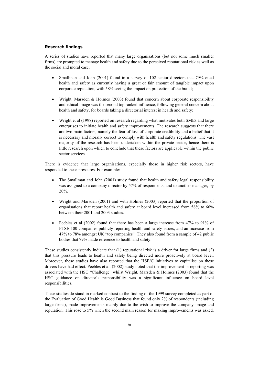### **Research findings**

A series of studies have reported that many large organisations (but not some much smaller firms) are prompted to manage health and safety due to the perceived reputational risk as well as the social and moral case.

- x Smallman and John (2001) found in a survey of 102 senior directors that 79% cited health and safety as currently having a great or fair amount of tangible impact upon corporate reputation, with 58% seeing the impact on protection of the brand;
- Wright, Marsden & Holmes (2003) found that concern about corporate responsibility and ethical image was the second top ranked influence, following general concern about health and safety, for boards taking a directorial interest in health and safety;
- Wright et al (1998) reported on research regarding what motivates both SMEs and large enterprises to initiate health and safety improvements. The research suggests that there are two main factors, namely the fear of loss of corporate credibility and a belief that it is necessary and morally correct to comply with health and safety regulations. The vast majority of the research has been undertaken within the private sector, hence there is little research upon which to conclude that these factors are applicable within the public sector services.

There is evidence that large organisations, especially those in higher risk sectors, have responded to these pressures. For example:

- The Smallman and John (2001) study found that health and safety legal responsibility was assigned to a company director by 57% of respondents, and to another manager, by 20%.
- x Wright and Marsden (2001) and with Holmes (2003) reported that the proportion of organisations that report health and safety at board level increased from 58% to 66% between their 2001 and 2003 studies.
- Peebles et al  $(2002)$  found that there has been a large increase from 47% to 91% of FTSE 100 companies publicly reporting health and safety issues, and an increase from 47% to 78% amongst UK "top companies". They also found from a sample of 42 public bodies that 79% made reference to health and safety.

These studies consistently indicate that (1) reputational risk is a driver for large firms and (2) that this pressure leads to health and safety being directed more proactively at board level. Moreover, these studies have also reported that the HSE/C initiatives to capitalise on these drivers have had effect. Peebles et al. (2002) study noted that the improvement in reporting was associated with the HSC "Challenge" whilst Wright, Marsden & Holmes (2003) found that the HSC guidance on director's responsibility was a significant influence on board level responsibilities.

These studies do stand in marked contrast to the finding of the 1999 survey completed as part of the Evaluation of Good Health is Good Business that found only 2% of respondents (including large firms), made improvements mainly due to the wish to improve the company image and reputation. This rose to 5% when the second main reason for making improvements was asked.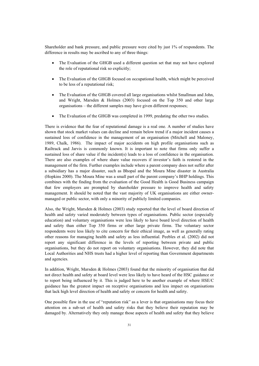Shareholder and bank pressure, and public pressure were cited by just 1% of respondents. The difference in results may be ascribed to any of three things:

- The Evaluation of the GHGB used a different question set that may not have explored the role of reputational risk so explicitly;
- The Evaluation of the GHGB focused on occupational health, which might be perceived to be less of a reputational risk;
- The Evaluation of the GHGB covered all large organisations whilst Smallman and John, and Wright, Marsden & Holmes (2003) focused on the Top 350 and other large organisations – the different samples may have given different responses;
- The Evaluation of the GHGB was completed in 1999, predating the other two studies.

There is evidence that the fear of reputational damage is a real one. A number of studies have shown that stock market values can decline and remain below trend if a major incident causes a sustained loss of confidence in the management of an organisation (Mitchell and Maloney, 1989, Chalk, 1986). The impact of major accidents on high profile organisations such as Railtrack and Jarvis is commonly known. It is important to note that firms only suffer a sustained loss of share value if the incident(s) leads to a loss of confidence in the organisation. There are also examples of where share value recovers if investor's faith is restored in the management of the firm. Further examples include where a parent company does not suffer after a subsidiary has a major disaster, such as Bhopal and the Moura Mine disaster in Australia (Hopkins 2000). The Moura Mine was a small part of the parent company's BHP holdings. This combines with the finding from the evaluation of the Good Health is Good Business campaign that few employers are prompted by shareholder pressure to improve health and safety management. It should be noted that the vast majority of UK organisations are either ownermanaged or public sector, with only a minority of publicly limited companies.

Also, the Wright, Marsden & Holmes (2003) study reported that the level of board direction of health and safety varied moderately between types of organisations. Public sector (especially education) and voluntary organisations were less likely to have board level direction of health and safety than either Top 350 firms or other large private firms. The voluntary sector respondents were less likely to cite concern for their ethical image, as well as generally rating other reasons for managing health and safety as less influential. Peebles et al. (2002) did not report any significant difference in the levels of reporting between private and public organisations, but they do not report on voluntary organisations. However, they did note that Local Authorities and NHS trusts had a higher level of reporting than Government departments and agencies.

In addition, Wright, Marsden & Holmes (2003) found that the minority of organisation that did not direct health and safety at board level were less likely to have heard of the HSC guidance or to report being influenced by it. This is judged here to be another example of where HSE/C guidance has the greatest impact on receptive organisations and less impact on organisations that lack high level direction of health and safety or concern for health and safety.

One possible flaw in the use of "reputation risk" as a lever is that organisations may focus their attention on a sub-set of health and safety risks that they believe their reputation may be damaged by. Alternatively they only manage those aspects of health and safety that they believe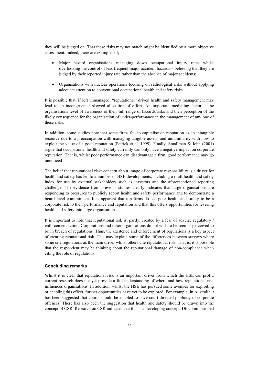they will be judged on. That these risks may not match might be identified by a more objective assessment. Indeed, there are examples of;

- Major hazard organisations managing down occupational injury rates whilst overlooking the control of less frequent major accident hazards – believing that they are judged by their reported injury rate rather than the absence of major accidents;
- x Organisations with nuclear operations focusing on radiological risks without applying adequate attention to conventional occupational health and safety risks.

It is possible that, if left unmanaged, "reputational" driven health and safety management may lead to an incongruent / skewed allocation of effort. An important mediating factor is the organisations level of awareness of their full range of hazards/risks and their perception of the likely consequence for the organisation of under-performance in the management of any one of these risks.

In addition, some studies note that some firms fail to capitalise on reputation as an intangible resource due to a preoccupation with managing tangible assets, and unfamiliarity with how to exploit the value of a good reputation (Petrick et al. 1999). Finally, Smallman & John (2001) argue that occupational health and safety currently can only have a negative impact on corporate reputation. That is, whilst poor performance can disadvantage a firm, good performance may go unnoticed.

The belief that reputational risk/ concern about image of corporate responsibility is a driver for health and safety has led to a number of HSE developments, including a draft health and safety index for use by external stakeholders such as investors and the aforementioned reporting challenge. The evidence from previous studies clearly indicates that large organisations are responding to pressures to publicly report health and safety performance and to demonstrate a board level commitment. It is apparent that top firms do see poor health and safety to be a corporate risk to their performance and reputation and that this offers opportunities for levering health and safety into large organisations.

It is important to note that reputational risk is, partly, created by a fear of adverse regulatory / enforcement action. Corporations and other organisations do not wish to be seen or perceived to be in breach of regulations. Thus, the existence and enforcement of regulations is a key aspect of creating reputational risk. This may explain some of the differences between surveys where some cite regulations as the main driver whilst others cite reputational risk. That is, it is possible that the respondent may be thinking about the reputational damage of non-compliance when citing the role of regulations.

# **Concluding remarks**

Whilst it is clear that reputational risk is an important driver from which the HSE can profit, current research does not yet provide a full understanding of where and how reputational risk influences organisations. In addition, whilst the HSE has pursued some avenues for exploiting or enabling this effect, further opportunities have yet to be explored. For example, in Australia it has been suggested that courts should be enabled to have court directed publicity of corporate offences. There has also been the suggestion that health and safety should be drawn into the concept of CSR. Research on CSR indicates that this is a developing concept. Dti commissioned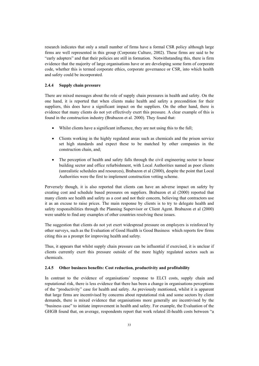research indicates that only a small number of firms have a formal CSR policy although large firms are well represented in this group (Corporate Culture, 2002). These firms are said to be "early adopters" and that their policies are still in formation. Notwithstanding this, there is firm evidence that the majority of large organisations have or are developing some form of corporate code, whether this is termed corporate ethics, corporate governance or CSR, into which health and safety could be incorporated.

#### **2.4.4 Supply chain pressure**

There are mixed messages about the role of supply chain pressures in health and safety. On the one hand, it is reported that when clients make health and safety a precondition for their suppliers, this does have a significant impact on the suppliers. On the other hand, there is evidence that many clients do not yet effectively exert this pressure. A clear example of this is found in the construction industry (Brabazon et al. 2000). They found that:

- x Whilst clients have a significant influence, they are not using this to the full;
- Clients working in the highly regulated areas such as chemicals and the prison service set high standards and expect these to be matched by other companies in the construction chain, and;
- The perception of health and safety falls through the civil engineering sector to house building sector and office refurbishment, with Local Authorities named as poor clients (unrealistic schedules and resources), Brabazon et al (2000), despite the point that Local Authorities were the first to implement construction vetting scheme.

Perversely though, it is also reported that clients can have an adverse impact on safety by creating cost and schedule based pressures on suppliers. Brabazon et al (2000) reported that many clients see health and safety as a cost and not their concern, believing that contractors use it as an excuse to raise prices. The main response by clients is to try to delegate health and safety responsibilities through the Planning Supervisor or Client Agent. Brabazon et al (2000) were unable to find any examples of other countries resolving these issues.

The suggestion that clients do not yet exert widespread pressure on employers is reinforced by other surveys, such as the Evaluation of Good Health is Good Business which reports few firms citing this as a prompt for improving health and safety.

Thus, it appears that whilst supply chain pressure can be influential if exercised, it is unclear if clients currently exert this pressure outside of the more highly regulated sectors such as chemicals.

#### **2.4.5 Other business benefits: Cost reduction, productivity and profitability**

In contrast to the evidence of organisations' response to ELCI costs, supply chain and reputational risk, there is less evidence that there has been a change in organisations perceptions of the "productivity" case for health and safety. As previously mentioned, whilst it is apparent that large firms are incentivised by concerns about reputational risk and some sectors by client demands, there is mixed evidence that organisations more generally are incentivised by the "business case" to initiate improvement in health and safety. For example, the Evaluation of the GHGB found that, on average, respondents report that work related ill-health costs between "a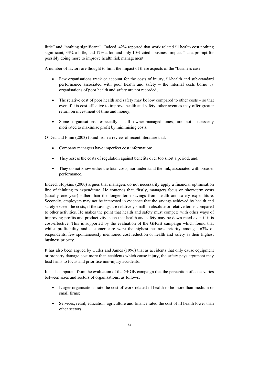little" and "nothing significant". Indeed, 42% reported that work related ill health cost nothing significant, 33% a little, and 17% a lot, and only 10% cited "business impacts" as a prompt for possibly doing more to improve health risk management.

A number of factors are thought to limit the impact of these aspects of the "business case":

- Few organisations track or account for the costs of injury, ill-health and sub-standard performance associated with poor health and safety – the internal costs borne by organisations of poor health and safety are not recorded;
- $\bullet$  The relative cost of poor health and safety may be low compared to other costs so that even if it is cost-effective to improve health and safety, other avenues may offer greater return on investment of time and money;
- Some organisations, especially small owner-managed ones, are not necessarily motivated to maximise profit by minimising costs.

O'Dea and Flinn (2003) found from a review of recent literature that:

- Company managers have imperfect cost information;
- They assess the costs of regulation against benefits over too short a period, and;
- They do not know either the total costs, nor understand the link, associated with broader performance.

Indeed, Hopkins (2000) argues that managers do not necessarily apply a financial optimisation line of thinking to expenditure. He contends that, firstly, managers focus on short-term costs (usually one year) rather than the longer term savings from health and safety expenditure. Secondly, employers may not be interested in evidence that the savings achieved by health and safety exceed the costs, if the savings are relatively small in absolute or relative terms compared to other activities. He makes the point that health and safety must compete with other ways of improving profits and productivity, such that health and safety may be down rated even if it is cost-effective. This is supported by the evaluation of the GHGB campaign which found that whilst profitability and customer care were the highest business priority amongst 63% of respondents, few spontaneously mentioned cost reduction or health and safety as their highest business priority.

It has also been argued by Cutler and James (1996) that as accidents that only cause equipment or property damage cost more than accidents which cause injury, the safety pays argument may lead firms to focus and prioritise non-injury accidents.

It is also apparent from the evaluation of the GHGB campaign that the perception of costs varies between sizes and sectors of organisations, as follows;

- Larger organisations rate the cost of work related ill health to be more than medium or small firms;
- Services, retail, education, agriculture and finance rated the cost of ill health lower than other sectors.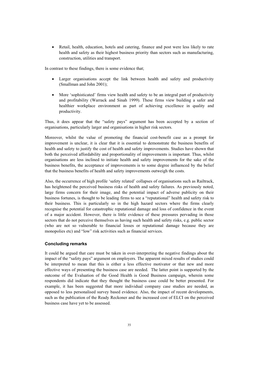• Retail, health, education, hotels and catering, finance and post were less likely to rate health and safety as their highest business priority than sectors such as manufacturing, construction, utilities and transport.

In contrast to these findings, there is some evidence that;

- Larger organisations accept the link between health and safety and productivity (Smallman and John 2001);
- More 'sophisticated' firms view health and safety to be an integral part of productivity and profitability (Warrack and Sinah 1999). These firms view building a safer and healthier workplace environment as part of achieving excellence in quality and productivity.

Thus, it does appear that the "safety pays" argument has been accepted by a section of organisations, particularly larger and organisations in higher risk sectors.

Moreover, whilst the value of promoting the financial cost-benefit case as a prompt for improvement is unclear, it is clear that it is essential to demonstrate the business benefits of health and safety to justify the cost of health and safety improvements. Studies have shown that both the perceived affordability and proportionality of improvements is important. Thus, whilst organisations are less inclined to initiate health and safety improvements for the sake of the business benefits, the acceptance of improvements is to some degree influenced by the belief that the business benefits of health and safety improvements outweigh the costs.

Also, the occurrence of high profile 'safety related' collapses of organisations such as Railtrack, has heightened the perceived business risks of health and safety failures. As previously noted, large firms concern for their image, and the potential impact of adverse publicity on their business fortunes, is thought to be leading firms to see a "reputational" health and safety risk to their business. This is particularly so in the high hazard sectors where the firms clearly recognise the potential for catastrophic reputational damage and loss of confidence in the event of a major accident. However, there is little evidence of these pressures pervading in those sectors that do not perceive themselves as having such health and safety risks, e.g. public sector (who are not so vulnerable to financial losses or reputational damage because they are monopolies etc) and "low" risk activities such as financial services.

#### **Concluding remarks**

It could be argued that care must be taken in over-interpreting the negative findings about the impact of the "safety pays" argument on employers. The apparent mixed results of studies could be interpreted to mean that this is either a less effective motivator or that new and more effective ways of presenting the business case are needed. The latter point is supported by the outcome of the Evaluation of the Good Health is Good Business campaign, wherein some respondents did indicate that they thought the business case could be better presented. For example, it has been suggested that more individual company case studies are needed, as opposed to less personalised survey based evidence. Also, the impact of recent developments, such as the publication of the Ready Reckoner and the increased cost of ELCI on the perceived business case have yet to be assessed.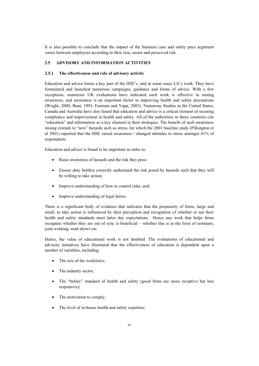It is also possible to conclude that the impact of the business case and safety pays argument varies between employers according to their size, sector and perceived risk.

# **2.5 ADVISORY AND INFORMATION ACTIVITIES**

### **2.5.1 The effectiveness and role of advisory activity**

Education and advice forms a key part of the HSE's, and in some cases LA's work. They have formulated and launched numerous campaigns, guidance and forms of advice. With a few exceptions, numerous UK evaluations have indicated such work is effective in raising awareness, and awareness is an important factor in improving health and safety precautions (Wright, 2000; Bunt, 1993; Fairman and Yapp, 2003). Numerous Studies in the United States, Canada and Australia have also found that education and advice is a critical element of securing compliance and improvement in health and safety. All of the authorities in these countries cite "education" and information as a key element in their strategies. The benefit of such awareness raising extends to "new" hazards such as stress, for which the 2001 baseline study (Pilkington et al 2001) reported that the HSE raised awareness / changed attitudes to stress amongst 41% of respondents.

Education and advice is found to be important in order to:

- Raise awareness of hazards and the risk they pose;
- Ensure duty holders correctly understand the risk posed by hazards such that they will be willing to take action;
- Improve understanding of how to control risks, and;
- Improve understanding of legal duties.

There is a significant body of evidence that indicates that the propensity of firms, large and small, to take action is influenced by their perception and recognition of whether or not their health and safety standards meet latter day expectations. Hence any work that helps firms recognise whether they are out of sync is beneficial – whether this is in the form of seminars, joint working, road shows etc.

Hence, the value of educational work is not doubted. The evaluations of educational and advisory initiatives have illustrated that the effectiveness of education is dependent upon a number of variables, including;

- The size of the workforce;
- The industry sector;
- The "before" standard of health and safety (good firms are more receptive but less responsive);
- The motivation to comply;
- The level of in-house health and safety expertise;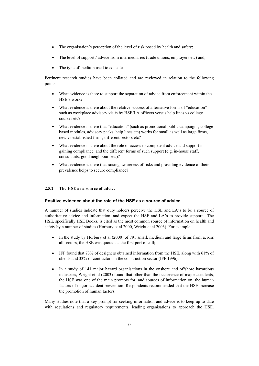- The organisation's perception of the level of risk posed by health and safety;
- The level of support / advice from intermediaries (trade unions, employers etc) and;
- The type of medium used to educate.

Pertinent research studies have been collated and are reviewed in relation to the following points;

- What evidence is there to support the separation of advice from enforcement within the HSE's work?
- What evidence is there about the relative success of alternative forms of "education" such as workplace advisory visits by HSE/LA officers versus help lines vs college courses etc?
- What evidence is there that "education" (such as promotional public campaigns, college based modules, advisory packs, help lines etc) works for small as well as large firms, new vs established firms, different sectors etc?
- What evidence is there about the role of access to competent advice and support in gaining compliance, and the different forms of such support (e.g. in-house staff, consultants, good neighbours etc)?
- What evidence is there that raising awareness of risks and providing evidence of their prevalence helps to secure compliance?

# **2.5.2 The HSE as a source of advice**

# **Positive evidence about the role of the HSE as a source of advice**

A number of studies indicate that duty holders perceive the HSE and LA's to be a source of authoritative advice and information, and expect the HSE and LA's to provide support. The HSE, specifically HSE Books, is cited as the most common source of information on health and safety by a number of studies (Horbury et al 2000, Wright et al 2003). For example:

- $\bullet$  In the study by Horbury et al (2000) of 791 small, medium and large firms from across all sectors, the HSE was quoted as the first port of call;
- $\bullet$  IFF found that 73% of designers obtained information from the HSE, along with 61% of clients and 33% of contractors in the construction sector (IFF 1996);
- In a study of 141 major hazard organisations in the onshore and offshore hazardous industries, Wright et al (2003) found that other than the occurrence of major accidents, the HSE was one of the main prompts for, and sources of information on, the human factors of major accident prevention. Respondents recommended that the HSE increase the promotion of human factors.

Many studies note that a key prompt for seeking information and advice is to keep up to date with regulations and regulatory requirements, leading organisations to approach the HSE.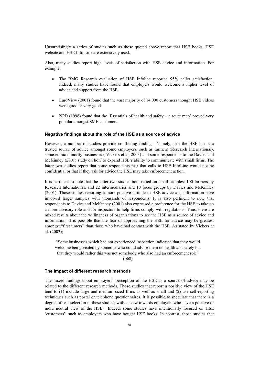Unsurprisingly a series of studies such as those quoted above report that HSE books, HSE website and HSE Info Line are extensively used.

Also, many studies report high levels of satisfaction with HSE advice and information. For example;

- The BMG Research evaluation of HSE Infoline reported 95% caller satisfaction. Indeed, many studies have found that employers would welcome a higher level of advice and support from the HSE.
- $\bullet$  EuroView (2001) found that the vast majority of 14,000 customers thought HSE videos were good or very good.
- NPD (1998) found that the 'Essentials of health and safety a route map' proved very popular amongst SME customers.

#### **Negative findings about the role of the HSE as a source of advice**

However, a number of studies provide conflicting findings. Namely, that the HSE is not a trusted source of advice amongst some employers, such as farmers (Research International), some ethnic minority businesses ( Vickers et al, 2003) and some respondents to the Davies and McKinney (2001) study on how to expand HSE's ability to communicate with small firms. The latter two studies report that some respondents fear that calls to HSE InfoLine would not be confidential or that if they ask for advice the HSE may take enforcement action.

It is pertinent to note that the latter two studies both relied on small samples: 100 farmers by Research International, and 22 intermediaries and 10 focus groups by Davies and McKinney (2001). Those studies reporting a more positive attitude to HSE advice and information have involved larger samples with thousands of respondents. It is also pertinent to note that respondents to Davies and McKinney (2001) also expressed a preference for the HSE to take on a more advisory role and for inspectors to help firms comply with regulations. Thus, there are mixed results about the willingness of organisations to see the HSE as a source of advice and information. It is possible that the fear of approaching the HSE for advice may be greatest amongst "first timers" than those who have had contact with the HSE. As stated by Vickers et al. (2003);

"Some businesses which had not experienced inspection indicated that they would welcome being visited by someone who could advise them on health and safety but that they would rather this was not somebody who also had an enforcement role"

(p68)

### **The impact of different research methods**

The mixed findings about employers' perception of the HSE as a source of advice may be related to the different research methods. Those studies that report a positive view of the HSE tend to (1) include large and medium sized firms as well as small and (2) use self-reporting techniques such as postal or telephone questionnaires. It is possible to speculate that there is a degree of self-selection in these studies, with a skew towards employers who have a positive or more neutral view of the HSE. Indeed, some studies have intentionally focused on HSE 'customers', such as employers who have bought HSE books. In contrast, those studies that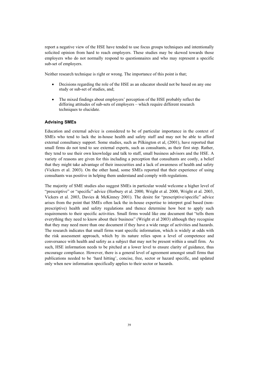report a negative view of the HSE have tended to use focus groups techniques and intentionally solicited opinion from hard to reach employers. These studies may be skewed towards those employers who do not normally respond to questionnaires and who may represent a specific sub-set of employers.

Neither research technique is right or wrong. The importance of this point is that;

- Decisions regarding the role of the HSE as an educator should not be based on any one study or sub-set of studies, and;
- The mixed findings about employers' perception of the HSE probably reflect the differing attitudes of sub-sets of employers – which require different research techniques to elucidate.

### **Advising SMEs**

Education and external advice is considered to be of particular importance in the context of SMEs who tend to lack the in-house health and safety staff and may not be able to afford external consultancy support. Some studies, such as Pilkington et al, (2001), have reported that small firms do not tend to see external experts, such as consultants, as their first step. Rather, they tend to use their own knowledge and talk to staff, small business advisors and the HSE. A variety of reasons are given for this including a perception that consultants are costly, a belief that they might take advantage of their insecurities and a lack of awareness of health and safety (Vickers et al. 2003). On the other hand, some SMEs reported that their experience of using consultants was positive in helping them understand and comply with regulations.

The majority of SME studies also suggest SMEs in particular would welcome a higher level of "prescriptive" or "specific" advice (Horbury et al. 2000, Wright et al. 2000, Wright et al. 2003, Vickers et al. 2003, Davies & McKinney 2001). The desire for "prescriptive/specific" advice arises from the point that SMEs often lack the in-house expertise to interpret goal based (nonprescriptive) health and safety regulations and thence determine how best to apply such requirements to their specific activities. Small firms would like one document that "tells them everything they need to know about their business" (Wright et al 2003) although they recognise that they may need more than one document if they have a wide range of activities and hazards. The research indicates that small firms want specific information, which is widely at odds with the risk assessment approach, which by its nature relies upon a level of competence and conversance with health and safety as a subject that may not be present within a small firm. As such, HSE information needs to be pitched at a lower level to ensure clarity of guidance, thus encourage compliance. However, there is a general level of agreement amongst small firms that publications needed to be 'hard hitting', concise, free, sector or hazard specific, and updated only when new information specifically applies to their sector or hazards.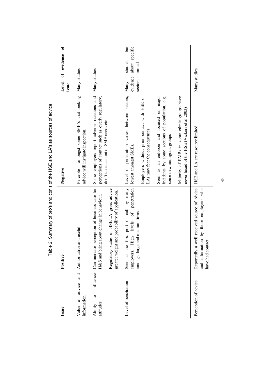| Issue                                             | Positive                                                                                                                                                                               | Negative                                                                                                                                                                                                                                                                                                                                                                                                                | $\mathfrak{b}$<br>Level of evidence<br>issue                            |
|---------------------------------------------------|----------------------------------------------------------------------------------------------------------------------------------------------------------------------------------------|-------------------------------------------------------------------------------------------------------------------------------------------------------------------------------------------------------------------------------------------------------------------------------------------------------------------------------------------------------------------------------------------------------------------------|-------------------------------------------------------------------------|
| Value of advice and<br>information                | Authoritative and useful                                                                                                                                                               | Perception amongst some SME's that seeking<br>advice will instigate inspection.                                                                                                                                                                                                                                                                                                                                         | Many studies                                                            |
| influence<br>$\mathbf{c}$<br>attitudes<br>Ability | Can increase perception of business case for<br>Regulatory status of HSE/LA gives advice<br>greater weight and probability of application.<br>H&S and bring about change in behaviour. | Some employers report adverse reactions and<br>perceptions of contact such as overly regulatory,<br>don't take account of SME needs etc                                                                                                                                                                                                                                                                                 | Many studies                                                            |
| Level of penetration                              | employers. High levels of penetration<br>amongst large and medium firms.                                                                                                               | Seen as the first pott of call by many Level of penetration varies between sectors,<br>Majority of EMBs in some ethnic groups have<br>Employers without prior contact with HSE or<br>an enforcer and focused on major<br>incidents by some sections of population, e.g.<br>never heard of the HSE (Vickers et al 2003)<br>LAs may fear the consequences<br>some new immigrant groups<br>lowest amongst SMEs.<br>Seen as | Jut<br>evidence about specific<br>studies<br>sectors is limited<br>Many |
| Perception of advice                              | Il received source of advice<br>by those employers who<br>and information<br>Reportedly a wel<br>have had contact                                                                      | HSE and LA are resource limited                                                                                                                                                                                                                                                                                                                                                                                         | Many studies                                                            |

Table 2: Summary of pro's and con's of the HSE and LA's as sources of advice Table 2: Summary of pro's and con's of the HSE and LA's as sources of advice

 $40$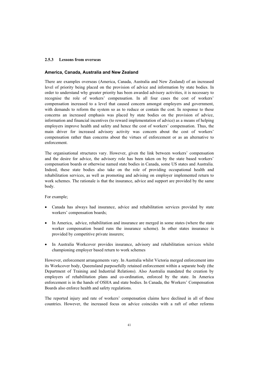### **2.5.3 Lessons from overseas**

#### **America, Canada, Australia and New Zealand**

There are examples overseas (America, Canada, Australia and New Zealand) of an increased level of priority being placed on the provision of advice and information by state bodies. In order to understand why greater priority has been awarded advisory activities, it is necessary to recognise the role of workers' compensation. In all four cases the cost of workers' compensation increased to a level that caused concern amongst employers and government, with demands to reform the system so as to reduce or contain the cost. In response to these concerns an increased emphasis was placed by state bodies on the provision of advice, information and financial incentives (to reward implementation of advice) as a means of helping employers improve health and safety and hence the cost of workers' compensation. Thus, the main driver for increased advisory activity was concern about the cost of workers' compensation rather than concerns about the virtues of enforcement or as an alternative to enforcement.

The organisational structures vary. However, given the link between workers' compensation and the desire for advice, the advisory role has been taken on by the state based workers' compensation boards or otherwise named state bodies in Canada, some US states and Australia. Indeed, these state bodies also take on the role of providing occupational health and rehabilitation services, as well as promoting and advising on employer implemented return to work schemes. The rationale is that the insurance, advice and support are provided by the same body.

For example;

- Canada has always had insurance, advice and rehabilitation services provided by state workers' compensation boards;
- In America, advice, rehabilitation and insurance are merged in some states (where the state worker compensation board runs the insurance scheme). In other states insurance is provided by competitive private insurers;
- In Australia Workcover provides insurance, advisory and rehabilitation services whilst championing employer based return to work schemes

However, enforcement arrangements vary. In Australia whilst Victoria merged enforcement into its Workcover body, Queensland purposefully retained enforcement within a separate body (the Department of Training and Industrial Relations). Also Australia mandated the creation by employers of rehabilitation plans and co-ordination, enforced by the state. In America enforcement is in the hands of OSHA and state bodies. In Canada, the Workers' Compensation Boards also enforce health and safety regulations.

The reported injury and rate of workers' compensation claims have declined in all of these countries. However, the increased focus on advice coincides with a raft of other reforms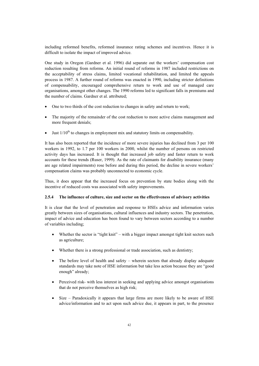including reformed benefits, reformed insurance rating schemes and incentives. Hence it is difficult to isolate the impact of improved advice.

One study in Oregon (Gardner et al. 1996) did separate out the workers' compensation cost reduction resulting from reforms. An initial round of reforms in 1987 included restrictions on the acceptability of stress claims, limited vocational rehabilitation, and limited the appeals process in 1987. A further round of reforms was enacted in 1990, including stricter definitions of compensability, encouraged comprehensive return to work and use of managed care organisations, amongst other changes. The 1990 reforms led to significant falls in premiums and the number of claims. Gardner et al. attributed;

- One to two thirds of the cost reduction to changes in safety and return to work;
- The majority of the remainder of the cost reduction to more active claims management and more frequent denials:
- Just  $1/10^{th}$  to changes in employment mix and statutory limits on compensability.

It has also been reported that the incidence of more severe injuries has declined from 3 per 100 workers in 1992, to 1.7 per 100 workers in 2000, whilst the number of persons on restricted activity days has increased. It is thought that increased job safety and faster return to work accounts for these trends (Ruser, 1999). As the rate of claimants for disability insurance (many are age related impairments) rose before and during this period, the decline in severe workers' compensation claims was probably unconnected to economic cycle.

Thus, it does appear that the increased focus on prevention by state bodies along with the incentive of reduced costs was associated with safety improvements.

### **2.5.4 The influence of culture, size and sector on the effectiveness of advisory activities**

It is clear that the level of penetration and response to HSEs advice and information varies greatly between sizes of organisations, cultural influences and industry sectors. The penetration, impact of advice and education has been found to vary between sectors according to a number of variables including;

- Whether the sector is "tight knit" with a bigger impact amongst tight knit sectors such as agriculture;
- Whether there is a strong professional or trade association, such as dentistry:
- The before level of health and safety wherein sectors that already display adequate standards may take note of HSE information but take less action because they are "good enough" already;
- Perceived risk- with less interest in seeking and applying advice amongst organisations that do not perceive themselves as high risk;
- Size Paradoxically it appears that large firms are more likely to be aware of HSE advice/information and to act upon such advice due, it appears in part, to the presence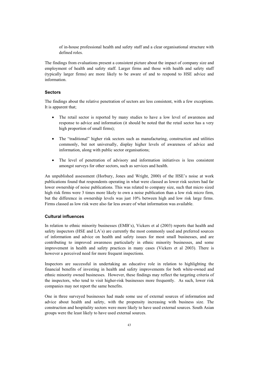of in-house professional health and safety staff and a clear organisational structure with defined roles.

The findings from evaluations present a consistent picture about the impact of company size and employment of health and safety staff. Larger firms and those with health and safety staff (typically larger firms) are more likely to be aware of and to respond to HSE advice and information.

# **Sectors**

The findings about the relative penetration of sectors are less consistent, with a few exceptions. It is apparent that;

- The retail sector is reported by many studies to have a low level of awareness and response to advice and information (it should be noted that the retail sector has a very high proportion of small firms);
- The "traditional" higher risk sectors such as manufacturing, construction and utilities commonly, but not universally, display higher levels of awareness of advice and information, along with public sector organisations;
- The level of penetration of advisory and information initiatives is less consistent amongst surveys for other sectors, such as services and health.

An unpublished assessment (Horbury, Jones and Wright, 2000) of the HSE's noise at work publications found that respondents operating in what were classed as lower risk sectors had far lower ownership of noise publications. This was related to company size, such that micro sized high risk firms were 3 times more likely to own a noise publication than a low risk micro firm, but the difference in ownership levels was just 10% between high and low risk large firms. Firms classed as low risk were also far less aware of what information was available.

# **Cultural influences**

In relation to ethnic minority businesses (EMB's), Vickers et al (2003) reports that health and safety inspectors (HSE and LA's) are currently the most commonly used and preferred sources of information and advice on health and safety issues for most small businesses, and are contributing to improved awareness particularly in ethnic minority businesses, and some improvement in health and safety practices in many cases (Vickers et al 2003). There is however a perceived need for more frequent inspections.

Inspectors are successful in undertaking an educative role in relation to highlighting the financial benefits of investing in health and safety improvements for both white-owned and ethnic minority owned businesses. However, these findings may reflect the targeting criteria of the inspectors, who tend to visit higher-risk businesses more frequently. As such, lower risk companies may not report the same benefits.

One in three surveyed businesses had made some use of external sources of information and advice about health and safety, with the propensity increasing with business size. The construction and hospitality sectors were more likely to have used external sources. South Asian groups were the least likely to have used external sources.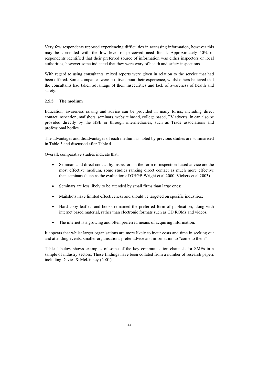Very few respondents reported experiencing difficulties in accessing information, however this may be correlated with the low level of perceived need for it. Approximately 50% of respondents identified that their preferred source of information was either inspectors or local authorities, however some indicated that they were wary of health and safety inspections.

With regard to using consultants, mixed reports were given in relation to the service that had been offered. Some companies were positive about their experience, whilst others believed that the consultants had taken advantage of their insecurities and lack of awareness of health and safety.

#### **2.5.5 The medium**

Education, awareness raising and advice can be provided in many forms, including direct contact inspection, mailshots, seminars, website based, college based, TV adverts. In can also be provided directly by the HSE or through intermediaries, such as Trade associations and professional bodies.

The advantages and disadvantages of each medium as noted by previous studies are summarised in Table 3 and discussed after Table 4.

Overall, comparative studies indicate that:

- x Seminars and direct contact by inspectors in the form of inspection-based advice are the most effective medium, some studies ranking direct contact as much more effective than seminars (such as the evaluation of GHGB Wright et al 2000, Vickers et al 2003)
- Seminars are less likely to be attended by small firms than large ones;
- Mailshots have limited effectiveness and should be targeted on specific industries;
- Hard copy leaflets and books remained the preferred form of publication, along with internet based material, rather than electronic formats such as CD ROMs and videos;
- The internet is a growing and often preferred means of acquiring information.

It appears that whilst larger organisations are more likely to incur costs and time in seeking out and attending events, smaller organisations prefer advice and information to "come to them".

Table 4 below shows examples of some of the key communication channels for SMEs in a sample of industry sectors. These findings have been collated from a number of research papers including Davies & McKinney (2001).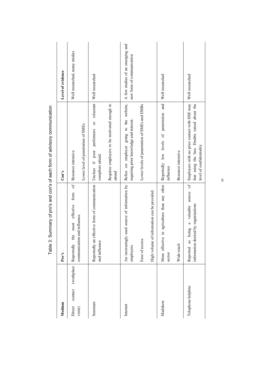| Medium                                |            | Pro's                                                                             | Con's                                                                                                                    | Level of evidence             |
|---------------------------------------|------------|-----------------------------------------------------------------------------------|--------------------------------------------------------------------------------------------------------------------------|-------------------------------|
| $\text{contact}$<br>Direct<br>visits) | (workplace | $\sigma$<br>the most effective form<br>communication and influence.<br>Reportedly | Lower level of penetration of SMEs<br>Resource intensive.                                                                | Well researched, many studies |
| Seminars                              |            | Reportedly an effective form of communication<br>and influence                    | performers or reluctant<br>Unclear if poor<br>compliers attend.                                                          | Well researched               |
|                                       |            |                                                                                   | Requires employers to be motivated enough to<br>attend                                                                   |                               |
| Internet                              |            | used source of information by<br>An increasingly<br>employers.                    | Relies on employer going to the website, $A$ few studies of an emerging and<br>requiring prior knowledge and interest.   | new form of communication     |
|                                       |            | Ease of access.                                                                   | Lower levels of penetration of SMEs and EMBs                                                                             |                               |
|                                       |            | High volume of information can be provided.                                       |                                                                                                                          |                               |
| Mailshots                             |            | in agriculture than any other<br>More effective<br>sector                         | Reportedly low levels of penetration and<br>influence                                                                    | Well researched               |
|                                       |            | Wide reach                                                                        | Resource intensive                                                                                                       |                               |
| Telephone helpline                    |            | being a valuable source of<br>information desired by organisations<br>Reported as | Employers with no prior contact with HSE may<br>fear using the line. Doubts raised about the<br>level of confidentiality | Well researched               |

Table 3: Summary of pro's and con's of each form of advisory communication Table 3: Summary of pro's and con's of each form of advisory communication

QR=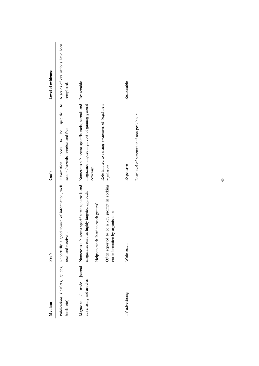| Medium                                                       | Pro's                                                                                                                                                                                                                           | Con's                                                                                                                                                                           | Level of evidence                               |
|--------------------------------------------------------------|---------------------------------------------------------------------------------------------------------------------------------------------------------------------------------------------------------------------------------|---------------------------------------------------------------------------------------------------------------------------------------------------------------------------------|-------------------------------------------------|
| Publications (leaflets, guides,<br>books etc)                | source of information, well<br>Reportedly a good<br>used and received.                                                                                                                                                          | $\overline{c}$<br>specific<br>sectors/hazards, concise, and free.<br>ತಿ<br>$\beta$<br>Information needs                                                                         | A series of evaluations have been<br>completed. |
| journal<br>advertising and articles<br>$1$ trade<br>Magazine | be a key prompt in seeking<br>Numerous sub-sector specific trade journals and<br>magazines enables highly targeted approach.<br>Helps to reach 'hard to reach groups'.<br>out information by organisations<br>Often reported to | Numerous sub-sector specific trade journals and<br>Role limited to raising awareness of (e.g.) new<br>magazines implies high cost of gaining general<br>regulation<br>coverage. | Reasonable                                      |
| TV advertising                                               | Wide reach                                                                                                                                                                                                                      | Low level of penetration if non-peak hours<br>Expensive                                                                                                                         | Reasonable                                      |
|                                                              |                                                                                                                                                                                                                                 |                                                                                                                                                                                 |                                                 |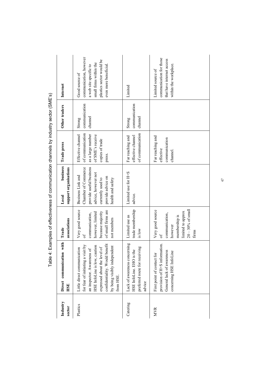|                    |                                                                                                                                                                                                                                               |                                                                                                                               | l sall provided a control in the control of the control of the control of the control of the control of the control of the control of the control of the control of the control of the control of the control of the control o |                                                                                                             |                                    |                                                                                                                                                   |
|--------------------|-----------------------------------------------------------------------------------------------------------------------------------------------------------------------------------------------------------------------------------------------|-------------------------------------------------------------------------------------------------------------------------------|--------------------------------------------------------------------------------------------------------------------------------------------------------------------------------------------------------------------------------|-------------------------------------------------------------------------------------------------------------|------------------------------------|---------------------------------------------------------------------------------------------------------------------------------------------------|
| Industry<br>sector | with<br>Direct communication<br><b>HSE</b>                                                                                                                                                                                                    | associations<br>Trade                                                                                                         | business<br>support organisations<br>Local                                                                                                                                                                                     | Trade press                                                                                                 | Other traders                      | Internet                                                                                                                                          |
| Plastics           | confidentiality. Would benefit<br>for fear of initiating a visit by<br>HSE InfoLine is low, caution<br>by being visibly independent<br>expressed about the level of<br>Little direct communication<br>an inspector. Awareness of<br>from HSE. | Very good source<br>of small firms are<br>because majority<br>however, limited<br>communication,<br>not members<br>$\sigma$ f | Chamber of Commerce<br>provide useful business<br>advice, however not<br>Business Link and<br>provide advice on<br>currently used to<br>health and safety                                                                      | of communication<br>as a large number<br>Effective channel<br>of SME's receive<br>copies of trade<br>press. | communication<br>channel<br>Strong | communication, however<br>plastics sector would be<br>small firms within the<br>even more beneficial.<br>a web site specific to<br>Good source of |
| Catering           | Lack of awareness concerning<br>preferred route for receiving<br>HSE InfoLine. EHO is the<br>advice                                                                                                                                           | trade membership<br>Limited use as<br>is low                                                                                  | Limited use for H+S<br>advice.                                                                                                                                                                                                 | of communication<br>effective channel<br>Far reaching and                                                   | communication<br>channel<br>Strong | Limited                                                                                                                                           |
| <b>MVR</b>         | provision of H+S information.<br>General lack of awareness<br>concerning HSE InfoLine<br>First point of contact for                                                                                                                           | $20-30\%$ of small<br>Very good source<br>limited to approx<br>communication,<br>membership is<br>however<br>firms<br>ЪÓ      |                                                                                                                                                                                                                                | Far reaching and<br>communication<br>effective<br>channel.                                                  |                                    | communication for those<br>that have internet access<br>within the workplace.<br>Limited source of                                                |

Table 4: Examples of effectiveness of communication channels by industry sector (SME's) Table 4: Examples of effectiveness of communication channels by industry sector (SME's)

 $47$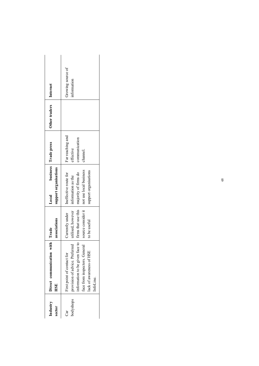|           | with<br>Direct communication<br>HSE                                                                                                                         | associations<br>Trade                                                      | support organisations<br>Local                                                                                                               | business   Trade press                                     | Other traders | Internet                         |
|-----------|-------------------------------------------------------------------------------------------------------------------------------------------------------------|----------------------------------------------------------------------------|----------------------------------------------------------------------------------------------------------------------------------------------|------------------------------------------------------------|---------------|----------------------------------|
|           | information to be given face to<br>provision of advice. Preferred<br>face from inspectors. General<br>ack of awareness of HSE<br>first point of contact for | source consider it<br>utilised, however<br>Currently under<br>to be useful | not use local business<br>support organisations<br>firms that use this   majority of firms do<br>Ineffective route for<br>information as the | Far reaching and<br>communication<br>effective<br>channel. |               | Growing source of<br>information |
| infoLine. |                                                                                                                                                             |                                                                            |                                                                                                                                              |                                                            |               |                                  |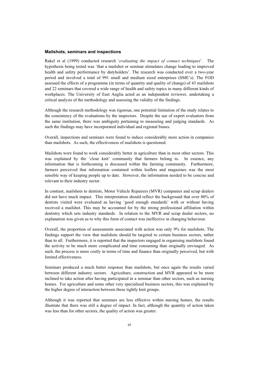#### **Mailshots, seminars and inspections**

Rakel et al (1999) conducted research '*evaluating the impact of contact techniques*'. The hypothesis being tested was 'that a mailshot or seminar stimulates change leading to improved health and safety performance by dutyholders'. The research was conducted over a two-year period and involved a total of 991 small and medium sized enterprises (SME's). The FOD assessed the effects of a programme (in terms of quantity and quality of change) of 43 mailshots and 22 seminars that covered a wide range of health and safety topics in many different kinds of workplaces. The University of East Anglia acted as an independent reviewer, undertaking a critical analysis of the methodology and assessing the validity of the findings.

Although the research methodology was rigorous, one potential limitation of the study relates to the consistency of the evaluations by the inspectors. Despite the use of expert evaluators from the same institution, there was ambiguity pertaining to measuring and judging standards. As such the findings may have incorporated individual and regional biases.

Overall, inspections and seminars were found to induce considerably more action in companies than mailshots. As such, the effectiveness of mailshots is questioned.

Mailshots were found to work considerably better in agriculture than in most other sectors. This was explained by the 'close knit' community that farmers belong to. In essence, any information that is forthcoming is discussed within the farming community. Furthermore, farmers perceived that information contained within leaflets and magazines was the most sensible way of keeping people up to date. However, the information needed to be concise and relevant to their industry sector.

In contrast, mailshots to dentists, Motor Vehicle Repairers (MVR) companies and scrap dealers did not have much impact. This interpretation should reflect the background that over 80% of dentists visited were evaluated as having 'good enough standards' with or without having received a mailshot. This may be accounted for by the strong professional affiliation within dentistry which sets industry standards. In relation to the MVR and scrap dealer sectors, no explanation was given as to why this form of contact was ineffective in changing behaviour.

Overall, the proportion of assessments associated with action was only 9% for mailshots. The findings support the view that mailshots should be targeted to certain business sectors, rather than to all. Furthermore, it is reported that the inspectors engaged in organising mailshots found the activity to be much more complicated and time consuming than originally envisaged. As such, the process is more costly in terms of time and finance than originally perceived, but with limited effectiveness.

Seminars produced a much better response than mailshots, but once again the results varied between different industry sectors. Agriculture, construction and MVR appeared to be more inclined to take action after having participated in a seminar than other sectors, such as nursing homes. For agriculture and some other very specialised business sectors, this was explained by the higher degree of interaction between these tightly knit groups.

Although it was reported that seminars are less effective within nursing homes, the results illustrate that there was still a degree of impact. In fact, although the quantity of action taken was less than for other sectors, the quality of action was greater.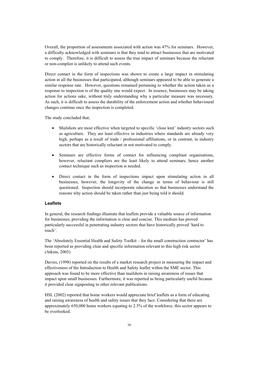Overall, the proportion of assessments associated with action was 47% for seminars. However, a difficulty acknowledged with seminars is that they tend to attract businesses that are motivated to comply. Therefore, it is difficult to assess the true impact of seminars because the reluctant or non-complier is unlikely to attend such events.

Direct contact in the form of inspections was shown to create a large impact in stimulating action in all the businesses that participated, although seminars appeared to be able to generate a similar response rate. However, questions remained pertaining to whether the action taken as a response to inspection is of the quality one would expect. In essence, businesses may be taking action for actions sake, without truly understanding why a particular measure was necessary. As such, it is difficult to assess the durability of the enforcement action and whether behavioural changes continue once the inspection is completed.

The study concluded that;

- Mailshots are most effective when targeted to specific 'close knit' industry sectors such as agriculture. They are least effective in industries where standards are already very high, perhaps as a result of trade / professional affiliations, or in contrast, in industry sectors that are historically reluctant or not motivated to comply.
- Seminars are effective forms of contact for influencing compliant organisations, however, reluctant compliers are the least likely to attend seminars, hence another contact technique such as inspection is needed.
- Direct contact in the form of inspections impact upon stimulating action in all businesses, however, the longevity of the change in terms of behaviour is still questioned. Inspection should incorporate education so that businesses understand the reasons why action should be taken rather than just being told it should.

# **Leaflets**

In general, the research findings illustrate that leaflets provide a valuable source of information for businesses, providing the information is clear and concise. This medium has proved particularly successful in penetrating industry sectors that have historically proved 'hard to reach'.

The 'Absolutely Essential Health and Safety Toolkit – for the small construction contractor' has been reported as providing clear and specific information relevant to this high risk sector (Atkins, 2003).

Davies, (1998) reported on the results of a market research project in measuring the impact and effectiveness of the Introduction to Health and Safety leaflet within the SME sector. This approach was found to be more effective than mailshots in raising awareness of issues that impact upon small businesses. Furthermore, it was reported as being particularly useful because it provided clear signposting to other relevant publications.

HSL (2002) reported that home workers would appreciate brief leaflets as a form of educating and raising awareness of health and safety issues that they face. Considering that there are approximately 650,000 home workers equating to 2.3% of the workforce, this sector appears to be overlooked.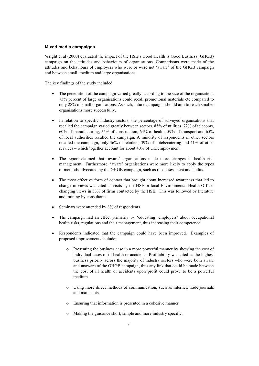# **Mixed media campaigns**

Wright et al (2000) evaluated the impact of the HSE's Good Health is Good Business (GHGB) campaign on the attitudes and behaviours of organisations. Comparisons were made of the attitudes and behaviours of employers who were or were not 'aware' of the GHGB campaign and between small, medium and large organisations.

The key findings of the study included;

- The penetration of the campaign varied greatly according to the size of the organisation. 73% percent of large organisations could recall promotional materials etc compared to only 28% of small organisations. As such, future campaigns should aim to reach smaller organisations more successfully.
- In relation to specific industry sectors, the percentage of surveyed organisations that recalled the campaign varied greatly between sectors. 85% of utilities, 72% of telecoms, 60% of manufacturing, 55% of construction, 64% of health, 59% of transport and 65% of local authorities recalled the campaign. A minority of respondents in other sectors recalled the campaign, only 36% of retailers, 39% of hotels/catering and 41% of other services – which together account for about 40% of UK employment.
- x The report claimed that 'aware' organisations made more changes in health risk management. Furthermore, 'aware' organisations were more likely to apply the types of methods advocated by the GHGB campaign, such as risk assessment and audits.
- The most effective form of contact that brought about increased awareness that led to change in views was cited as visits by the HSE or local Environmental Health Officer changing views in 33% of firms contacted by the HSE. This was followed by literature and training by consultants.
- Seminars were attended by 8% of respondents.
- The campaign had an effect primarily by 'educating' employers' about occupational health risks, regulations and their management, thus increasing their competence.
- x Respondents indicated that the campaign could have been improved. Examples of proposed improvements include;
	- o Presenting the business case in a more powerful manner by showing the cost of individual cases of ill health or accidents. Profitability was cited as the highest business priority across the majority of industry sectors who were both aware and unaware of the GHGB campaign, thus any link that could be made between the cost of ill health or accidents upon profit could prove to be a powerful medium.
	- o Using more direct methods of communication, such as internet, trade journals and mail shots.
	- o Ensuring that information is presented in a cohesive manner.
	- o Making the guidance short, simple and more industry specific.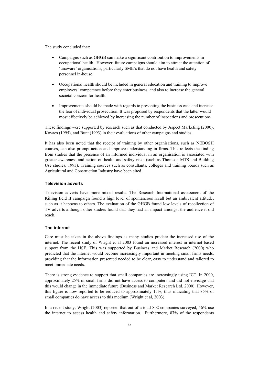The study concluded that:

- Campaigns such as GHGB can make a significant contribution to improvements in occupational health. However, future campaigns should aim to attract the attention of 'unaware' organisations, particularly SME's that do not have health and safety personnel in-house.
- x Occupational health should be included in general education and training to improve employers' competence before they enter business, and also to increase the general societal concern for health.
- Improvements should be made with regards to presenting the business case and increase the fear of individual prosecution. It was proposed by respondents that the latter would most effectively be achieved by increasing the number of inspections and prosecutions.

These findings were supported by research such as that conducted by Aspect Marketing (2000), Kovacs (1995), and Bunt (1993) in their evaluations of other campaigns and studies.

It has also been noted that the receipt of training by other organisations, such as NEBOSH courses, can also prompt action and improve understanding in firms. This reflects the finding from studies that the presence of an informed individual in an organisation is associated with greater awareness and action on health and safety risks (such as Thomson-MTS and Building Use studies, 1993). Training sources such as consultants, colleges and training boards such as Agricultural and Construction Industry have been cited.

### **Television adverts**

Television adverts have more mixed results. The Research International assessment of the Killing field II campaign found a high level of spontaneous recall but an ambivalent attitude, such as it happens to others. The evaluation of the GHGB found low levels of recollection of TV adverts although other studies found that they had an impact amongst the audience it did reach.

### **The internet**

Care must be taken in the above findings as many studies predate the increased use of the internet. The recent study of Wright et al 2003 found an increased interest in internet based support from the HSE. This was supported by Business and Market Research (2000) who predicted that the internet would become increasingly important in meeting small firms needs, providing that the information presented needed to be clear, easy to understand and tailored to meet immediate needs.

There is strong evidence to support that small companies are increasingly using ICT. In 2000, approximately 25% of small firms did not have access to computers and did not envisage that this would change in the immediate future (Business and Market Research Ltd, 2000). However, this figure is now reported to be reduced to approximately 15%, thus indicating that 85% of small companies do have access to this medium (Wright et al, 2003).

In a recent study, Wright (2003) reported that out of a total 802 companies surveyed, 56% use the internet to access health and safety information. Furthermore, 87% of the respondents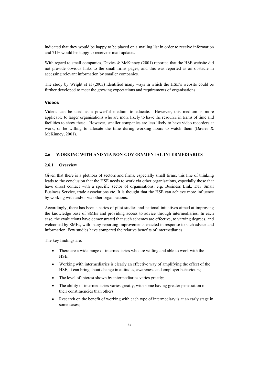indicated that they would be happy to be placed on a mailing list in order to receive information and 71% would be happy to receive e-mail updates.

With regard to small companies, Davies & McKinney (2001) reported that the HSE website did not provide obvious links to the small firms pages, and this was reported as an obstacle in accessing relevant information by smaller companies.

The study by Wright et al (2003) identified many ways in which the HSE's website could be further developed to meet the growing expectations and requirements of organisations.

### **Videos**

Videos can be used as a powerful medium to educate. However, this medium is more applicable to larger organisations who are more likely to have the resource in terms of time and facilities to show these. However, smaller companies are less likely to have video recorders at work, or be willing to allocate the time during working hours to watch them (Davies  $\&$ McKinney, 2001).

# **2.6 WORKING WITH AND VIA NON-GOVERNMENTAL INTERMEDIARIES**

### **2.6.1 Overview**

Given that there is a plethora of sectors and firms, especially small firms, this line of thinking leads to the conclusion that the HSE needs to work via other organisations, especially those that have direct contact with a specific sector of organisations, e.g. Business Link, DTi Small Business Service, trade associations etc. It is thought that the HSE can achieve more influence by working with and/or via other organisations.

Accordingly, there has been a series of pilot studies and national initiatives aimed at improving the knowledge base of SMEs and providing access to advice through intermediaries. In each case, the evaluations have demonstrated that such schemes are effective, to varying degrees, and welcomed by SMEs, with many reporting improvements enacted in response to such advice and information. Few studies have compared the relative benefits of intermediaries.

The key findings are:

- There are a wide range of intermediaries who are willing and able to work with the HSE;
- Working with intermediaries is clearly an effective way of amplifying the effect of the HSE, it can bring about change in attitudes, awareness and employer behaviours;
- The level of interest shown by intermediaries varies greatly;
- The ability of intermediaries varies greatly, with some having greater penetration of their constituencies than others;
- Research on the benefit of working with each type of intermediary is at an early stage in some cases;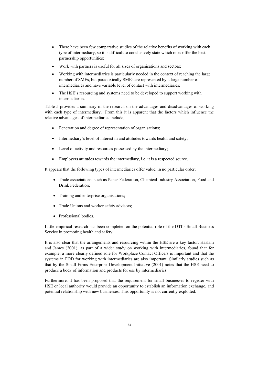- $\bullet$  There have been few comparative studies of the relative benefits of working with each type of intermediary, so it is difficult to conclusively state which ones offer the best partnership opportunities;
- $\bullet$  Work with partners is useful for all sizes of organisations and sectors;
- Working with intermediaries is particularly needed in the context of reaching the large number of SMEs, but paradoxically SMEs are represented by a large number of intermediaries and have variable level of contact with intermediaries;
- The HSE's resourcing and systems need to be developed to support working with intermediaries.

Table 5 provides a summary of the research on the advantages and disadvantages of working with each type of intermediary. From this it is apparent that the factors which influence the relative advantages of intermediaries include;

- Penetration and degree of representation of organisations;
- Intermediary's level of interest in and attitudes towards health and safety;
- Level of activity and resources possessed by the intermediary;
- $\bullet$  Employers attitudes towards the intermediary, i.e. it is a respected source.

It appears that the following types of intermediaries offer value, in no particular order;

- Trade associations, such as Paper Federation, Chemical Industry Association, Food and Drink Federation;
- Training and enterprise organisations;
- Trade Unions and worker safety advisors;
- Professional bodies.

Little empirical research has been completed on the potential role of the DTI's Small Business Service in promoting health and safety.

It is also clear that the arrangements and resourcing within the HSE are a key factor. Haslam and James (2001), as part of a wider study on working with intermediaries, found that for example, a more clearly defined role for Workplace Contact Officers is important and that the systems in FOD for working with intermediaries are also important. Similarly studies such as that by the Small Firms Enterprise Development Initiative (2001) notes that the HSE need to produce a body of information and products for use by intermediaries.

Furthermore, it has been proposed that the requirement for small businesses to register with HSE or local authority would provide an opportunity to establish an information exchange, and potential relationship with new businesses. This opportunity is not currently exploited.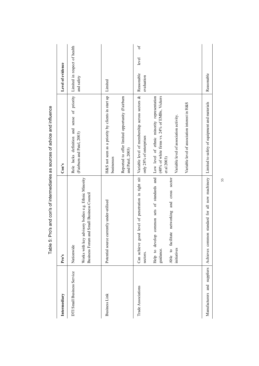| Intermediary               | Pro's                                                                                                                                                                                           | Con's                                                                                                                                                                                                                                                                                 | Level of evidence                             |
|----------------------------|-------------------------------------------------------------------------------------------------------------------------------------------------------------------------------------------------|---------------------------------------------------------------------------------------------------------------------------------------------------------------------------------------------------------------------------------------------------------------------------------------|-----------------------------------------------|
| DTI Small Business Service | advisory bodies e.g. Ethnic Minority<br>Business Forum and Small Business Council<br>Works with key<br>Nationwide                                                                               | Role lacks definition and sense of priority Limited in respect of health<br>(Fairburn and Patel, 2003)                                                                                                                                                                                | and safety                                    |
| <b>Business Link</b>       | Potential source currently under-utilised                                                                                                                                                       | H&S not seen as a priority by clients in start up<br>Reported to offer limited opportunity (Fairburn<br>and Patel, 2003)<br>businesses                                                                                                                                                | Limited                                       |
| Trade Associations         | Can achieve good level of penetration in tight nit<br>Help to develop common sets of standards and<br>and cross sector<br>Able to facilitate networking<br>initiatives<br>guidance.<br>sectors. | Variable level of membership across sectors &<br>Low level of ethnic minority representation<br>(40% of white firms vs. 24% of EMBs, Vickers<br>Variable level of association interest in H&S<br>Variable level of association activity.<br>only 28% of enterprises<br>et al $2003$ ) | $\sigma$<br>level<br>Reasonable<br>evaluation |
|                            | Manufacturers and suppliers Achieves common standard for all new machinery                                                                                                                      | Limited to safety of equipment and materials                                                                                                                                                                                                                                          | Reasonable                                    |

Table 5: Pro's and con's of intermediaries as sources of advice and influence Table 5: Pro's and con's of intermediaries as sources of advice and influence

55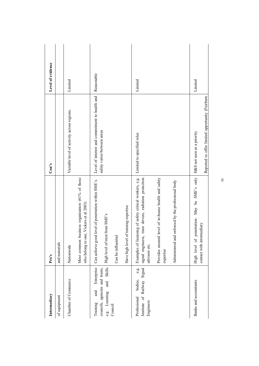| Level of evidence |               | Limited                                    |                                                                                             | Reasonable                                          |                                                                  |                    |                                          | Limited                                                                                                                          |                                                                   |                                                    | Limited                                            |                                                 |    |
|-------------------|---------------|--------------------------------------------|---------------------------------------------------------------------------------------------|-----------------------------------------------------|------------------------------------------------------------------|--------------------|------------------------------------------|----------------------------------------------------------------------------------------------------------------------------------|-------------------------------------------------------------------|----------------------------------------------------|----------------------------------------------------|-------------------------------------------------|----|
| Con's             |               | Variable level of activity across regions. |                                                                                             | Level of interest and commitment to health and      | safety varies between areas                                      |                    |                                          | Limited to specified roles                                                                                                       |                                                                   |                                                    | H&S not seen as a priority                         | Reported to offer limited opportunity (Fairburn |    |
| Pro's             | and materials | Nationwide                                 | Most common business organisation (61% of those<br>Vickers et al 2003<br>who belong to one, | Can achieve good level of penetration within SME's. | High level of trust from SME's                                   | Can be influential | training expertise<br>Have high level of | Examples of licensing of safety critical workers, e.g.<br>signal engineers, train drivers, radiation protection<br>advisors etc. | Provides assured level of in-house health and safety<br>expertise | Administered and enforced by the professional body | only<br>SME's<br>High level of penetration. May be | contact with intermediary                       | 56 |
| Intermediary      | of equipment  | Chamber of Commerce                        |                                                                                             | Enterprise<br>and<br>Training                       | Skills<br>councils, agencies and trusts,<br>and<br>e.g. Learning | Council            |                                          | Railway Signal<br>e.g.<br>bodies,<br>Institute of<br>Professional<br>Engineers                                                   |                                                                   |                                                    | Banks and accountants                              |                                                 |    |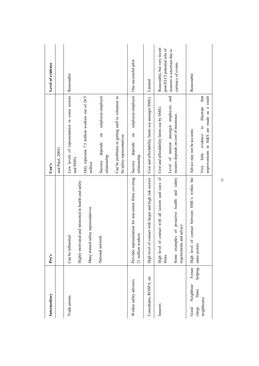| Intermediary                                             | Pro's                                                                      | Con's                                                                                                   | Level of evidence                                          |
|----------------------------------------------------------|----------------------------------------------------------------------------|---------------------------------------------------------------------------------------------------------|------------------------------------------------------------|
|                                                          |                                                                            | and Patel, 2003)                                                                                        |                                                            |
| Trade unions                                             | Highly motivated and interested in health and safety<br>Can be influential | Low levels of representation in some sectors<br>and SMEs                                                | Reasonable                                                 |
|                                                          | Many trained safety representatives                                        | Only represent 7.5 million workers out of 28.5<br>million                                               |                                                            |
|                                                          | National network                                                           | employee-employer<br>$\overline{\mathbf{c}}$<br>depends<br>relationship<br>Success                      |                                                            |
|                                                          |                                                                            | Can be problems in getting staff to volunteer to<br>be safety representatives                           |                                                            |
| Worker safety advisors                                   | Provides representation for non-union firms covering<br>21 million workers | employee-employer<br>$\overline{\mathrm{m}}$<br>depends<br>relationship<br>Success                      | One successful pilot                                       |
| Consultants, ROSPA, etc                                  | High level of contact with larger and high risk sectors                    | Cost and affordability limits use amongst SMEs                                                          | Limited                                                    |
| Insurers                                                 | contact with all sectors and sizes of<br>High level of<br>firms.           | Level of interest amongst employers and<br>Cost and affordability limits use by SMEs                    | Reasonable, but very recent<br>post-ELCI potential role of |
|                                                          | Some examples of proactive health and safety<br>requirements and advice    | insurers depends on cost of insurance.                                                                  | insurers is uncertain due to<br>currency of events         |
| Forum<br>Neighbour<br>Good                               | contact between SME's within the<br>High level of                          | Advice may not be accurate.                                                                             | Reasonable                                                 |
| helping<br>${\rm \tilde{f}rms}$<br>neighbours)<br>(large | same sectors                                                               | that<br>improvements in H&S are made as a result<br>illustrate<br>$\frac{1}{2}$<br>Very little evidence |                                                            |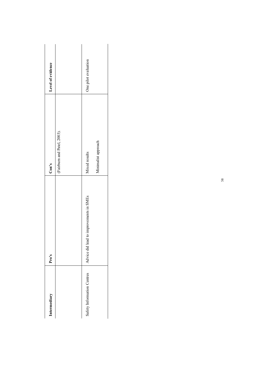| Intermediary               | Pro's                                   | Con's                       | Level of evidence    |
|----------------------------|-----------------------------------------|-----------------------------|----------------------|
|                            |                                         | (Fairburn and Patel, 2003). |                      |
| Safety Information Centres | Advice did lead to improvements in SMEs | Mixed results               | One pilot evaluation |
|                            |                                         | Minimalist approach         |                      |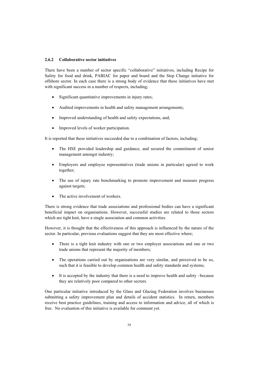### **2.6.2 Collaborative sector initiatives**

There have been a number of sector specific "collaborative" initiatives, including Recipe for Safety for food and drink, PABIAC for paper and board and the Step Change initiative for offshore sector. In each case there is a strong body of evidence that these initiatives have met with significant success in a number of respects, including;

- Significant quantitative improvements in injury rates;
- Audited improvements in health and safety management arrangements;
- Improved understanding of health and safety expectations, and;
- Improved levels of worker participation.

It is reported that these initiatives succeeded due to a combination of factors, including;

- The HSE provided leadership and guidance, and secured the commitment of senior management amongst industry;
- Employers and employee representatives (trade unions in particular) agreed to work together;
- The use of injury rate benchmarking to promote improvement and measure progress against targets;
- The active involvement of workers.

There is strong evidence that trade associations and professional bodies can have a significant beneficial impact on organisations. However, successful studies are related to those sectors which are tight knit, have a single association and common activities.

However, it is thought that the effectiveness of this approach is influenced by the nature of the sector. In particular, previous evaluations suggest that they are most effective where;

- There is a tight knit industry with one or two employer associations and one or two trade unions that represent the majority of members;
- The operations carried out by organisations are very similar, and perceived to be so, such that it is feasible to develop common health and safety standards and systems;
- It is accepted by the industry that there is a need to improve health and safety –because they are relatively poor compared to other sectors.

One particular initiative introduced by the Glass and Glazing Federation involves businesses submitting a safety improvement plan and details of accident statistics. In return, members receive best practice guidelines, training and access to information and advice, all of which is free. No evaluation of this initiative is available for comment yet.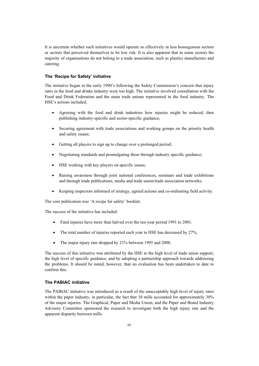It is uncertain whether such initiatives would operate so effectively in less homogenous sectors or sectors that perceived themselves to be low risk. It is also apparent that in some sectors the majority of organisations do not belong to a trade association, such as plastics manufacture and catering.

#### **The 'Recipe for Safety' initiative**

The initiative began in the early 1990's following the Safety Commission's concern that injury rates in the food and drinks industry were too high. The initiative involved consultation with the Food and Drink Federation and the main trade unions represented in the food industry. The HSE's actions included;

- Agreeing with the food and drink industries how injuries might be reduced, then publishing industry-specific and sector-specific guidance;
- Securing agreement with trade associations and working groups on the priority health and safety issues;
- Getting all players to sign up to change over a prolonged period;
- Negotiating standards and promulgating these through industry specific guidance;
- HSE working with key players on specific issues;
- Raising awareness through joint national conferences, seminars and trade exhibitions and through trade publications, media and trade union/trade association networks;
- x Keeping inspectors informed of strategy, agreed actions and co-ordinating field activity.

The core publication was 'A recipe for safety' booklet.

The success of the initiative has included:

- Fatal injuries have more than halved over the ten-year period 1991 to 2001.
- The total number of injuries reported each year to HSE has decreased by 27%;
- The major injury rate dropped by 21% between 1995 and 2000.

The success of this initiative was attributed by the HSE to the high level of trade union support, the high level of specific guidance, and by adopting a partnership approach towards addressing the problems. It should be noted, however, that no evaluation has been undertaken to date to confirm this.

### **The PABIAC initiative**

The PABIAC initiative was introduced as a result of the unacceptably high level of injury rates within the paper industry, in particular, the fact that 10 mills accounted for approximately 30% of the major injuries. The Graphical, Paper and Media Union, and the Paper and Board Industry Advisory Committee sponsored the research to investigate both the high injury rate and the apparent disparity between mills.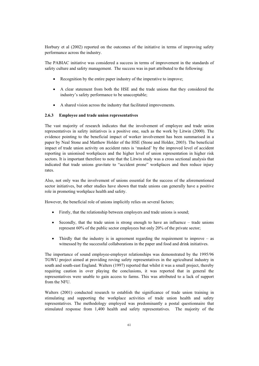Horbury et al (2002) reported on the outcomes of the initiative in terms of improving safety performance across the industry.

The PABIAC initiative was considered a success in terms of improvement in the standards of safety culture and safety management. The success was in part attributed to the following:

- Recognition by the entire paper industry of the imperative to improve;
- x A clear statement from both the HSE and the trade unions that they considered the industry's safety performance to be unacceptable;
- A shared vision across the industry that facilitated improvements.

#### **2.6.3 Employee and trade union representatives**

The vast majority of research indicates that the involvement of employee and trade union representatives in safety initiatives is a positive one, such as the work by Litwin (2000). The evidence pointing to the beneficial impact of worker involvement has been summarised in a paper by Neal Stone and Matthew Holder of the HSE (Stone and Holder, 2003). The beneficial impact of trade union activity on accident rates is 'masked' by the improved level of accident reporting in unionised workplaces and the higher level of union representation in higher risk sectors. It is important therefore to note that the Litwin study was a cross sectional analysis that indicated that trade unions gravitate to "accident prone" workplaces and then reduce injury rates.

Also, not only was the involvement of unions essential for the success of the aforementioned sector initiatives, but other studies have shown that trade unions can generally have a positive role in promoting workplace health and safety.

However, the beneficial role of unions implicitly relies on several factors;

- Firstly, that the relationship between employers and trade unions is sound;
- Secondly, that the trade union is strong enough to have an influence trade unions represent 60% of the public sector employees but only 20% of the private sector;
- Thirdly that the industry is in agreement regarding the requirement to improve  $-$  as witnessed by the successful collaborations in the paper and food and drink initiatives.

The importance of sound employee-employer relationships was demonstrated by the 1995/96 TGWU project aimed at providing roving safety representatives in the agricultural industry in south and south-east England. Walters (1997) reported that whilst it was a small project, thereby requiring caution in over playing the conclusions, it was reported that in general the representatives were unable to gain access to farms. This was attributed to a lack of support from the NFU.

Walters (2001) conducted research to establish the significance of trade union training in stimulating and supporting the workplace activities of trade union health and safety representatives. The methodology employed was predominantly a postal questionnaire that stimulated response from 1,400 health and safety representatives. The majority of the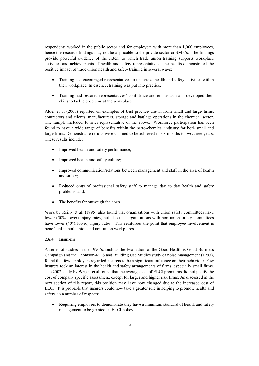respondents worked in the public sector and for employers with more than 1,000 employees, hence the research findings may not be applicable to the private sector or SME's. The findings provide powerful evidence of the extent to which trade union training supports workplace activities and achievements of health and safety representatives. The results demonstrated the positive impact of trade union health and safety training in several ways:

- x Training had encouraged representatives to undertake health and safety activities within their workplace. In essence, training was put into practice.
- Training had restored representatives' confidence and enthusiasm and developed their skills to tackle problems at the workplace.

Alder et al (2000) reported on examples of best practice drawn from small and large firms, contractors and clients, manufacturers, storage and haulage operations in the chemical sector. The sample included 10 sites representative of the above. Workforce participation has been found to have a wide range of benefits within the petro-chemical industry for both small and large firms. Demonstrable results were claimed to be achieved in six months to two/three years. These results include:

- Improved health and safety performance;
- Improved health and safety culture;
- Improved communication/relations between management and staff in the area of health and safety;
- Reduced onus of professional safety staff to manage day to day health and safety problems, and;
- The benefits far outweigh the costs;

Work by Reilly et al. (1995) also found that organisations with union safety committees have lower (50% lower) injury rates, but also that organisations with non union safety committees have lower (40% lower) injury rates. This reinforces the point that employee involvement is beneficial in both union and non-union workplaces.

### **2.6.4 Insurers**

A series of studies in the 1990's, such as the Evaluation of the Good Health is Good Business Campaign and the Thomson-MTS and Building Use Studies study of noise management (1993), found that few employers regarded insurers to be a significant influence on their behaviour. Few insurers took an interest in the health and safety arrangements of firms, especially small firms. The 2002 study by Wright et al found that the average cost of ELCI premiums did not justify the cost of company specific assessment, except for larger and higher risk firms. As discussed in the next section of this report, this position may have now changed due to the increased cost of ELCI. It is probable that insurers could now take a greater role in helping to promote health and safety, in a number of respects;

• Requiring employers to demonstrate they have a minimum standard of health and safety management to be granted an ELCI policy;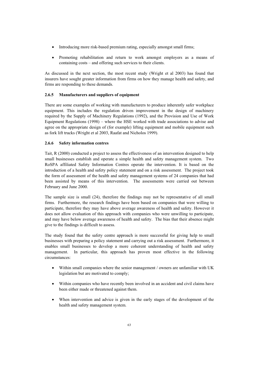- Introducing more risk-based premium rating, especially amongst small firms;
- Promoting rehabilitation and return to work amongst employers as a means of containing costs – and offering such services to their clients.

As discussed in the next section, the most recent study (Wright et al 2003) has found that insurers have sought greater information from firms on how they manage health and safety, and firms are responding to these demands.

# **2.6.5 Manufacturers and suppliers of equipment**

There are some examples of working with manufacturers to produce inherently safer workplace equipment. This includes the regulation driven improvement in the design of machinery required by the Supply of Machinery Regulations (1992), and the Provision and Use of Work Equipment Regulations (1998) – where the HSE worked with trade associations to advise and agree on the appropriate design of (for example) lifting equipment and mobile equipment such as fork lift trucks (Wright et al 2003, Raafat and Nicholos 1999).

### **2.6.6 Safety information centres**

Tait, R (2000) conducted a project to assess the effectiveness of an intervention designed to help small businesses establish and operate a simple health and safety management system. Two RoSPA affiliated Safety Information Centres operate the intervention. It is based on the introduction of a health and safety policy statement and on a risk assessment. The project took the form of assessment of the health and safety management systems of 24 companies that had been assisted by means of this intervention. The assessments were carried out between February and June 2000.

The sample size is small (24), therefore the findings may not be representative of all small firms. Furthermore, the research findings have been based on companies that were willing to participate, therefore they may have above average awareness of health and safety. However it does not allow evaluation of this approach with companies who were unwilling to participate, and may have below average awareness of health and safety. The bias that their absence might give to the findings is difficult to assess.

The study found that the safety centre approach is more successful for giving help to small businesses with preparing a policy statement and carrying out a risk assessment. Furthermore, it enables small businesses to develop a more coherent understanding of health and safety management. In particular, this approach has proven most effective in the following circumstances:

- x Within small companies where the senior management / owners are unfamiliar with UK legislation but are motivated to comply;
- Within companies who have recently been involved in an accident and civil claims have been either made or threatened against them.
- When intervention and advice is given in the early stages of the development of the health and safety management system.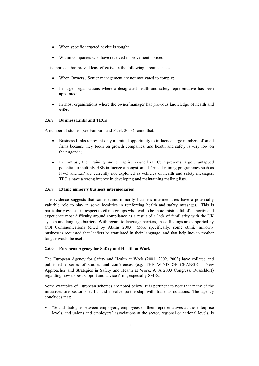- When specific targeted advice is sought.
- Within companies who have received improvement notices.

This approach has proved least effective in the following circumstances:

- When Owners / Senior management are not motivated to comply;
- In larger organisations where a designated health and safety representative has been appointed;
- In most organisations where the owner/manager has previous knowledge of health and safety.

### **2.6.7 Business Links and TECs**

A number of studies (see Fairburn and Patel, 2003) found that;

- Business Links represent only a limited opportunity to influence large numbers of small firms because they focus on growth companies, and health and safety is very low on their agenda;
- In contrast, the Training and enterprise council (TEC) represents largely untapped potential to multiply HSE influence amongst small firms. Training programmes such as NVQ and LiP are currently not exploited as vehicles of health and safety messages. TEC's have a strong interest in developing and maintaining mailing lists.

### **2.6.8 Ethnic minority business intermediaries**

The evidence suggests that some ethnic minority business intermediaries have a potentially valuable role to play in some localities in reinforcing health and safety messages. This is particularly evident in respect to ethnic groups who tend to be more mistrustful of authority and experience most difficulty around compliance as a result of a lack of familiarity with the UK system and language barriers. With regard to language barriers, these findings are supported by COI Communications (cited by Atkins 2003). More specifically, some ethnic minority businesses requested that leaflets be translated in their language, and that helplines in mother tongue would be useful.

#### **2.6.9 European Agency for Safety and Health at Work**

The European Agency for Safety and Health at Work (2001, 2002, 2003) have collated and published a series of studies and conferences (e.g. THE WIND OF CHANGE – New Approaches and Strategies in Safety and Health at Work, A+A 2003 Congress, Düsseldorf) regarding how to best support and advice firms, especially SMEs.

Some examples of European schemes are noted below. It is pertinent to note that many of the initiatives are sector specific and involve partnership with trade associations. The agency concludes that:

x "Social dialogue between employers, employees or their representatives at the enterprise levels, and unions and employers' associations at the sector, regional or national levels, is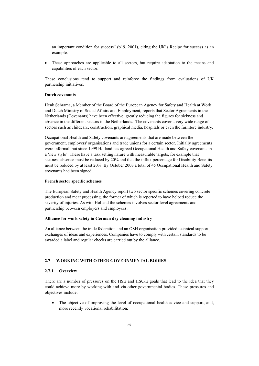an important condition for success" (p19, 2001), citing the UK's Recipe for success as an example.

These approaches are applicable to all sectors, but require adaptation to the means and capabilities of each sector.

These conclusions tend to support and reinforce the findings from evaluations of UK partnership initiatives.

#### **Dutch covenants**

Henk Schrama, a Member of the Board of the European Agency for Safety and Health at Work and Dutch Ministry of Social Affairs and Employment, reports that Sector Agreements in the Netherlands (Covenants) have been effective, greatly reducing the figures for sickness and absence in the different sectors in the Netherlands. The covenants cover a very wide range of sectors such as childcare, construction, graphical media, hospitals or even the furniture industry.

Occupational Health and Safety covenants are agreements that are made between the government, employers' organisations and trade unions for a certain sector. Initially agreements were informal, but since 1999 Holland has agreed Occupational Health and Safety covenants in a 'new style'. These have a task setting nature with measurable targets, for example that sickness absence must be reduced by 20% and that the influx percentage for Disability Benefits must be reduced by at least 20%. By October 2003 a total of 45 Occupational Health and Safety covenants had been signed.

### **French sector specific schemes**

The European Safety and Health Agency report two sector specific schemes covering concrete production and meat processing, the former of which is reported to have helped reduce the severity of injuries. As with Holland the schemes involves sector level agreements and partnership between employers and employees.

### **Alliance for work safety in German dry cleaning industry**

An alliance between the trade federation and an OSH organisation provided technical support, exchanges of ideas and experiences. Companies have to comply with certain standards to be awarded a label and regular checks are carried out by the alliance.

# **2.7 WORKING WITH OTHER GOVERNMENTAL BODIES**

#### **2.7.1 Overview**

There are a number of pressures on the HSE and HSC/E goals that lead to the idea that they could achieve more by working with and via other governmental bodies. These pressures and objectives include;

• The objective of improving the level of occupational health advice and support, and, more recently vocational rehabilitation;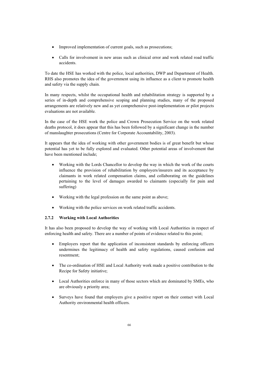- Improved implementation of current goals, such as prosecutions;
- Calls for involvement in new areas such as clinical error and work related road traffic accidents.

To date the HSE has worked with the police, local authorities, DWP and Department of Health. RHS also promotes the idea of the government using its influence as a client to promote health and safety via the supply chain.

In many respects, whilst the occupational health and rehabilitation strategy is supported by a series of in-depth and comprehensive scoping and planning studies, many of the proposed arrangements are relatively new and as yet comprehensive post-implementation or pilot projects evaluations are not available.

In the case of the HSE work the police and Crown Prosecution Service on the work related deaths protocol, it does appear that this has been followed by a significant change in the number of manslaughter prosecutions (Centre for Corporate Accountability, 2003).

It appears that the idea of working with other government bodies is of great benefit but whose potential has yet to be fully explored and evaluated. Other potential areas of involvement that have been mentioned include;

- x Working with the Lords Chancellor to develop the way in which the work of the courts influence the provision of rehabilitation by employers/insurers and its acceptance by claimants in work related compensation claims, and collaborating on the guidelines pertaining to the level of damages awarded to claimants (especially for pain and suffering)
- Working with the legal profession on the same point as above;
- Working with the police services on work related traffic accidents.

# **2.7.2 Working with Local Authorities**

It has also been proposed to develop the way of working with Local Authorities in respect of enforcing health and safety. There are a number of points of evidence related to this point;

- Employers report that the application of inconsistent standards by enforcing officers undermines the legitimacy of health and safety regulations, caused confusion and resentment;
- The co-ordination of HSE and Local Authority work made a positive contribution to the Recipe for Safety initiative;
- Local Authorities enforce in many of those sectors which are dominated by SMEs, who are obviously a priority area;
- Surveys have found that employers give a positive report on their contact with Local Authority environmental health officers.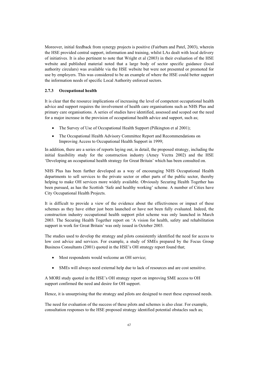Moreover, initial feedback from synergy projects is positive (Fairburn and Patel, 2003), wherein the HSE provided central support, information and training, whilst LAs dealt with local delivery of initiatives. It is also pertinent to note that Wright et al (2003) in their evaluation of the HSE website and published material noted that a large body of sector specific guidance (local authority circulars) was available via the HSE website but were not presented or promoted for use by employers. This was considered to be an example of where the HSE could better support the information needs of specific Local Authority enforced sectors.

#### **2.7.3 Occupational health**

It is clear that the resource implications of increasing the level of competent occupational health advice and support requires the involvement of health care organisations such as NHS Plus and primary care organisations. A series of studies have identified, assessed and scoped out the need for a major increase in the provision of occupational health advice and support, such as;

- The Survey of Use of Occupational Health Support (Pilkington et al 2001):
- The Occupational Health Advisory Committee Report and Recommendations on Improving Access to Occupational Health Support in 1999;

In addition, there are a series of reports laying out, in detail, the proposed strategy, including the initial feasibility study for the construction industry (Amey Vectra 2002) and the HSE 'Developing an occupational health strategy for Great Britain' which has been consulted on.

NHS Plus has been further developed as a way of encouraging NHS Occupational Health departments to sell services to the private sector or other parts of the public sector, thereby helping to make OH services more widely available. Obviously Securing Health Together has been pursued, as has the Scottish 'Safe and healthy working' scheme. A number of Cities have City Occupational Health Projects.

It is difficult to provide a view of the evidence about the effectiveness or impact of these schemes as they have either just been launched or have not been fully evaluated. Indeed, the construction industry occupational health support pilot scheme was only launched in March 2003. The Securing Health Together report on 'A vision for health, safety and rehabilitation support in work for Great Britain' was only issued in October 2003.

The studies used to develop the strategy and pilots consistently identified the need for access to low cost advice and services. For example, a study of SMEs prepared by the Focus Group Business Consultants (2001) quoted in the HSE's OH strategy report found that;

- Most respondents would welcome an OH service:
- SMEs will always need external help due to lack of resources and are cost sensitive.

A MORI study quoted in the HSE's OH strategy report on improving SME access to OH support confirmed the need and desire for OH support.

Hence, it is unsurprising that the strategy and pilots are designed to meet these expressed needs.

The need for evaluation of the success of these pilots and schemes is also clear. For example, consultation responses to the HSE proposed strategy identified potential obstacles such as;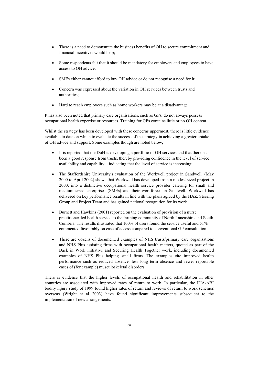- There is a need to demonstrate the business benefits of OH to secure commitment and financial incentives would help;
- Some respondents felt that it should be mandatory for employers and employees to have access to OH advice;
- SMEs either cannot afford to buy OH advice or do not recognise a need for it;
- Concern was expressed about the variation in OH services between trusts and authorities;
- Hard to reach employees such as home workers may be at a disadvantage.

It has also been noted that primary care organisations, such as GPs, do not always possess occupational health expertise or resources. Training for GPs contains little or no OH content.

Whilst the strategy has been developed with these concerns uppermost, there is little evidence available to date on which to evaluate the success of the strategy in achieving a greater uptake of OH advice and support. Some examples though are noted below;

- It is reported that the DoH is developing a portfolio of OH services and that there has been a good response from trusts, thereby providing confidence in the level of service availability and capability – indicating that the level of service is increasing;
- x The Staffordshire University's evaluation of the Workwell project in Sandwell. (May 2000 to April 2002) shows that Workwell has developed from a modest sized project in 2000, into a distinctive occupational health service provider catering for small and medium sized enterprises (SMEs) and their workforces in Sandwell. Workwell has delivered on key performance results in line with the plans agreed by the HAZ, Steering Group and Project Team and has gained national recognition for its work.
- $\bullet$  Burnett and Hawkins (2001) reported on the evaluation of provision of a nurse practitioner-led health service to the farming community of North Lancashire and South Cumbria. The results illustrated that 100% of users found the service useful and 51% commented favourably on ease of access compared to conventional GP consultation.
- There are dozens of documented examples of NHS trusts/primary care organisations and NHS Plus assisting firms with occupational health matters, quoted as part of the Back in Work initiative and Securing Health Together work, including documented examples of NHS Plus helping small firms. The examples cite improved health performance such as reduced absence, less long term absence and fewer reportable cases of (for example) musculoskeletal disorders.

There is evidence that the higher levels of occupational health and rehabilitation in other countries are associated with improved rates of return to work. In particular, the IUA-ABI bodily injury study of 1999 found higher rates of return and reviews of return to work schemes overseas (Wright et al 2003) have found significant improvements subsequent to the implementation of new arrangements.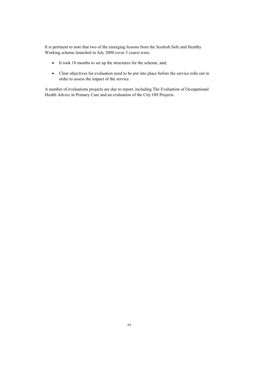It is pertinent to note that two of the emerging lessons from the Scottish Safe and Healthy Working scheme launched in July 2000 (over 3 years) were;

- It took 18 months to set up the structures for the scheme, and;
- Clear objectives for evaluation need to be put into place before the service rolls out in order to assess the impact of the service.

A number of evaluations projects are due to report, including The Evaluation of Occupational Health Advice in Primary Care and an evaluation of the City OH Projects.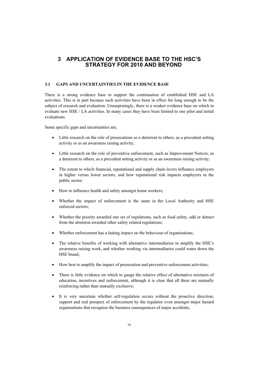# **3 APPLICATION OF EVIDENCE BASE TO THE HSC'S STRATEGY FOR 2010 AND BEYOND**

## **3.1 GAPS AND UNCERTAINTIES IN THE EVIDENCE BASE**

There is a strong evidence base to support the continuation of established HSE and LA activities. This is in part because such activities have been in effect for long enough to be the subject of research and evaluation. Unsurprisingly, there is a weaker evidence base on which to evaluate new HSE / LA activities. In many cases they have been limited to one pilot and initial evaluations.

Some specific gaps and uncertainties are;

- Little research on the role of prosecutions as a deterrent to others, as a precedent setting activity or as an awareness raising activity;
- Little research on the role of preventive enforcement, such as Improvement Notices, as a deterrent to others, as a precedent setting activity or as an awareness raising activity;
- The extent to which financial, reputational and supply chain levers influence employers in higher versus lower sectors, and how reputational risk impacts employers in the public sector;
- How to influence health and safety amongst home workers;
- Whether the impact of enforcement is the same in the Local Authority and HSE enforced sectors;
- x Whether the priority awarded one set of regulations, such as food safety, add or detract from the attention awarded other safety related regulations;
- x Whether enforcement has a lasting impact on the behaviour of organisations;
- The relative benefits of working with alternative intermediaries to amplify the HSE's awareness raising work, and whether working via intermediaries could water down the HSE brand;
- How best to amplify the impact of prosecution and preventive enforcement activities;
- There is little evidence on which to gauge the relative effect of alternative mixtures of education, incentives and enforcement, although it is clear that all three are mutually reinforcing rather than mutually exclusive;
- It is very uncertain whether self-regulation occurs without the proactive direction, support and real prospect of enforcement by the regulator even amongst major hazard organisations that recognise the business consequences of major accidents;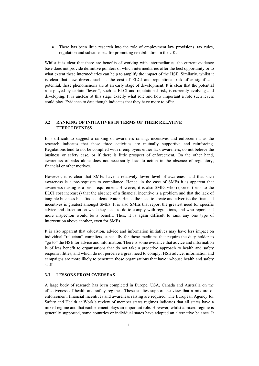• There has been little research into the role of employment law provisions, tax rules, regulation and subsidies etc for promoting rehabilitation in the UK.

Whilst it is clear that there are benefits of working with intermediaries, the current evidence base does not provide definitive pointers of which intermediaries offer the best opportunity or to what extent these intermediaries can help to amplify the impact of the HSE. Similarly, whilst it is clear that new drivers such as the cost of ELCI and reputational risk offer significant potential, these phenomenons are at an early stage of development. It is clear that the potential role played by certain "levers", such as ELCI and reputational risk, is currently evolving and developing. It is unclear at this stage exactly what role and how important a role such levers could play. Evidence to date though indicates that they have more to offer.

# **3.2 RANKING OF INITIATIVES IN TERMS OF THEIR RELATIVE EFFECTIVENESS**

It is difficult to suggest a ranking of awareness raising, incentives and enforcement as the research indicates that these three activities are mutually supportive and reinforcing. Regulations tend to not be complied with if employers either lack awareness, do not believe the business or safety case, or if there is little prospect of enforcement. On the other hand, awareness of risks alone does not necessarily lead to action in the absence of regulatory, financial or other motives.

However, it is clear that SMEs have a relatively lower level of awareness and that such awareness is a pre-requisite to compliance. Hence, in the case of SMEs it is apparent that awareness raising is a prior requirement. However, it is also SMEs who reported (prior to the ELCI cost increases) that the absence of a financial incentive is a problem and that the lack of tangible business benefits is a demotivator. Hence the need to create and advertise the financial incentives is greatest amongst SMEs. It is also SMEs that report the greatest need for specific advice and direction on what they need to do to comply with regulations, and who report that more inspection would be a benefit. Thus, it is again difficult to rank any one type of intervention above another, even for SMEs.

It is also apparent that education, advice and information initiatives may have less impact on individual "reluctant" compliers, especially for those mediums that require the duty holder to "go to" the HSE for advice and information. There is some evidence that advice and information is of less benefit to organisations that do not take a proactive approach to health and safety responsibilities, and which do not perceive a great need to comply. HSE advice, information and campaigns are more likely to penetrate those organisations that have in-house health and safety staff.

## **3.3 LESSONS FROM OVERSEAS**

A large body of research has been completed in Europe, USA, Canada and Australia on the effectiveness of health and safety regimes. These studies support the view that a mixture of enforcement, financial incentives and awareness raising are required. The European Agency for Safety and Health at Work's review of member states regimes indicates that all states have a mixed regime and that each element plays an important role. However, whilst a mixed regime is generally supported, some countries or individual states have adopted an alternative balance. It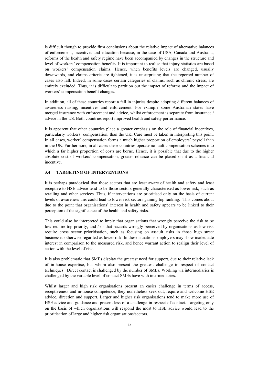is difficult though to provide firm conclusions about the relative impact of alternative balances of enforcement, incentives and education because, in the case of USA, Canada and Australia, reforms of the health and safety regime have been accompanied by changes in the structure and level of workers' compensation benefits. It is important to realise that injury statistics are based on workers' compensation claims. Hence, when benefits levels are changed, usually downwards, and claims criteria are tightened, it is unsurprising that the reported number of cases also fall. Indeed, in some cases certain categories of claims, such as chronic stress, are entirely excluded. Thus, it is difficult to partition out the impact of reforms and the impact of workers' compensation benefit changes.

In addition, all of these countries report a fall in injuries despite adopting different balances of awareness raising, incentives and enforcement. For example some Australian states have merged insurance with enforcement and advice, whilst enforcement is separate from insurance / advice in the US. Both countries report improved health and safety performance.

It is apparent that other countries place a greater emphasis on the role of financial incentives, particularly workers' compensation, than the UK. Care must be taken in interpreting this point. In all cases, worker' compensation forms a much higher proportion of employers' payroll than in the UK. Furthermore, in all cases these countries operate no fault compensation schemes into which a far higher proportion of costs are borne. Hence, it is possible that due to the higher absolute cost of workers' compensation, greater reliance can be placed on it as a financial incentive.

### **3.4 TARGETING OF INTERVENTIONS**

It is perhaps paradoxical that those sectors that are least aware of health and safety and least receptive to HSE advice tend to be those sectors generally characterised as lower risk, such as retailing and other services. Thus, if interventions are prioritised only on the basis of current levels of awareness this could lead to lower risk sectors gaining top ranking. This comes about due to the point that organisations' interest in health and safety appears to be linked to their perception of the significance of the health and safety risks.

This could also be interpreted to imply that organisations that wrongly perceive the risk to be low require top priority, and / or that hazards wrongly perceived by organisations as low risk require cross sector prioritisation, such as focusing on assault risks in those high street businesses otherwise regarded as lower risk. In these situations employers may show inadequate interest in comparison to the measured risk, and hence warrant action to realign their level of action with the level of risk.

It is also problematic that SMEs display the greatest need for support, due to their relative lack of in-house expertise, but whom also present the greatest challenge in respect of contact techniques. Direct contact is challenged by the number of SMEs. Working via intermediaries is challenged by the variable level of contact SMEs have with intermediaries.

Whilst larger and high risk organisations present an easier challenge in terms of access, receptiveness and in-house competence, they nonetheless seek out, require and welcome HSE advice, direction and support. Larger and higher risk organisations tend to make more use of HSE advice and guidance and present less of a challenge in respect of contact. Targeting only on the basis of which organisations will respond the most to HSE advice would lead to the prioritisation of large and higher risk organisations/sectors.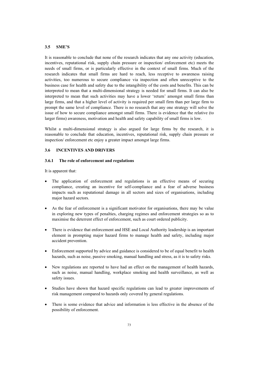# **3.5 SME'S**

It is reasonable to conclude that none of the research indicates that any one activity (education, incentives, reputational risk, supply chain pressure or inspection/ enforcement etc) meets the needs of small firms, or is particularly effective in the context of small firms. Much of the research indicates that small firms are hard to reach, less receptive to awareness raising activities, too numerous to secure compliance via inspection and often unreceptive to the business case for health and safety due to the intangibility of the costs and benefits. This can be interpreted to mean that a multi-dimensional strategy is needed for small firms. It can also be interpreted to mean that such activities may have a lower 'return' amongst small firms than large firms, and that a higher level of activity is required per small firm than per large firm to prompt the same level of compliance. There is no research that any one strategy will solve the issue of how to secure compliance amongst small firms. There is evidence that the relative (to larger firms) awareness, motivation and health and safety capability of small firms is low.

Whilst a multi-dimensional strategy is also argued for large firms by the research, it is reasonable to conclude that education, incentives, reputational risk, supply chain pressure or inspection/ enforcement etc enjoy a greater impact amongst large firms.

# **3.6 INCENTIVES AND DRIVERS**

#### **3.6.1 The role of enforcement and regulations**

It is apparent that:

- The application of enforcement and regulations is an effective means of securing compliance, creating an incentive for self-compliance and a fear of adverse business impacts such as reputational damage in all sectors and sizes of organisations, including major hazard sectors.
- As the fear of enforcement is a significant motivator for organisations, there may be value in exploring new types of penalties, charging regimes and enforcement strategies so as to maximise the deterrent effect of enforcement, such as court ordered publicity.
- There is evidence that enforcement and HSE and Local Authority leadership is an important element in prompting major hazard firms to manage health and safety, including major accident prevention.
- Enforcement supported by advice and guidance is considered to be of equal benefit to health hazards, such as noise, passive smoking, manual handling and stress, as it is to safety risks.
- New regulations are reported to have had an effect on the management of health hazards, such as noise, manual handling, workplace smoking and health surveillance, as well as safety issues.
- x Studies have shown that hazard specific regulations can lead to greater improvements of risk management compared to hazards only covered by general regulations.
- There is some evidence that advice and information is less effective in the absence of the possibility of enforcement.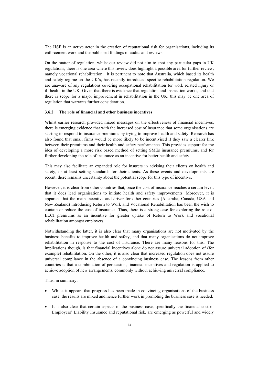The HSE is an active actor in the creation of reputational risk for organisations, including its enforcement work and the published findings of audits and reviews.

On the matter of regulation, whilst our review did not aim to spot any particular gaps in UK regulations, there is one area where this review does highlight a possible area for further review, namely vocational rehabilitation. It is pertinent to note that Australia, which based its health and safety regime on the UK's, has recently introduced specific rehabilitation regulation. We are unaware of any regulations covering occupational rehabilitation for work related injury or ill-health in the UK. Given that there is evidence that regulation and inspection works, and that there is scope for a major improvement in rehabilitation in the UK, this may be one area of regulation that warrants further consideration.

## **3.6.2 The role of financial and other business incentives**

Whilst earlier research provided mixed messages on the effectiveness of financial incentives, there is emerging evidence that with the increased cost of insurance that some organisations are starting to respond to insurance premiums by trying to improve health and safety. Research has also found that small firms would be more likely to be incentivised if they saw a clearer link between their premiums and their health and safety performance. This provides support for the idea of developing a more risk based method of setting SMEs insurance premiums, and for further developing the role of insurance as an incentive for better health and safety.

This may also facilitate an expanded role for insurers in advising their clients on health and safety, or at least setting standards for their clients. As these events and developments are recent, there remains uncertainty about the potential scope for this type of incentive.

However, it is clear from other countries that, once the cost of insurance reaches a certain level, that it does lead organisations to initiate health and safety improvements. Moreover, it is apparent that the main incentive and driver for other countries (Australia, Canada, USA and New Zealand) introducing Return to Work and Vocational Rehabilitation has been the wish to contain or reduce the cost of insurance. Thus, there is a strong case for exploring the role of ELCI premiums as an incentive for greater uptake of Return to Work and vocational rehabilitation amongst employers.

Notwithstanding the latter, it is also clear that many organisations are not motivated by the business benefits to improve health and safety, and that many organisations do not improve rehabilitation in response to the cost of insurance. There are many reasons for this. The implications though, is that financial incentives alone do not assure universal adoption of (for example) rehabilitation. On the other, it is also clear that increased regulation does not assure universal compliance in the absence of a convincing business case. The lessons from other countries is that a combination of persuasion, financial incentives and regulation is applied to achieve adoption of new arrangements, commonly without achieving universal compliance.

Thus, in summary;

- x Whilst it appears that progress has been made in convincing organisations of the business case, the results are mixed and hence further work in promoting the business case is needed.
- It is also clear that certain aspects of the business case, specifically the financial cost of Employers' Liability Insurance and reputational risk, are emerging as powerful and widely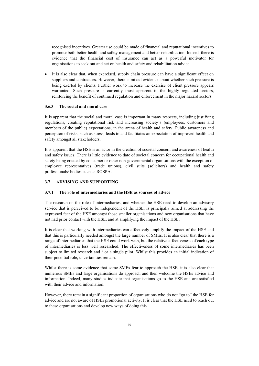recognised incentives. Greater use could be made of financial and reputational incentives to promote both better health and safety management and better rehabilitation. Indeed, there is evidence that the financial cost of insurance can act as a powerful motivator for organisations to seek out and act on health and safety and rehabilitation advice.

It is also clear that, when exercised, supply chain pressure can have a significant effect on suppliers and contractors. However, there is mixed evidence about whether such pressure is being exerted by clients. Further work to increase the exercise of client pressure appears warranted. Such pressure is currently most apparent in the highly regulated sectors, reinforcing the benefit of continued regulation and enforcement in the major hazard sectors.

### **3.6.3 The social and moral case**

It is apparent that the social and moral case is important in many respects, including justifying regulations, creating reputational risk and increasing society's (employees, customers and members of the public) expectations, in the arena of health and safety. Public awareness and perception of risks, such as stress, leads to and facilitates an expectation of improved health and safety amongst all stakeholders.

It is apparent that the HSE is an actor in the creation of societal concern and awareness of health and safety issues. There is little evidence to date of societal concern for occupational health and safety being created by consumer or other non-governmental organisations with the exception of employee representatives (trade unions), civil suits (solicitors) and health and safety professionals/ bodies such as ROSPA.

# **3.7 ADVISING AND SUPPORTING**

### **3.7.1 The role of intermediaries and the HSE as sources of advice**

The research on the role of intermediaries, and whether the HSE need to develop an advisory service that is perceived to be independent of the HSE. is principally aimed at addressing the expressed fear of the HSE amongst those smaller organisations and new organisations that have not had prior contact with the HSE, and at amplifying the impact of the HSE.

It is clear that working with intermediaries can effectively amplify the impact of the HSE and that this is particularly needed amongst the large number of SMEs. It is also clear that there is a range of intermediaries that the HSE could work with, but the relative effectiveness of each type of intermediaries is less well researched. The effectiveness of some intermediaries has been subject to limited research and / or a single pilot. Whilst this provides an initial indication of their potential role, uncertainties remain.

Whilst there is some evidence that some SMEs fear to approach the HSE, it is also clear that numerous SMEs and large organisations do approach and then welcome the HSEs advice and information. Indeed, many studies indicate that organisations go to the HSE and are satisfied with their advice and information.

However, there remain a significant proportion of organisations who do not "go to" the HSE for advice and are not aware of HSEs promotional activity. It is clear that the HSE need to reach out to these organisations and develop new ways of doing this.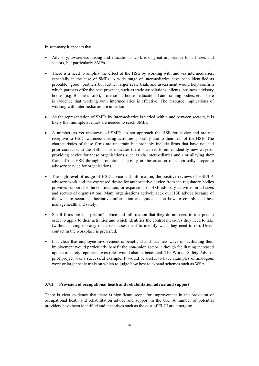In summary it appears that;

- x Advisory, awareness raising and educational work is of great importance for all sizes and sectors, but particularly SMEs.
- There is a need to amplify the effect of the HSE by working with and via intermediaries, especially in the case of SMEs. A wide range of intermediaries have been identified as probable "good" partners but further larger scale trials and assessment would help confirm which partners offer the best prospect, such as trade associations, clients, business advisory bodies (e.g. Business Link), professional bodies, educational and training bodies, etc. There is evidence that working with intermediaries is effective. The resource implications of working with intermediaries are uncertain.
- As the representation of SMEs by intermediaries is varied within and between sectors, it is likely that multiple avenues are needed to reach SMEs.
- x A number, as yet unknown, of SMEs do not approach the HSE for advice and are not receptive to HSE awareness raising activities, possibly due to their fear of the HSE. The characteristics of these firms are uncertain but probably include firms that have not had prior contact with the HSE. This indicates there is a need to either identify new ways of providing advice for these organisations such as via intermediaries and / or allaying their fears of the HSE through promotional activity or the creation of a "virtually" separate advisory service for organisations.
- The high level of usage of HSE advice and information, the positive reviews of HSE/LA advisory work and the expressed desire for authoritative advice from the regulatory bodies provides support for the continuation, or expansion, of HSE advisory activities in all sizes and sectors of organisations. Many organisations actively seek out HSE advice because of the wish to secure authoritative information and guidance on how to comply and best manage health and safety.
- Small firms prefer "specific" advice and information that they do not need to interpret in order to apply to their activities and which identifies the control measures they need to take (without having to carry out a risk assessment to identify what they need to do). Direct contact in the workplace is preferred.
- It is clear that employee involvement is beneficial and that new ways of facilitating their involvement would particularly benefit the non-union sector, although facilitating increased uptake of safety representatives roles would also be beneficial. The Worker Safety Advisor pilot project was a successful example. It would be useful to have examples of analogous work or larger scale trials on which to judge how best to expand schemes such as WSA.

#### **3.7.2 Provision of occupational heath and rehabilitation advice and support**

There is clear evidence that there is significant scope for improvement in the provision of occupational heath and rehabilitation advice and support in the UK. A number of potential providers have been identified and incentives such as the cost of ELCI are emerging.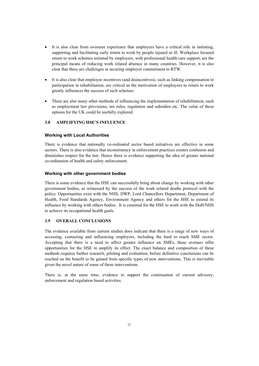- It is also clear from overseas experience that employers have a critical role in initiating, supporting and facilitating early return to work by people injured or ill. Workplace focused return to work schemes initiated by employers, with professional health care support, are the principal means of reducing work related absence in many countries. However, it is also clear that there are challenges in securing employer commitment to RTW.
- It is also clear that employee incentives (and disincentives), such as linking compensation to participation in rehabilitation, are critical as the motivation of employees to return to work greatly influences the success of such schemes.
- There are also many other methods of influencing the implementation of rehabilitation, such as employment law provisions, tax rules, regulation and subsidies etc. The value of these options for the UK could be usefully explored.

# **3.8 AMPLIFYING HSE'S INFLUENCE**

### **Working with Local Authorities**

There is evidence that nationally co-ordinated sector based initiatives are effective in some sectors. There is also evidence that inconsistency in enforcement practices creates confusion and diminishes respect for the law. Hence there is evidence supporting the idea of greater national co-ordination of health and safety enforcement.

#### **Working with other government bodies**

There is some evidence that the HSE can successfully bring about change by working with other government bodies, as witnessed by the success of the work related deaths protocol with the police. Opportunities exist with the NHS, DWP, Lord Chancellors Department, Department of Health, Food Standards Agency, Environment Agency and others for the HSE to extend its influence by working with others bodies. It is essential for the HSE to work with the DoH/NHS to achieve its occupational health goals.

# **3.9 OVERALL CONCLUSIONS**

The evidence available from current studies does indicate that there is a range of new ways of accessing, contacting and influencing employers, including the hard to reach SME sector. Accepting that there is a need to affect greater influence on SMEs, these avenues offer opportunities for the HSE to amplify its effect. The exact balance and composition of these methods requires further research, piloting and evaluation, before definitive conclusions can be reached on the benefit to be gained from specific types of new interventions. This is inevitable given the novel nature of some of these interventions.

There is, at the same time, evidence to support the continuation of current advisory, enforcement and regulation based activities.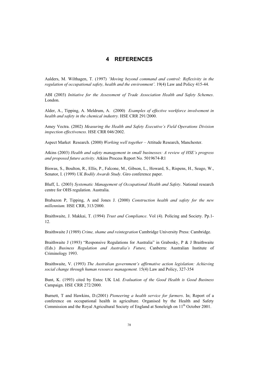# **4 REFERENCES**

Aalders, M. Wilthagen, T. (1997) *'Moving beyond command and control: Reflexivity in the regulation of occupational safety, health and the environment'*. 19(4) Law and Policy 415-44.

ABI (2003) *Initiative for the Assessment of Trade Association Health and Safety Schemes*. London.

Alder, A., Tipping, A. Meldrum, A. (2000) *Examples of effective workforce involvement in health and safety in the chemical industry.* HSE CRR 291/2000.

Amey Vectra. (2002) *Measuring the Health and Safety Executive's Field Operations Division inspection effectiveness.* HSE CRR 046/2002.

Aspect Market Research. (2000) *Working well together* – Attitude Research, Manchester.

Atkins (2003) *Health and safety management in small businesses: A review of HSE's progress and proposed future activity.* Atkins Process Report No. 5019674-R1

Biswas, S., Boulton, R., Ellis, P., Falcone, M., Gibson, L., Howard, S., Rispens, H., Seago, W., Senator, I. (1999) *UK Bodily Awards Study*. Giro conference paper.

Bluff, L. (2003) *Systematic Management of Occupational Health and Safety*. National research centre for OHS regulation. Australia.

Brabazon P, Tipping, A and Jones J. (2000) *Construction health and safety for the new millennium.* HSE CRR, 313/2000.

Braithwaite, J. Makkai, T. (1994) *Trust and Compliance*. Vol (4). Policing and Society. Pp.1- 12.

Braithwaite J (1989) *Crime, shame and reintegration* Cambridge University Press: Cambridge.

Braithwaite J (1993) "Responsive Regulations for Australia" in Grabosky, P & J Braithwaite (Eds.) *Business Regulation and Australia's Future,* Canberra: Australian Institute of Criminology 1993.

Braithwaite, V. (1993) *The Australian government's affirmative action legislation: Achieving social change through human resource management.* 15(4) Law and Policy, 327-354

Bunt, K. (1993) cited by Entec UK Ltd. *Evaluation of the Good Health is Good Business*  Campaign. HSE CRR 272/2000.

Burnett, T and Hawkins, D.(2001) *Pioneering a health service for farmers*. In; Report of a conference on occupational health in agriculture. Organised by the Health and Safety Commission and the Royal Agricultural Society of England at Soneleigh on 11<sup>th</sup> October 2001.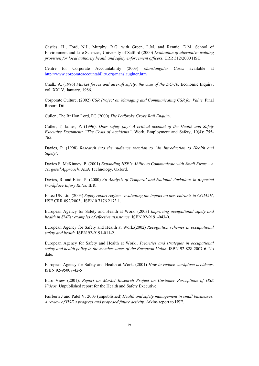Castles, H., Ford, N.J., Murphy, R.G. with Green, L.M. and Rennie, D.M. School of Environment and Life Sciences, University of Salford (2000) *Evaluation of alternative training provision for local authority health and safety enforcement officers*. CRR 312/2000 HSC.

Centre for Corporate Accountability (2003) *Manslaughter Cases* available at http://www.corporateaccountability.org/manslaughter.htm

Chalk, A. (1986) *Market forces and aircraft safety: the case of the DC-10*. Economic Inquiry, vol. XX1V, January, 1986.

Corporate Culture, (2002) *CSR Project on Managing and Communicating CSR for Value*. Final Report. Dti.

Cullen, The Rt Hon Lord, PC (2000) *The Ladbroke Grove Rail Enquiry*.

Cutler, T, James, P. (1996). *Does safety pay? A critical account of the Health and Safety Executive Document: "The Costs of Accidents"*, Work, Employment and Safety, 10(4): 755- 765.

Davies, P. (1998) *Research into the audience reaction to 'An Introduction to Health and Safety'*.

Davies F. McKinney, P. (2001) *Expanding HSE's Ability to Communicate with Small Firms – A Targeted Approach.* AEA Technology, Oxford.

Davies, R. and Elias, P. (2000) *An Analysis of Temporal and National Variations in Reported Workplace Injury Rates.* IER.

Entec UK Ltd. (2003) *Safety report regime - evaluating the impact on new entrants to COMAH*, HSE CRR 092/2003.*,* ISBN 0 7176 2173 1.

European Agency for Safety and Health at Work. (2003) *Improving occupational safety and health in SMEs: examples of effective assistance.* ISBN 92-9191-043-0.

European Agency for Safety and Health at Work.(2002) *Recognition schemes in occupational safety and health.* ISBN 92-9191-011-2.

European Agency for Safety and Health at Work.. *Priorities and strategies in occupational*  safety and health policy in the member states of the European Union. ISBN 92-828-2007-6. No date.

European Agency for Safety and Health at Work. (2001) *How to reduce workplace accidents*. ISBN 92-95007-42-5

Euro View (2001). *Report on Market Research Project on Customer Perceptions of HSE Videos.* Unpublished report for the Health and Safety Executive.

Fairburn J and Patel V. 2003 (unpublished).*Health and safety management in small businesses: A review of HSE's progress and proposed future activity*. Atkins report to HSE.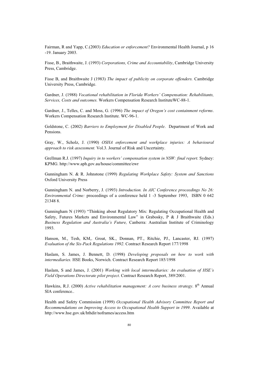Fairman, R and Yapp, C.(2003) *Education or enforcement?* Environmental Health Journal, p 16 -19. January 2003.

Fisse, B., Braithwaite, J. (1993) *Corporations, Crime and Accountability*, Cambridge University Press, Cambridge.

Fisse B, and Braithwaite J (1983) *The impact of publicity on corporate offenders.* Cambridge University Press, Cambridge.

Gardner, J. (1988) *Vocational rehabilitation in Florida Workers' Compensation: Rehabilitants, Services, Costs and outcomes.* Workers Compensation Research InstituteWC-88-1.

Gardner, J., Telles, C. and Moss, G. (1996) *The impact of Oregon's cost containment reforms*. Workers Compensation Research Institute. WC-96-1.

Goldstone, C. (2002) *Barriers to Employment for Disabled People*. Department of Work and Pensions.

Gray, W., Scholz, J. (1990) *OSHA enforcement and workplace injuries: A behavioural approach to risk assessment.* Vol.3. Journal of Risk and Uncertainty.

Grellman R.J. (1997) *Inquiry in to workers' compensation system in NSW: final report*. Sydney: KPMG. http://www.aph.gov.au/house/committee/ewr

Gunningham N. & R. Johnstone (1999) *Regulating Workplace Safety: System and Sanctions*  Oxford University Press

Gunningham N. and Norberry, J. (1993) *Introduction. In AIC Conference proceedings No 26: Environmental Crime:* proceedings of a conference held 1 -3 September 1993, ISBN 0 642 21348 8.

Gunningham N (1993) "Thinking about Regulatory Mix: Regulating Occupational Health and Safety, Futures Markets and Environmental Law" in Grabosky, P & J Braithwaite (Eds.) *Business Regulation and Australia's Future,* Canberra: Australian Institute of Criminology 1993.

Hanson, M., Tesh, KM,. Groat, SK., Donnan, PT., Ritchie, PJ., Lancaster, RJ. (1997) *Evaluation of the Six-Pack Regulations 1992*. Contract Research Report 177/1998

Haslam, S. James, J. Bennett, D. (1998) *Developing proposals on how to work with intermediaries.* HSE Books, Norwich. Contract Research Report 185/1998

Haslam, S and James, J. (2001) *Working with local intermediaries: An evaluation of HSE's Field Operations Directorate pilot project*. Contract Research Report, 389/2001.

Hawkins, R.J. (2000) *Active rehabilitation management: A core business strategy*. 8<sup>th</sup> Annual SIA conference..

Health and Safety Commission (1999) *Occupational Health Advisory Committee Report and Recommendations on Improving Access to Occupational Health Support in 1999*. Available at http://www.hse.gov.uk/hthdir/noframes/access.htm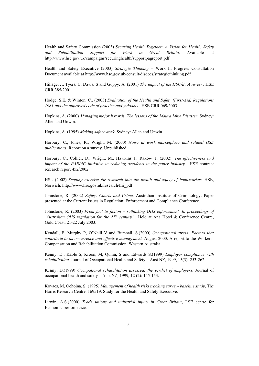Health and Safety Commission (2003) *Securing Health Together: A Vision for Health, Safety and Rehabilitation Support for Work in Great Britain*. Available at http://www.hse.gov.uk/campaigns/securinghealth/supportpagreport.pdf

Health and Safety Executive (2003) *Strategic Thinking* – Work In Progress Consultation Document available at http://www.hse.gov.uk/consult/disdocs/strategicthinking.pdf

Hillage, J., Tyers, C, Davis, S and Guppy, A. (2001) *The impact of the HSC/E: A review*. HSE CRR 385/2001*.* 

Hodge, S.E. & Winton, C., (2003) *Evaluation of the Health and Safety (First-Aid) Regulations 1981 and the approved code of practice and guidance.* HSE CRR 069/2003

Hopkins, A. (2000) *Managing major hazards. The lessons of the Moura Mine Disaster*. Sydney: Allen and Unwin.

Hopkins, A. (1995) *Making safety work*. Sydney: Allen and Unwin.

Horbury, C., Jones, R., Wright, M. (2000) *Noise at work marketplace and related HSE publications*: Report on a survey. Unpublished.

Horbury, C., Collier, D., Wright, M., Hawkins J., Rakow T. (2002). *The effectiveness and impact of the PABIAC initiative in reducing accidents in the paper industry.* HSE contract research report 452/2002

HSL (2002) *Scoping exercise for research into the health and safety of homeworker.* HSE, Norwich. http://www.hse.gov.uk/research/hsi\_pdf

Johnstone, R. (2002) *Safety, Courts and Crime*. Australian Institute of Criminology. Paper presented at the Current Issues in Regulation: Enforcement and Compliance Conference.

Johnstone, R. (2003) *From fact to fiction – rethinking OHS enforcement. In proceedings of 'Australian OHS regulation for the 21<sup>st</sup> century'*. Held at Ana Hotel & Conference Centre, Gold Coast, 21-22 July 2003.

Kendall, E, Murphy P, O'Neill V and Bursnall, S.(2000) *Occupational stress: Factors that contribute to its occurrence and effective management.* August 2000. A report to the Workers' Compensation and Rehabilitation Commission, Western Australia.

Kenny, D., Kable S, Kroon, M, Quinn, S and Edwards S.(1999) *Employer compliance with rehabilitation.* Journal of Occupational Health and Safety – Aust NZ, 1999, 15(3): 253-262.

Kenny, D.(1999) *Occupational rehabilitation assessed: the verdict of employers*. Journal of occupational health and safety – Aust NZ, 1999, 12 (2): 145-153.

Kovacs, M, Ochojna, S. (1995) *Management of health risks tracking survey- baseline study*, The Harris Research Centre, 169519. Study for the Health and Safety Executive.

Litwin, A.S.(2000) *Trade unions and industrial injury in Great Britain*, LSE centre for Economic performance.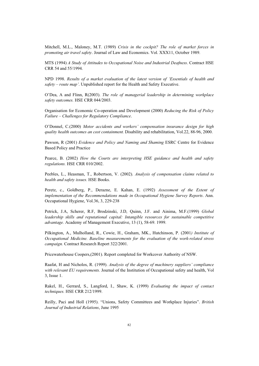Mitchell, M.L., Maloney, M.T. (1989) *Crisis in the cockpit? The role of market forces in promoting air travel safety*. Journal of Law and Economics. Vol. XXX11, October 1989.

MTS (1994) *A Study of Attitudes to Occupational Noise and Industrial Deafness*. Contract HSE CRR 54 and 55/1994.

NPD 1998. *Results of a market evaluation of the latest version of 'Essentials of health and safety – route map'*. Unpublished report for the Health and Safety Executive.

O'Dea, A and Flinn, R(2003). *The role of managerial leadership in determining workplace safety outcomes.* HSE CRR 044/2003.

Organisation for Economic Co-operation and Development (2000) *Reducing the Risk of Policy Failure – Challenges for Regulatory Compliance*.

O'Donnel, C.(2000) *Motor accidents and workers' compensation insurance design for high quality health outcomes an cost containment.* Disability and rehabilitation, Vol.22, 88-96, 2000.

Pawson, R (2001) *Evidence and Policy and Naming and Shaming* ESRC Centre for Evidence Based Policy and Practice

Pearce, B. (2002) *How the Courts are interpreting HSE guidance and health and safety regulations.* HSE CRR 010/2002.

Peebles, L., Heasman, T., Robertson, V. (2002). *Analysis of compensation claims related to health and safety issues.* HSE Books.

Peretz, c., Goldberg, P., Derazne, E. Kahan, E. (1992) *Assessment of the Extent of implementation of the Recommendations made in Occupational Hygiene Survey Reports*. Ann. Occupational Hygiene, Vol.36, 3, 229-238

Petrick, J.A, Scherer, R.F, Brodzinski, J.D, Quinn, J.F. and Ainima, M.F.(1999) *Global leadership skills and reputational capital: Intangible resources for sustainable competitive advantage.* Academy of Management Executive, 13 (1), 58-69. 1999.

Pilkington, A., Mulholland, R., Cowie, H., Graham, MK., Hutchinson, P. (2001*) Institute of Occupational Medicine. Baseline measurements for the evaluation of the work-related stress campaign.* Contract Research Report 322/2001.

Pricewaterhouse Coopers,(2001). Report completed for Workcover Authority of NSW.

Raafat, H and Nicholos, R. (1999). *Analysis of the degree of machinery suppliers' compliance with relevant EU requirements.* Journal of the Institution of Occupational safety and health, Vol 3, Issue 1.

Rakel, H., Gerrard, S., Langford, I., Shaw, K. (1999) *Evaluating the impact of contact techniques.* HSE CRR 212/1999.

Reilly, Paci and Holl (1995). "Unions, Safety Committees and Workplace Injuries". *British Journal of Industrial Relations*, June 1995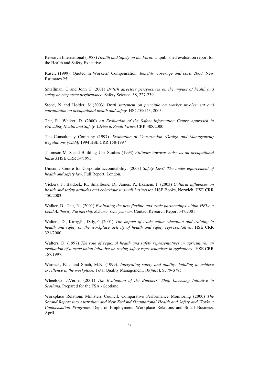Research International (1988) *Health and Safety on the Farm*. Unpublished evaluation report for the Health and Safety Executive.

Ruser, (1999). Quoted in Workers' Compensation: *Benefits, coverage and costs 2000*. New Estimates 25.

Smallman, C and John G (2001) *British directors perspectives on the impact of health and safety on corporate performance.* Safety Science, 38, 227-239.

Stone, N and Holder, M.(2003) *Draft statement on principle on worker involvement and consultation on occupational health and safety.* HSC/03/143, 2003.

Tait, R., Walker, D. (2000) *An Evaluation of the Safety Information Centre Approach in Providing Health and Safety Advice to Small Firms*. CRR 308/2000

The Consultancy Company (1997). *Evaluation of Construction (Design and Management) Regulations (CDM)* 1994 HSE CRR 158/1997

Thomson-MTS and Building Use Studies (1993) *Attitudes towards noise as an occupational hazard.*HSE CRR 54/1993.

Unison / Centre for Corporate accountability. (2003) *Safety Last? The under-enforcement of health and safety law.* Full Report, London.

Vickers, I., Baldock, R., Smallbone, D., James, P., Ekanem, I. (2003) *Cultural influences on health and safety attitudes and behaviour in small businesses.* HSE Books, Norwich. HSE CRR 150/2003.

Walker, D., Tait, R., (2001) *Evaluating the new flexible and trade partnerships within HELA's Lead Authority Partnership Scheme: One year on*. Contact Research Report 347/2001

Walters, D., Kirby,P., Daly,F. (2001) *The impact of trade union education and training in health and safety on the workplace activity of health and safety representatives.* HSE CRR 321/2000

Walters, D. (1997) *The role of regional health and safety representatives in agriculture: an evaluation of a trade union initiative on roving safety representatives in agriculture*. HSE CRR 157/1997.

Warrack, B. J and Sinah, M.N. (1999). *Integrating safety and quality: building to achieve excellence in the workplace.* Total Quality Management, 10(4&5), S779-S785.

Wheelock, J.Verner (2001) *The Evaluation of the Butchers' Shop Licensing Initiative in Scotland.* Prepared for the FSA - Scotland

Workplace Relations Ministers Council, Comparative Performance Monitoring (2000) *The Second Report into Australian and New Zealand Occupational Health and Safety and Workers Compensation Programs.* Dept of Employment, Workplace Relations and Small Business, April.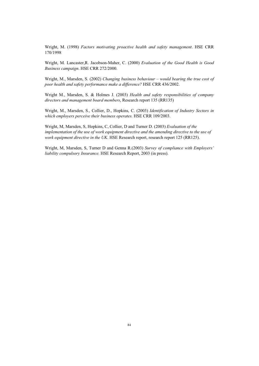Wright, M. (1998) *Factors motivating proactive health and safety management*. HSE CRR 170/1998

Wright, M. Lancaster,R. Jacobson-Maher, C. (2000) *Evaluation of the Good Health is Good Business campaign*. HSE CRR 272/2000.

Wright, M., Marsden, S. (2002) *Changing business behaviour – would bearing the true cost of poor health and safety performance make a difference?* HSE CRR 436/2002.

Wright M., Marsden, S. & Holmes J. (2003) *Health and safety responsibilities of company directors and management board members*, Research report 135 (RR135)

Wright, M., Marsden, S., Collier, D., Hopkins, C. (2003) *Identification of Industry Sectors in which employers perceive their business operates.* HSE CRR 109/2003.

Wright, M, Marsden, S, Hopkins, C, Collier, D and Turner D. (2003) *Evaluation of the implementation of the use of work equipment directive and the amending directive to the use of work equipment directive in the UK*. HSE Research report, research report 125 (RR125).

Wright, M, Marsden, S, Turner D and Genna R.(2003) *Survey of compliance with Employers' liability compulsory Insurance.* HSE Research Report, 2003 (in press).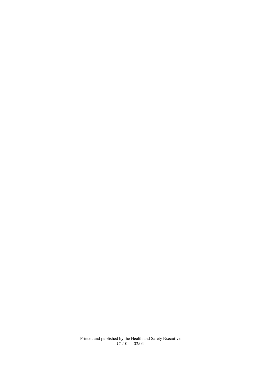Printed and published by the Health and Safety Executive C1.10 02/04